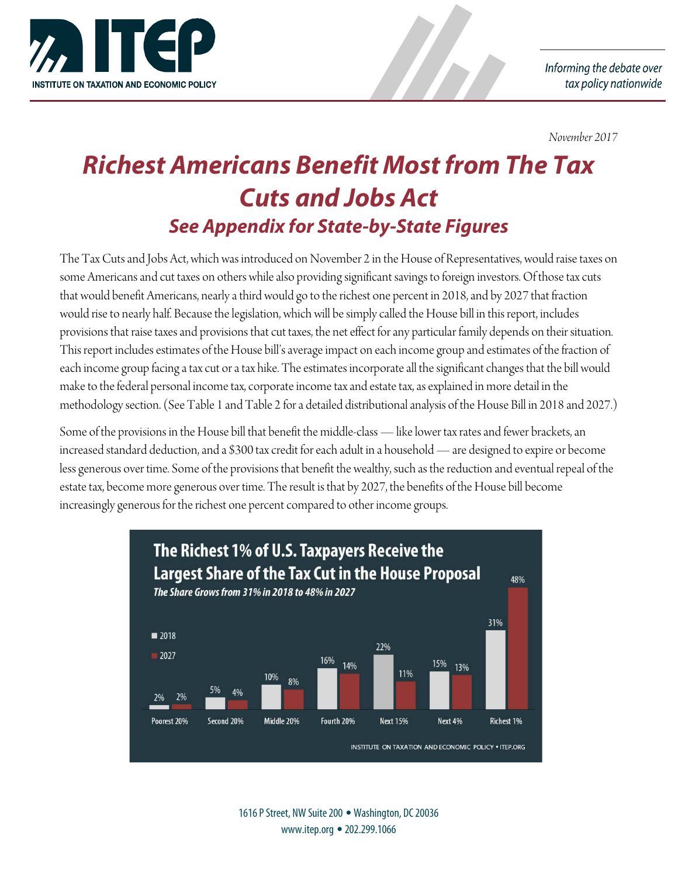

*November 2017*

# *Richest Americans Benefit Most from The Tax Cuts and Jobs Act See Appendix for State-by-State Figures*

The Tax Cuts and Jobs Act, which was introduced on November 2 in the House of Representatives, would raise taxes on some Americans and cut taxes on others while also providing significant savings to foreign investors. Of those tax cuts that would benefit Americans, nearly a third would go to therichest one percent in 2018, and by 2027 that fraction would rise to nearly half. Because the legislation, which will be simply called the House bill in this report, includes provisions that raise taxes and provisions that cut taxes, the net effect for any particular family depends on their situation. This report includes estimates of the House bill's average impact on each income group and estimates of the fraction of each income group facing a tax cut or a tax hike. The estimates incorporate all the significant changes that the bill would make to the federal personal income tax, corporate income tax and estate tax, as explained in more detail in the methodology section. (See Table 1 and Table 2 for a detailed distributional analysis of the House Bill in 2018 and 2027.)

Some of the provisions in the House bill that benefit the middle-class — like lower tax rates and fewer brackets, an increased standard deduction, and a \$300 tax credit for each adult in a household — are designed to expire or become less generous over time. Some of the provisions that benefit the wealthy, such as the reduction and eventual repeal of the estate tax, become more generous over time. The result is that by 2027, the benefits of the House bill become increasingly generous for the richest one percent compared to other income groups.



1616 P Street, NW Suite 200 • Washington, DC 20036 www.itep.org •202.299.1066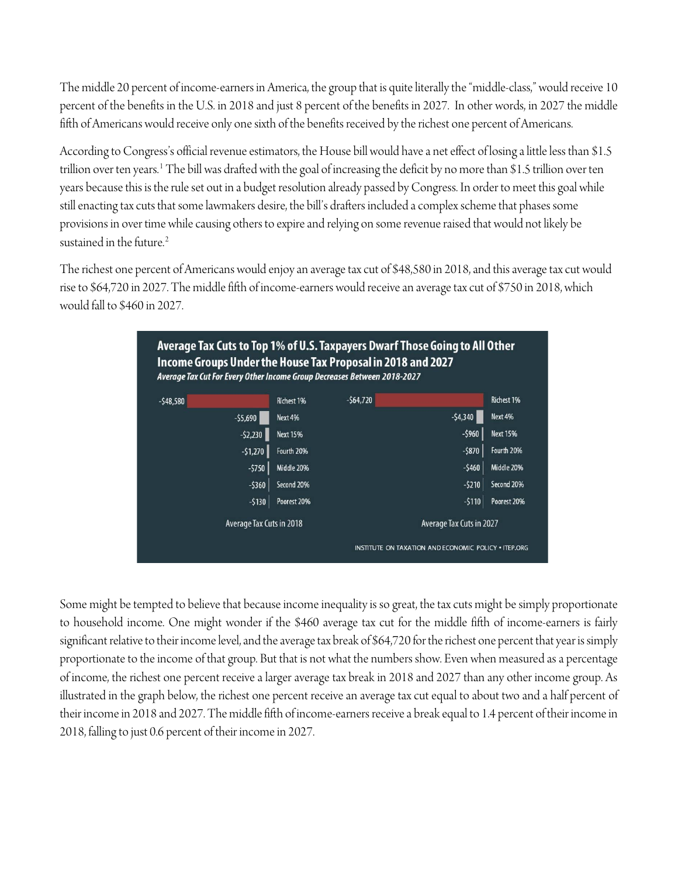The middle 20 percent of income-earners in America, the group that is quite literally the "middle-class," would receive 10 percent of the benefits in the U.S. in 2018 and just 8 percent of the benefits in 2027. In other words, in 2027 the middle fifth of Americans would receive only one sixth of the benefits received by the richest one percent of Americans.

According to Congress's official revenue estimators, the House bill would have a net effect of losing a little less than \$1.5 trillion over ten years.[1](#page-11-0) The bill was drafted with the goal of increasing the deficit by no more than \$1.5 trillion over ten years because this is the rule set out in a budget resolution already passed by Congress. In order to meet this goal while still enacting tax cuts that some lawmakers desire, the bill's drafters included a complex scheme that phases some provisions in over time while causing others to expire and relying on some revenue raised that would not likely be sustained in the future.<sup>[2](#page-11-1)</sup>

The richest one percent of Americans would enjoy an average tax cut of \$48,580 in 2018, and this average tax cut would rise to \$64,720 in 2027. The middle fifth of income-earners would receive an average tax cut of \$750 in 2018, which would fall to \$460 in 2027.



Some might be tempted to believe that because income inequality is so great, the tax cuts might be simply proportionate to household income. One might wonder if the \$460 average tax cut for the middle fifth of income-earners is fairly significant relative to their income level, and the average tax break of \$64,720 for the richest one percent that year is simply proportionate to the income of that group. But that is not what the numbers show. Even when measured as a percentage of income, the richest one percent receive a larger average tax break in 2018 and 2027 than any other income group. As illustrated in the graph below, the richest one percent receive an average tax cut equal to about two and a half percent of their income in 2018 and 2027. The middle fifth of income-earners receive a break equal to 1.4 percent of their income in 2018, falling to just 0.6 percent of their income in 2027.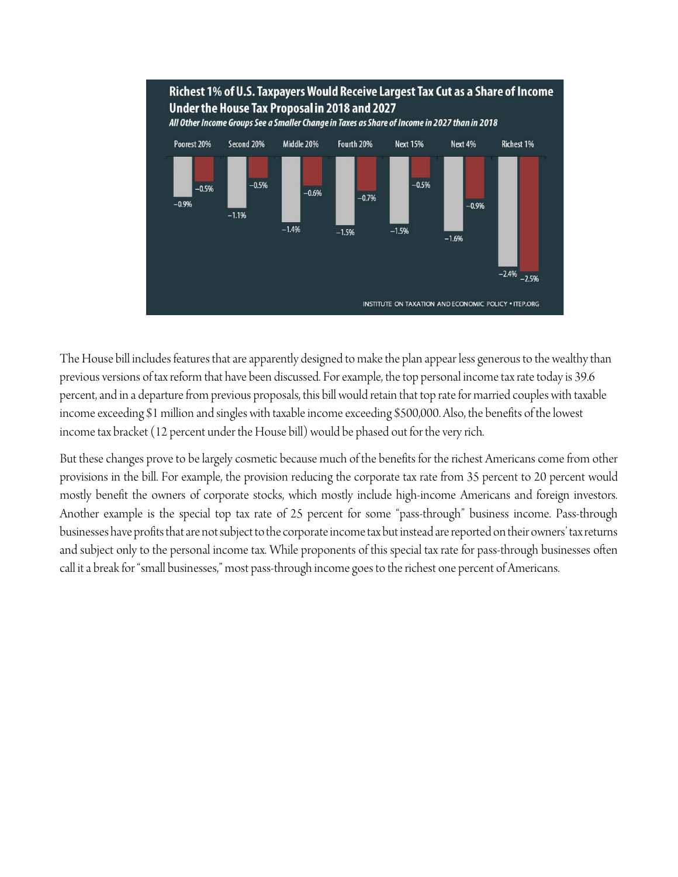

The House bill includes features that are apparently designed to make the plan appear less generous to the wealthy than previous versions of tax reform that have been discussed. For example, the top personal income tax rate today is 39.6 percent, and in a departure from previous proposals, this bill would retain that top rate for married couples with taxable income exceeding \$1 million and singles with taxable income exceeding \$500,000. Also, the benefits of the lowest income tax bracket (12 percent under the House bill) would be phased out for the very rich.

But these changes prove to be largely cosmetic because much of the benefits for the richest Americans come from other provisions in the bill. For example, the provision reducing the corporate tax rate from 35 percent to 20 percent would mostly benefit the owners of corporate stocks, which mostly include high-income Americans and foreign investors. Another example is the special top tax rate of 25 percent for some "pass-through" business income. Pass-through businesses have profits that are not subject to the corporate income tax but instead are reported on their owners' tax returns and subject only to the personal income tax. While proponents of this special tax rate for pass-through businesses often call it a break for "small businesses," most pass-through income goes to the richest one percent of Americans.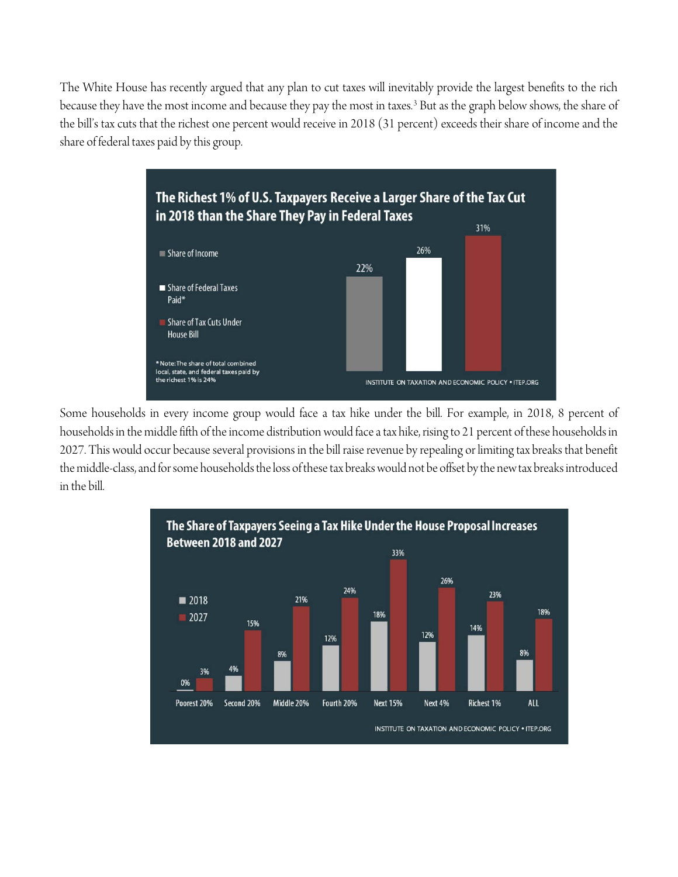The White House has recently argued that any plan to cut taxes will inevitably provide the largest benefits to the rich because they have the most income and because they pay the most in taxes.<sup>[3](#page-11-2)</sup> But as the graph below shows, the share of the bill's tax cuts that the richest one percent would receive in 2018 (31 percent) exceeds their share of income and the share of federal taxes paid by this group.



Some households in every income group would face a tax hike under the bill. For example, in 2018, 8 percent of households in the middle fifth of the income distribution would face a tax hike, rising to 21 percent of these households in 2027. This would occur because several provisions in the bill raise revenue by repealing or limiting tax breaks that benefit the middle-class, and for some households the loss of these tax breaks would not be offset by the new tax breaks introduced in the bill.

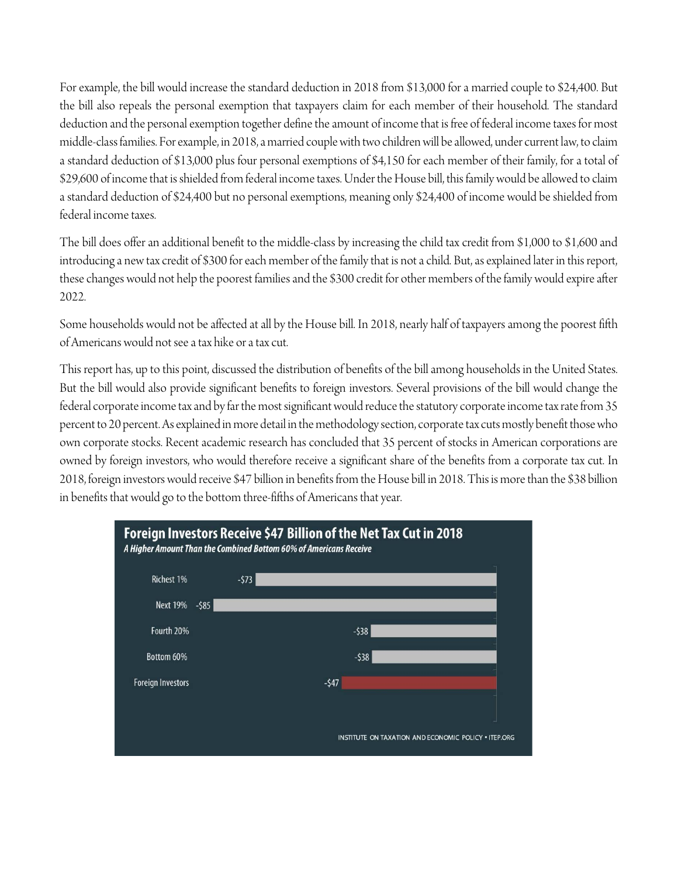For example, the bill would increase the standard deduction in 2018 from \$13,000 for a married couple to \$24,400. But the bill also repeals the personal exemption that taxpayers claim for each member of their household. The standard deduction and the personal exemption together define the amount of income that is free of federal income taxes for most middle-class families. For example, in 2018, a married couple with two children will be allowed, under current law, to claim a standard deduction of \$13,000 plus four personal exemptions of \$4,150 for each member of their family, for a total of \$29,600 of income that is shielded from federal income taxes. Under the House bill, this family would be allowed to claim a standard deduction of \$24,400 but no personal exemptions, meaning only \$24,400 of income would be shielded from federal income taxes.

The bill does offer an additional benefit to the middle-class by increasing the child tax credit from \$1,000 to \$1,600 and introducing a new tax credit of \$300 for each member of the family that is not a child. But, as explained later in this report, these changes would not help the poorest families and the \$300 credit for other members of the family would expire after 2022.

Some households would not be affected at all by the House bill. In 2018, nearly half of taxpayers among the poorest fifth of Americans would not see a tax hike or a tax cut.

This report has, up to this point, discussed the distribution of benefits of the bill among households in the United States. But the bill would also provide significant benefits to foreign investors. Several provisions of the bill would change the federal corporate income tax and by far the most significant would reduce the statutory corporate income tax rate from 35 percent to 20 percent. As explained in more detail in the methodology section, corporate tax cuts mostly benefit those who own corporate stocks. Recent academic research has concluded that 35 percent of stocks in American corporations are owned by foreign investors, who would therefore receive a significant share of the benefits from a corporate tax cut. In 2018, foreign investors would receive \$47 billion in benefits from the House bill in 2018. This is more than the \$38 billion in benefits that would go to the bottom three-fifths of Americans that year.

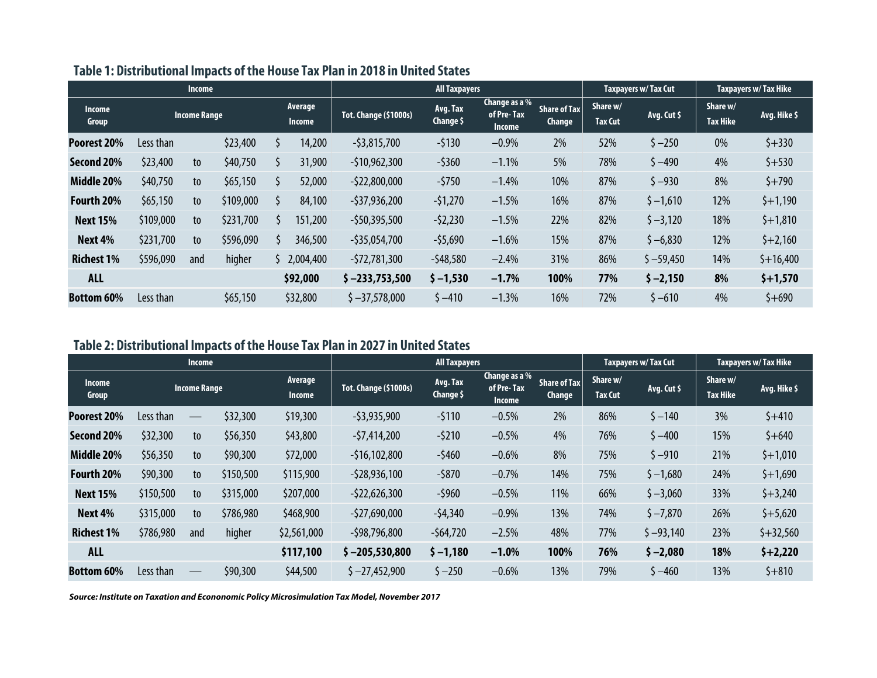|                        | <b>Income</b> |                     |           |  |                          |                              |                              |                                              | Taxpayers w/Tax Cut                  | Taxpayers w/ Tax Hike      |             |                             |              |
|------------------------|---------------|---------------------|-----------|--|--------------------------|------------------------------|------------------------------|----------------------------------------------|--------------------------------------|----------------------------|-------------|-----------------------------|--------------|
| <b>Income</b><br>Group |               | <b>Income Range</b> |           |  | Average<br><b>Income</b> | <b>Tot. Change (\$1000s)</b> | Avg. Tax<br><b>Change \$</b> | Change as a %<br>of Pre-Tax<br><b>Income</b> | <b>Share of Tax</b><br><b>Change</b> | Share w/<br><b>Tax Cut</b> | Avg. Cut \$ | Share w/<br><b>Tax Hike</b> | Avg. Hike \$ |
| Poorest 20%            | Less than     |                     | \$23,400  |  | 14,200                   | $-53,815,700$                | $-5130$                      | $-0.9%$                                      | 2%                                   | 52%                        | $$ -250$    | 0%                          | $$+330$      |
| Second 20%             | \$23,400      | to                  | \$40,750  |  | 31,900                   | $-510,962,300$               | $-5360$                      | $-1.1%$                                      | 5%                                   | 78%                        | $$ -490$    | 4%                          | $$+530$      |
| Middle 20%             | \$40,750      | to                  | \$65,150  |  | 52,000                   | $-522,800,000$               | $-5750$                      | $-1.4%$                                      | 10%                                  | 87%                        | $$ -930$    | 8%                          | $$+790$      |
| Fourth 20%             | \$65,150      | to                  | \$109,000 |  | 84,100                   | $-537,936,200$               | $-51,270$                    | $-1.5%$                                      | 16%                                  | 87%                        | $$ -1,610$  | 12%                         | $$+1,190$    |
| <b>Next 15%</b>        | \$109,000     | to                  | \$231,700 |  | 151,200                  | $-550,395,500$               | $-52,230$                    | $-1.5%$                                      | 22%                                  | 82%                        | $$ -3,120$  | 18%                         | $$+1,810$    |
| Next 4%                | \$231,700     | to                  | \$596,090 |  | 346,500                  | $-535,054,700$               | $-55,690$                    | $-1.6%$                                      | 15%                                  | 87%                        | $$ -6,830$  | 12%                         | $$+2,160$    |
| <b>Richest 1%</b>      | \$596,090     | and                 | higher    |  | 2,004,400                | $-572,781,300$               | $-548,580$                   | $-2.4%$                                      | 31%                                  | 86%                        | $$ -59,450$ | 14%                         | $$+16,400$   |
| <b>ALL</b>             |               |                     |           |  | \$92,000                 | $$ -233,753,500$             | $$ -1,530$                   | $-1.7%$                                      | 100%                                 | 77%                        | $$ -2,150$  | 8%                          | $$+1,570$    |
| <b>Bottom 60%</b>      | Less than     |                     | \$65,150  |  | \$32,800                 | $$ -37,578,000$              | $$ -410$                     | $-1.3%$                                      | 16%                                  | 72%                        | $$ -610$    | 4%                          | $$+690$      |

# **Table 1: Distributional Impacts of the House Tax Plan in 2018 in United States**

# **Table 2: Distributional Impacts of the House Tax Plan in 2027 in United States**

|                        | Income    |                               |           |                          | <b>All Taxpayers</b>         |                       |                                              |                                      | Taxpayers w/ Tax Cut       |             | Taxpayers w/Tax Hike        |              |
|------------------------|-----------|-------------------------------|-----------|--------------------------|------------------------------|-----------------------|----------------------------------------------|--------------------------------------|----------------------------|-------------|-----------------------------|--------------|
| <b>Income</b><br>Group |           | <b>Income Range</b>           |           | Average<br><b>Income</b> | <b>Tot. Change (\$1000s)</b> | Avg. Tax<br>Change \$ | Change as a %<br>of Pre-Tax<br><b>Income</b> | <b>Share of Tax</b><br><b>Change</b> | Share w/<br><b>Tax Cut</b> | Avg. Cut \$ | Share w/<br><b>Tax Hike</b> | Avg. Hike \$ |
| Poorest 20%            | Less than | $\hspace{0.05cm}$             | \$32,300  | \$19,300                 | $-53,935,900$                | $-5110$               | $-0.5%$                                      | 2%                                   | 86%                        | $$ -140$    | 3%                          | $$+410$      |
| Second 20%             | \$32,300  | to                            | \$56,350  | \$43,800                 | $-57,414,200$                | $-5210$               | $-0.5%$                                      | 4%                                   | 76%                        | $$ -400$    | 15%                         | $$+640$      |
| Middle 20%             | \$56,350  | to                            | \$90,300  | \$72,000                 | $-516,102,800$               | $-5460$               | $-0.6%$                                      | 8%                                   | 75%                        | $$ -910$    | 21%                         | $$+1,010$    |
| Fourth 20%             | \$90,300  | to                            | \$150,500 | \$115,900                | $-528,936,100$               | $-5870$               | $-0.7%$                                      | 14%                                  | 75%                        | $$ -1,680$  | 24%                         | $$+1,690$    |
| <b>Next 15%</b>        | \$150,500 | to                            | \$315,000 | \$207,000                | $-522,626,300$               | $-5960$               | $-0.5%$                                      | 11%                                  | 66%                        | $$ -3,060$  | 33%                         | $$+3,240$    |
| Next 4%                | \$315,000 | to                            | \$786,980 | \$468,900                | $-527,690,000$               | $-54,340$             | $-0.9%$                                      | 13%                                  | 74%                        | $$ -7,870$  | 26%                         | $$+5,620$    |
| <b>Richest 1%</b>      | \$786,980 | and                           | higher    | \$2,561,000              | $-598,796,800$               | $-564,720$            | $-2.5%$                                      | 48%                                  | 77%                        | $$ -93,140$ | 23%                         | $$+32,560$   |
| <b>ALL</b>             |           |                               |           | \$117,100                | $$ -205,530,800$             | $$ -1,180$            | $-1.0%$                                      | 100%                                 | 76%                        | $$ -2,080$  | 18%                         | $$+2,220$    |
| <b>Bottom 60%</b>      | Less than | $\overbrace{\phantom{13333}}$ | \$90,300  | \$44,500                 | $$ -27,452,900$              | $$ -250$              | $-0.6%$                                      | 13%                                  | 79%                        | $$ -460$    | 13%                         | $$+810$      |

*Source: Institute on Taxation and Econonomic Policy Microsimulation Tax Model, November 2017*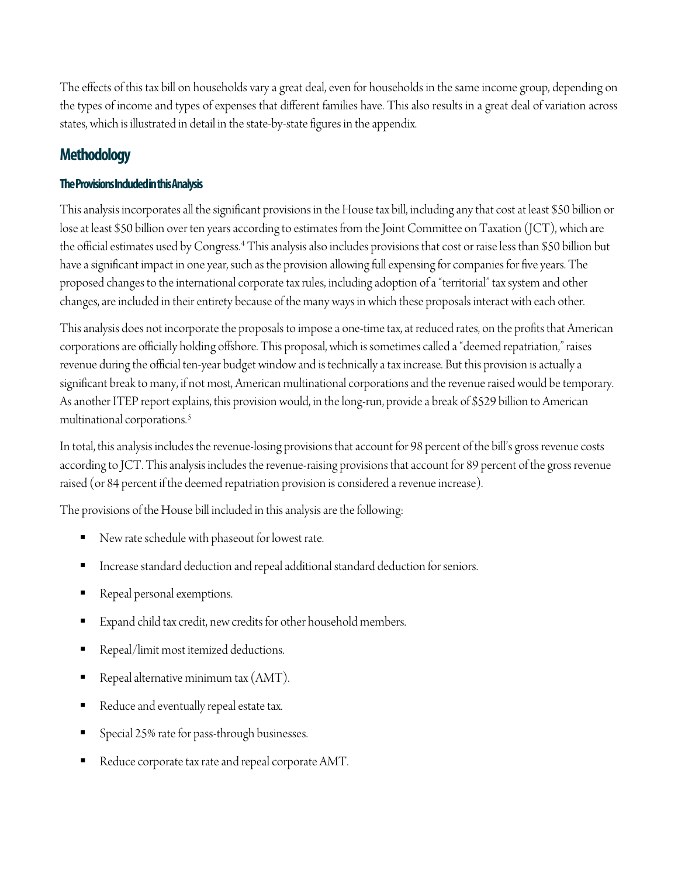The effects of this tax bill on households vary a great deal, even for households in the same income group, depending on the types of income and types of expenses that different families have. This also results in a great deal of variation across states, which is illustrated in detail in the state-by-state figures in the appendix.

# **Methodology**

# **The Provisions Included in this Analysis**

This analysis incorporates all the significant provisions in the House tax bill, including any that cost at least \$50 billion or lose at least \$50 billion over ten years according to estimates from the Joint Committee on Taxation (JCT), which are the official estimates used by Congress.[4](#page-11-3) This analysis also includes provisions that cost or raise less than \$50 billion but have a significant impact in one year, such as the provision allowing full expensing for companies for five years. The proposed changes to the international corporate tax rules, including adoption of a "territorial" tax system and other changes, are included in their entirety because of the many ways in which these proposals interact with each other.

This analysis does not incorporate the proposals to impose a one-time tax, at reduced rates, on the profits that American corporations are officially holding offshore. This proposal, which is sometimes called a "deemed repatriation," raises revenue during the official ten-year budget window and is technically a tax increase. But this provision is actually a significant break to many, if not most, American multinational corporations and the revenue raised would be temporary. As another ITEP report explains, this provision would, in the long-run, provide a break of \$529 billion to American multinational corporations.[5](#page-12-0)

In total, this analysis includes the revenue-losing provisions that account for 98 percent of the bill's gross revenue costs according to JCT. This analysis includes the revenue-raising provisions that account for 89 percent of the gross revenue raised (or 84 percent if the deemed repatriation provision is considered a revenue increase).

The provisions of the House bill included in this analysis are the following:

- New rate schedule with phaseout for lowest rate.
- Increase standard deduction and repeal additional standard deduction for seniors.
- Repeal personal exemptions.
- Expand child tax credit, new credits for other household members.
- Repeal/limit most itemized deductions.
- Repeal alternative minimum tax (AMT).
- Reduce and eventually repeal estate tax.
- Special 25% rate for pass-through businesses.
- Reduce corporate tax rate and repeal corporate AMT.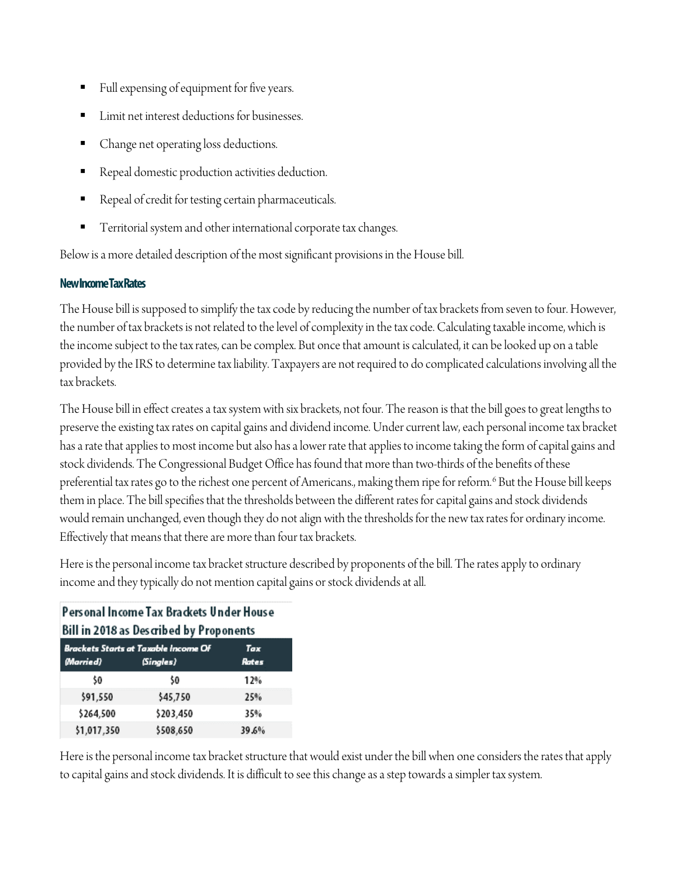- Full expensing of equipment for five years.
- Limit net interest deductions for businesses.
- Change net operating loss deductions.
- Repeal domestic production activities deduction.
- Repeal of credit for testing certain pharmaceuticals.
- Territorial system and other international corporate tax changes.

Below is a more detailed description of the most significant provisions in the House bill.

# **New Income Tax Rates**

The House bill is supposed to simplify the tax code by reducing the number of tax brackets from seven to four. However, the number of tax brackets is not related to the level of complexity in the tax code. Calculating taxable income, which is the income subject to the tax rates, can be complex. But once that amount is calculated, it can be looked up on a table provided by the IRS to determine tax liability. Taxpayers are not required to do complicated calculations involving all the tax brackets.

The House bill in effect creates a tax system with six brackets, not four. The reason is that the bill goes to great lengths to preserve the existing tax rates on capital gains and dividend income. Under current law, each personal income tax bracket has a rate that applies to most income but also has a lower rate that applies to income taking the form of capital gains and stock dividends. The Congressional Budget Office has found that more than two-thirds of the benefits of these preferential tax rates go to the richest one percent of Americans., making them ripe for reform.<sup>[6](#page-12-1)</sup> But the House bill keeps them in place. The bill specifies that the thresholds between the different rates for capital gains and stock dividends would remain unchanged, even though they do not align with the thresholds for the new tax rates for ordinary income. Effectively that means that there are more than four tax brackets.

Here is the personal income tax bracket structure described by proponents of the bill. The rates apply to ordinary income and they typically do not mention capital gains or stock dividends at all.

# Personal Income Tax Brackets Under House Bill in 2018 as Described by Proponents

| Brackets Starts at Taxable Income Of<br>Tax |           |       |  |  |  |  |  |  |  |  |  |
|---------------------------------------------|-----------|-------|--|--|--|--|--|--|--|--|--|
| (Married)                                   | (Singles) | Rates |  |  |  |  |  |  |  |  |  |
| \$0                                         | \$0       | 12%   |  |  |  |  |  |  |  |  |  |
| \$91,550                                    | \$45,750  | 25%   |  |  |  |  |  |  |  |  |  |
| \$264,500                                   | \$203,450 | 35%   |  |  |  |  |  |  |  |  |  |
| \$1,017,350                                 | \$508,650 | 39.6% |  |  |  |  |  |  |  |  |  |

Here is the personal income tax bracket structure that would exist under the bill when one considers the rates that apply to capital gains and stock dividends. It is difficult to see this change as a step towards a simpler tax system.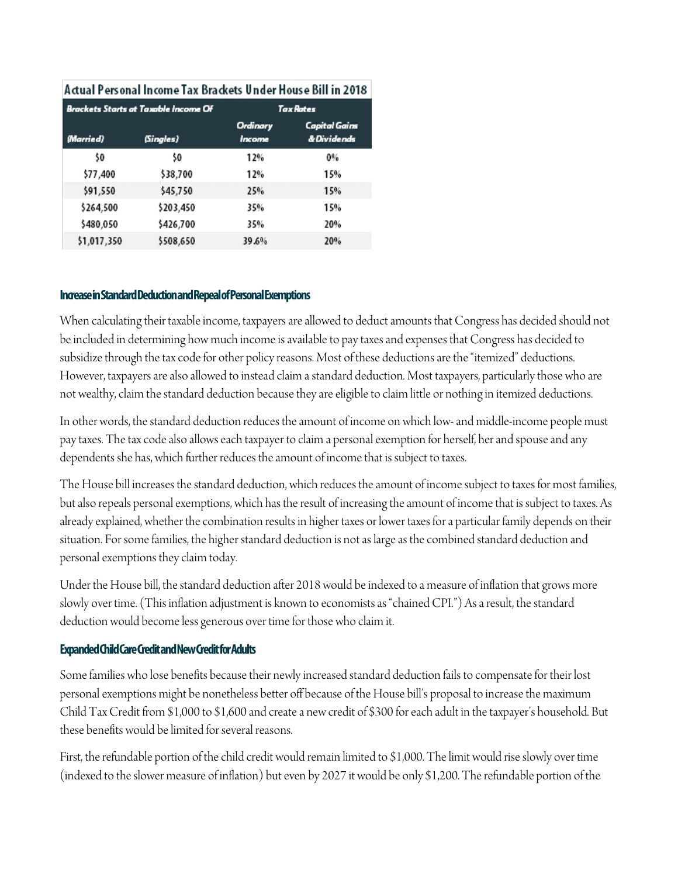| Actual Personal Income Tax Brackets Under House Bill in 2018 |                                      |                    |                                     |  |  |  |  |  |  |
|--------------------------------------------------------------|--------------------------------------|--------------------|-------------------------------------|--|--|--|--|--|--|
|                                                              | Brackets Starts at Taxable Income Of |                    | <b>Tax Rates</b>                    |  |  |  |  |  |  |
| (Married)                                                    | (Singles)                            | Ordinary<br>Income | <b>Capital Gains</b><br>& Dividends |  |  |  |  |  |  |
| \$0                                                          | \$0                                  | 12%                | 0%                                  |  |  |  |  |  |  |
| \$77,400                                                     | \$38,700                             | 12%                | 15%                                 |  |  |  |  |  |  |
| \$91,550                                                     | \$45,750                             | 25%                | 15%                                 |  |  |  |  |  |  |
| \$264,500                                                    | \$203,450                            | 35%                | 15%                                 |  |  |  |  |  |  |
| \$480,050                                                    | \$426,700                            | 35%                | 20%                                 |  |  |  |  |  |  |
| \$1,017,350                                                  | \$508,650                            | 39.6%              | 20%                                 |  |  |  |  |  |  |

### **Increase in Standard Deduction and Repeal of Personal Exemptions**

When calculating their taxable income, taxpayers are allowed to deduct amounts that Congress has decided should not be included in determining how much income is available to pay taxes and expenses that Congress has decided to subsidize through the tax code for other policy reasons. Most of these deductions are the "itemized" deductions. However, taxpayers are also allowed to instead claim a standard deduction. Most taxpayers, particularly those who are not wealthy, claim the standard deduction because they are eligible to claim little or nothing in itemized deductions.

In other words, the standard deduction reduces the amount of income on which low-and middle-income people must pay taxes. The tax code also allows each taxpayer to claim a personal exemption for herself, her and spouse and any dependents she has, which further reduces the amount of income that is subject to taxes.

The House bill increases the standard deduction, which reduces the amount of income subject to taxes for most families, but also repeals personal exemptions, which has the result of increasing the amount of income that is subject to taxes. As already explained, whether the combination results in higher taxes or lower taxes for a particular family depends on their situation. For some families, the higher standard deduction is not as large as the combined standard deduction and personal exemptions they claim today.

Under the House bill, the standard deduction after 2018 would be indexed to a measure of inflation that grows more slowly over time. (This inflation adjustment is known to economists as "chained CPI.") As a result, the standard deduction would become less generous over time for those who claim it.

## **Expanded Child Care Creditand New Credit for Adults**

Some families who lose benefits because their newly increased standard deduction fails to compensate for their lost personal exemptions might be nonetheless better off because of the House bill's proposal to increase the maximum Child Tax Credit from \$1,000 to \$1,600 and create a new credit of \$300 for each adult in the taxpayer's household. But these benefits would be limited for several reasons.

First, the refundable portion of the child credit would remain limited to \$1,000. The limit would rise slowly over time (indexed to the slower measure of inflation) but even by 2027 it would be only \$1,200. The refundable portion of the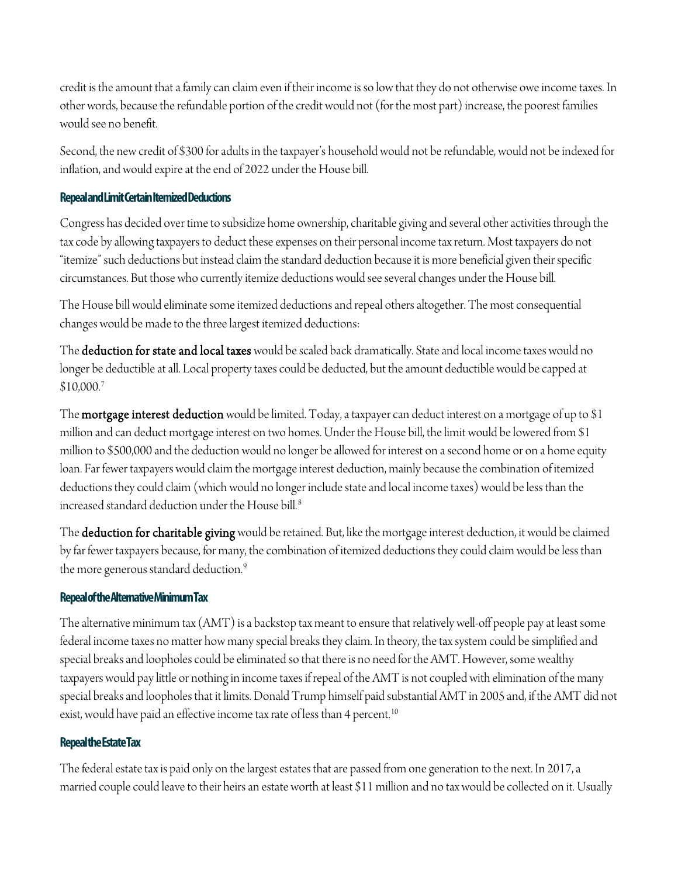credit is the amount that a family can claim even if their income is so low that they do not otherwise owe income taxes. In other words, because the refundable portion of the credit would not (for the most part) increase, the poorest families would see no benefit.

Second, the new credit of \$300 for adults in the taxpayer's household would not be refundable, would not be indexed for inflation, and would expire at the end of 2022 under the House bill.

# **Repeal and Limit Certain Itemized Deductions**

Congress has decided over time to subsidize home ownership, charitable giving and several other activities through the tax code by allowing taxpayers to deduct these expenses on their personal income tax return. Most taxpayers do not "itemize" such deductions but instead claim the standard deduction because it is more beneficial given their specific circumstances. But those who currently itemize deductions would see several changes under the House bill.

The House bill would eliminate some itemized deductions and repeal others altogether. The most consequential changes would be made to the three largest itemized deductions:

The **deduction for state and local taxes** would be scaled back dramatically. State and local income taxes would no longer be deductible at all. Local property taxes could be deducted, but the amount deductible would be capped at \$10,000.[7](#page-12-2)

The **mortgage interest deduction** would be limited. Today, a taxpayer can deduct interest on a mortgage of up to \$1 million and can deduct mortgage interest on two homes. Under the House bill, the limit would be lowered from \$1 million to \$500,000 and the deduction would no longer be allowed for interest on a second home or on a home equity loan. Far fewer taxpayers would claim the mortgage interest deduction, mainly because the combination of itemized deductions they could claim (which would no longer include state and local income taxes) would be less than the increased standard deduction under the House bill.<sup>[8](#page-12-3)</sup>

The deduction for charitable giving would be retained. But, like the mortgage interest deduction, it would be claimed by far fewer taxpayers because, for many, the combination of itemized deductions they could claim would be less than the more generous standard deduction.<sup>[9](#page-12-4)</sup>

# **Repeal of the Alternative Minimum Tax**

The alternative minimum tax (AMT) is a backstop tax meant to ensure that relatively well-off people payat least some federal income taxes no matter how many special breaks they claim. In theory, the tax system could be simplified and special breaks and loopholes could be eliminated so that there is no need for the AMT. However, some wealthy taxpayers would pay little or nothing in income taxes if repeal of the AMT is not coupled with elimination of the many special breaks and loopholes that it limits. Donald Trump himself paid substantial AMT in 2005 and, if the AMT did not exist, would have paid an effective income tax rate of less than 4 percent.<sup>[10](#page-12-5)</sup>

# **Repeal the Estate Tax**

The federal estate tax is paid only on the largest estates that are passed from one generation to the next. In 2017, a married couple could leave to their heirs an estate worth at least \$11 million and no tax would be collected on it. Usually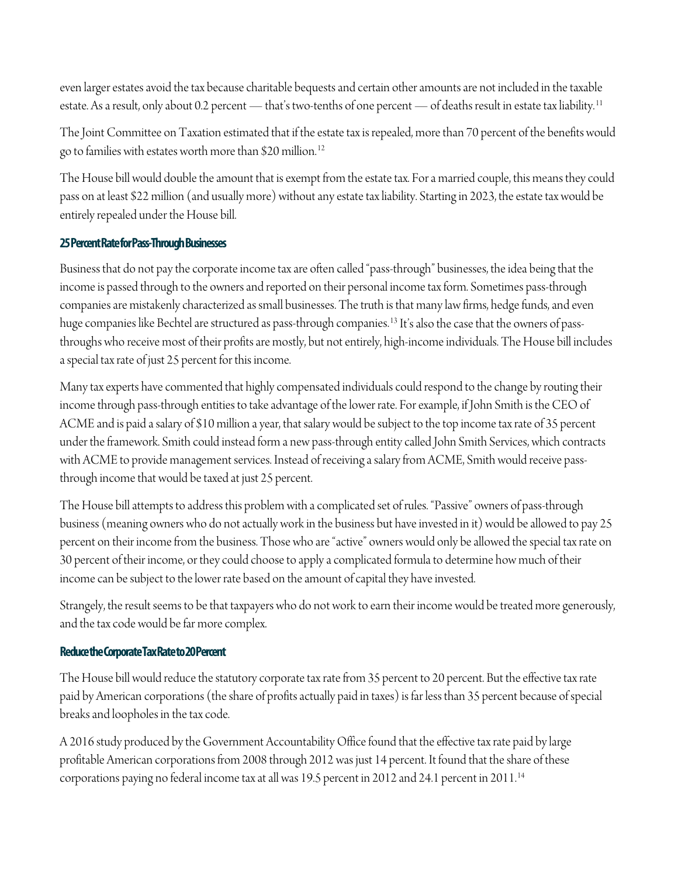even larger estates avoid the tax because charitable bequests and certain other amounts are not included in the taxable estate. As a result, only about 0.2 percent — that's two-tenths of one percent — of deaths result in estate tax liability.<sup>[11](#page-12-6)</sup>

The Joint Committee on Taxation estimated that if the estate tax is repealed, more than 70 percent of the benefits would go to families with estates worth more than \$20 million.[12](#page-12-7)

The House bill would double the amount that is exempt from the estate tax. For a married couple, this means they could pass on at least \$22 million (and usually more) without any estate tax liability. Starting in 2023, the estate tax would be entirely repealed under the House bill.

# **25 Percent Rate for Pass-Through Businesses**

Business that do not pay the corporate income tax are often called "pass-through" businesses, the idea being that the income is passed through to the owners and reported on their personal income tax form. Sometimes pass-through companies are mistakenly characterized as small businesses. The truth is that many law firms, hedge funds, and even huge companies like Bechtel are structured as pass-through companies.[13](#page-12-8) It's also the case that the owners of passthroughs who receive most of their profits are mostly, but not entirely, high-income individuals. The House bill includes a special tax rate of just 25 percent for this income.

Many tax experts have commented that highly compensated individuals could respond to the change by routing their income through pass-through entities to take advantage of the lower rate. For example, if John Smith is the CEO of ACME and is paid a salary of \$10 million a year, that salary would be subject to the top income tax rate of 35 percent under the framework. Smith could instead form a new pass-through entity called John Smith Services, which contracts with ACME to provide management services. Instead of receiving a salary from ACME, Smith would receive passthrough income that would be taxed at just 25 percent.

The House bill attempts to address this problem with a complicated set of rules. "Passive" owners of pass-through business (meaning owners who do not actually work in the business but have invested in it) would be allowed to pay 25 percent on their income from the business. Those who are "active" owners would only be allowed the special tax rate on 30 percent of their income, or they could choose to apply a complicated formula to determine how much of their income can be subject to the lower rate based on the amount of capital they have invested.

Strangely, the result seems to be that taxpayers who do not work to earn their income would be treated more generously, and the tax code would be far more complex.

# **Reduce the Corporate Tax Rate to 20 Percent**

The House bill would reduce the statutory corporate tax rate from 35 percent to 20 percent. But the effective tax rate paid by American corporations (the share of profits actually paid in taxes) is far less than 35 percent because of special breaks and loopholes in the tax code.

A 2016 study produced by the Government Accountability Office found that the effective tax rate paid by large profitable American corporations from 2008 through 2012 was just 14 percent. It found that the share of these corporations paying no federal income tax at all was 19.5 percent in 2012 and 24.1 percent in 2011.[14](#page-12-9)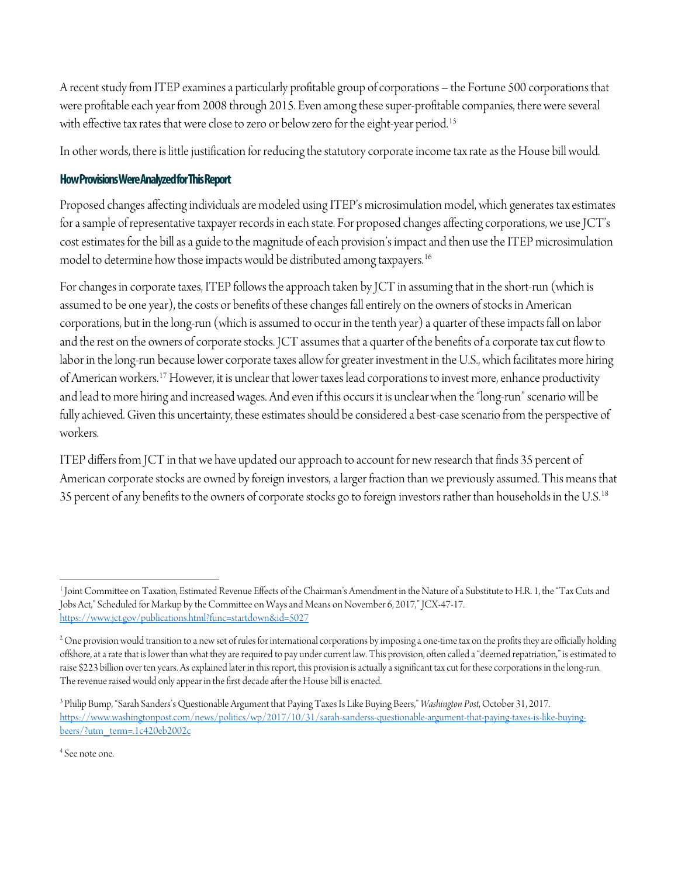A recent study from ITEP examines a particularly profitable group of corporations – the Fortune 500 corporations that were profitable each year from 2008 through 2015. Even among these super-profitable companies, there were several with effective tax rates that were close to zero or below zero for the eight-year period.<sup>[15](#page-12-10)</sup>

In other words, there is little justification for reducing the statutory corporate income tax rate as the House bill would.

# **How Provisions Were Analyzed for This Report**

Proposed changes affecting individuals are modeled using ITEP's microsimulation model, which generates tax estimates for a sample of representative taxpayer records in each state. For proposed changes affecting corporations, we use JCT's cost estimates for the bill as a guide to the magnitude of each provision's impact and then use the ITEP microsimulation model to determine how those impacts would be distributed among taxpayers.<sup>[16](#page-12-11)</sup>

For changes in corporate taxes, ITEP follows the approach taken by JCT in assuming that in the short-run (which is assumed to be one year), the costs or benefits of these changes fall entirely on the owners of stocks in American corporations, but in the long-run (which is assumed to occur in the tenth year) a quarter of these impacts fall on labor and the rest on the owners of corporate stocks. JCT assumes that a quarter of the benefits of a corporate tax cut flow to labor in the long-run because lower corporate taxes allow for greater investment in the U.S., which facilitates more hiring of American workers.[17](#page-12-12)However, it is unclear that lower taxes lead corporations to invest more, enhance productivity and lead to more hiring and increased wages. And even if this occurs it is unclear when the "long-run" scenario will be fully achieved. Given this uncertainty, these estimates should be considered a best-case scenario from the perspective of workers.

ITEP differs from JCT in that we have updated our approach to account for new research that finds 35 percent of American corporate stocks are owned by foreign investors, a larger fraction than we previously assumed. This means that 35 percent of any benefits to the owners of corporate stocks go to foreign investors rather than households in the U.S.<sup>[18](#page-12-13)</sup>

<span id="page-11-0"></span><sup>1</sup> Joint Committee on Taxation, Estimated Revenue Effects of the Chairman's Amendment in the Nature of a Substitute to H.R. 1, the "Tax Cuts and Jobs Act," Scheduled for Markup by the Committee on Ways and Means on November 6, 2017," JCX-47-17. <https://www.jct.gov/publications.html?func=startdown&id=5027>  $\overline{a}$ 

<span id="page-11-1"></span><sup>&</sup>lt;sup>2</sup> One provision would transition to a new set of rules for international corporations by imposing a one-time tax on the profits they are officially holding offshore, at a rate that is lower than what they are required to pay under current law. This provision, often called a "deemed repatriation," is estimated to raise \$223 billion over ten years. As explained later in this report, this provision is actually a significant tax cut for these corporations in the long-run. The revenue raised would only appear in the first decade after the House bill is enacted.

<span id="page-11-2"></span><sup>3</sup> Philip Bump, "Sarah Sanders's Questionable Argument that Paying Taxes Is Like Buying Beers," *Washington Post*, October 31, 2017. [https://www.washingtonpost.com/news/politics/wp/2017/10/31/sarah-sanderss-questionable-argument-that-paying-taxes-is-like-buying](https://www.washingtonpost.com/news/politics/wp/2017/10/31/sarah-sanderss-questionable-argument-that-paying-taxes-is-like-buying-beers/?utm_term=.1c420eb2002c)[beers/?utm\\_term=.1c420eb2002c](https://www.washingtonpost.com/news/politics/wp/2017/10/31/sarah-sanderss-questionable-argument-that-paying-taxes-is-like-buying-beers/?utm_term=.1c420eb2002c)

<span id="page-11-3"></span><sup>4</sup> See note one.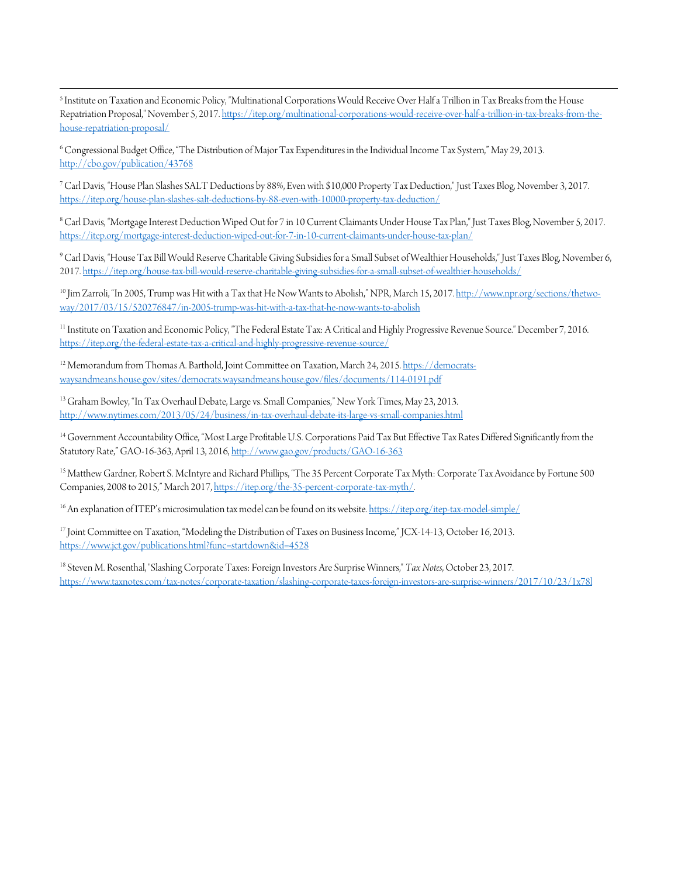<span id="page-12-0"></span> $\overline{\phantom{a}}$ <sup>5</sup> Institute on Taxation and Economic Policy, "Multinational Corporations Would Receive Over Half a Trillion in Tax Breaks from the House Repatriation Proposal," November 5, 2017[. https://itep.org/multinational-corporations-would-receive-over-half-a-trillion-in-tax-breaks-from-the](https://itep.org/multinational-corporations-would-receive-over-half-a-trillion-in-tax-breaks-from-the-house-repatriation-proposal/)[house-repatriation-proposal/](https://itep.org/multinational-corporations-would-receive-over-half-a-trillion-in-tax-breaks-from-the-house-repatriation-proposal/)

<span id="page-12-1"></span>6Congressional Budget Office, "The Distribution of Major Tax Expenditures in the Individual Income Tax System," May 29, 2013. <http://cbo.gov/publication/43768>

<span id="page-12-2"></span>7Carl Davis, "House Plan Slashes SALT Deductions by 88%, Even with \$10,000 Property Tax Deduction," Just Taxes Blog, November 3, 2017. <https://itep.org/house-plan-slashes-salt-deductions-by-88-even-with-10000-property-tax-deduction/>

<span id="page-12-3"></span>8Carl Davis, "Mortgage Interest Deduction Wiped Out for 7 in 10 Current Claimants Under House Tax Plan," Just Taxes Blog, November 5, 2017. <https://itep.org/mortgage-interest-deduction-wiped-out-for-7-in-10-current-claimants-under-house-tax-plan/>

<span id="page-12-4"></span>9Carl Davis, "House Tax Bill Would Reserve Charitable Giving Subsidies for a Small Subset of Wealthier Households," Just Taxes Blog, November 6, 2017[. https://itep.org/house-tax-bill-would-reserve-charitable-giving-subsidies-for-a-small-subset-of-wealthier-households/](https://itep.org/house-tax-bill-would-reserve-charitable-giving-subsidies-for-a-small-subset-of-wealthier-households/)

<span id="page-12-5"></span><sup>10</sup> Jim Zarroli, "In 2005, Trump was Hit with a Tax that He Now Wants to Abolish," NPR, March 15, 2017[. http://www.npr.org/sections/thetwo](http://www.npr.org/sections/thetwo-way/2017/03/15/520276847/in-2005-trump-was-hit-with-a-tax-that-he-now-wants-to-abolish)[way/2017/03/15/520276847/in-2005-trump-was-hit-with-a-tax-that-he-now-wants-to-abolish](http://www.npr.org/sections/thetwo-way/2017/03/15/520276847/in-2005-trump-was-hit-with-a-tax-that-he-now-wants-to-abolish)

<span id="page-12-6"></span><sup>11</sup> Institute on Taxation and Economic Policy, "The Federal Estate Tax: A Critical and Highly Progressive Revenue Source." December 7, 2016. <https://itep.org/the-federal-estate-tax-a-critical-and-highly-progressive-revenue-source/>

<span id="page-12-7"></span><sup>12</sup> Memorandum from Thomas A. Barthold, Joint Committee on Taxation, March 24, 2015[. https://democrats](https://democrats-waysandmeans.house.gov/sites/democrats.waysandmeans.house.gov/files/documents/114-0191.pdf)[waysandmeans.house.gov/sites/democrats.waysandmeans.house.gov/files/documents/114-0191.pdf](https://democrats-waysandmeans.house.gov/sites/democrats.waysandmeans.house.gov/files/documents/114-0191.pdf)

<span id="page-12-8"></span><sup>13</sup> Graham Bowley, "In Tax Overhaul Debate, Large vs. Small Companies," New York Times, May 23, 2013. <http://www.nytimes.com/2013/05/24/business/in-tax-overhaul-debate-its-large-vs-small-companies.html>

<span id="page-12-9"></span><sup>14</sup> Government Accountability Office, "Most Large Profitable U.S. Corporations Paid Tax But Effective Tax Rates Differed Significantly from the Statutory Rate," GAO-16-363, April 13, 2016[, http://www.gao.gov/products/GAO-16-363](http://www.gao.gov/products/GAO-16-363)

<span id="page-12-10"></span><sup>15</sup> Matthew Gardner, Robert S. McIntyre and Richard Phillips, "The 35 Percent Corporate Tax Myth: Corporate Tax Avoidance by Fortune 500 Companies, 2008 to 2015," March 2017[, https://itep.org/the-35-percent-corporate-tax-myth/.](https://itep.org/the-35-percent-corporate-tax-myth/) 

<span id="page-12-11"></span> $^{16}$  An explanation of ITEP's microsimulation tax model can be found on its website[. https://itep.org/itep-tax-model-simple/](https://itep.org/itep-tax-model-simple/)

<span id="page-12-12"></span><sup>17</sup> Joint Committee on Taxation, "Modeling the Distribution of Taxes on Business Income," JCX-14-13, October 16, 2013. <https://www.jct.gov/publications.html?func=startdown&id=4528>

<span id="page-12-13"></span><sup>18</sup> Steven M. Rosenthal, "Slashing Corporate Taxes: Foreign Investors Are Surprise Winners," *Tax Notes*, October 23, 2017. <https://www.taxnotes.com/tax-notes/corporate-taxation/slashing-corporate-taxes-foreign-investors-are-surprise-winners/2017/10/23/1x78l>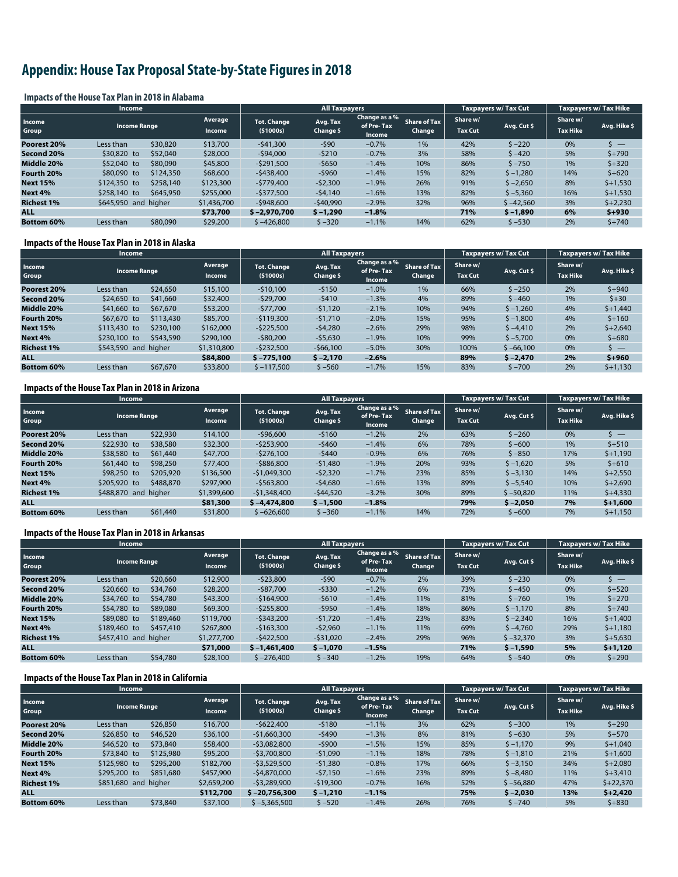# **Appendix: House Tax Proposal State-by-State Figures in 2018**

#### **Impacts of the House Tax Plan in 2018 in Alabama**

|                   | <b>Income</b>                                   |           |                                  |                       | <b>All Taxpayers</b>                  |                               |                            |             | <b>Taxpayers w/ Tax Cut</b> | Taxpayers w/ Tax Hike |                           |
|-------------------|-------------------------------------------------|-----------|----------------------------------|-----------------------|---------------------------------------|-------------------------------|----------------------------|-------------|-----------------------------|-----------------------|---------------------------|
| Income<br>Group   | Average<br><b>Income Range</b><br><b>Income</b> |           | <b>Tot. Change</b><br>( \$1000s) | Avg. Tax<br>Change \$ | Change as a %<br>of Pre-Tax<br>Income | <b>Share of Tax</b><br>Change | Share w/<br><b>Tax Cut</b> | Avg. Cut \$ | Share w/<br><b>Tax Hike</b> | Avg. Hike \$          |                           |
| Poorest 20%       | Less than                                       | \$30,820  | \$13,700                         | $-541,300$            | $-590$                                | $-0.7%$                       | 1%                         | 42%         | $5 - 220$                   | 0%                    | $\mathsf{S}$ $\mathsf{=}$ |
| Second 20%        | \$30,820 to                                     | \$52,040  | \$28,000                         | $-$ \$94,000          | $-5210$                               | $-0.7%$                       | 3%                         | 58%         | $5 - 420$                   | 5%                    | $$+790$                   |
| Middle 20%        | \$52,040 to                                     | \$80,090  | \$45,800                         | $-$ \$291,500         | $-5650$                               | $-1.4%$                       | 10%                        | 86%         | $5 - 750$                   | 1%                    | $$+320$                   |
| Fourth 20%        | \$80,090 to                                     | \$124,350 | \$68,600                         | $-5438,400$           | $-5960$                               | $-1.4%$                       | 15%                        | 82%         | $$ -1,280$                  | 14%                   | $$+620$                   |
| <b>Next 15%</b>   | \$124,350 to                                    | \$258,140 | \$123,300                        | $-5779.400$           | $-52,300$                             | $-1.9%$                       | 26%                        | 91%         | $$ -2,650$                  | 8%                    | $$+1,530$                 |
| Next 4%           | \$258,140 to                                    | \$645,950 | \$255,000                        | $-$ \$377,500         | $-54,140$                             | $-1.6%$                       | 13%                        | 82%         | $$ -5,360$                  | 16%                   | $$+1,530$                 |
| <b>Richest 1%</b> | higher<br>\$645,950 and                         |           | \$1,436,700                      | $-5948.600$           | $-540,990$                            | $-2.9%$                       | 32%                        | 96%         | $$ -42,560$                 | 3%                    | $$+2,230$                 |
| <b>ALL</b>        |                                                 |           | \$73,700                         | $$ -2.970.700$        | $$ -1,290$                            | $-1.8%$                       |                            | 71%         | $$ -1,890$                  | 6%                    | $$+930$                   |
| <b>Bottom 60%</b> | Less than                                       | \$80,090  | \$29,200                         | $$ -426,800$          | $5 - 320$                             | $-1.1%$                       | 14%                        | 62%         | $5 - 530$                   | 2%                    | $5 + 740$                 |

#### **Impacts of the House Tax Plan in 2018 in Alaska**

|                   | <b>Income</b>                                   |           |                                  |                       | All Taxpayers                         |                               |                            |             | <b>Taxpayers w/ Tax Cut</b> | <b>Taxpayers w/ Tax Hike</b> |           |
|-------------------|-------------------------------------------------|-----------|----------------------------------|-----------------------|---------------------------------------|-------------------------------|----------------------------|-------------|-----------------------------|------------------------------|-----------|
| Income<br>Group   | Average<br><b>Income Range</b><br><b>Income</b> |           | <b>Tot. Change</b><br>( \$1000s) | Avg. Tax<br>Change \$ | Change as a %<br>of Pre-Tax<br>Income | <b>Share of Tax</b><br>Change | Share w/<br><b>Tax Cut</b> | Avg. Cut \$ | Share w/<br><b>Tax Hike</b> | Avg. Hike \$                 |           |
| Poorest 20%       | Less than                                       | \$24,650  | \$15,100                         | $-510.100$            | $-5150$                               | $-1.0%$                       | $1\%$                      | 66%         | $$ -250$                    | 2%                           | $$+940$   |
| Second 20%        | $$24,650$ to                                    | \$41,660  | \$32,400                         | $-529,700$            | $-5410$                               | $-1.3%$                       | 4%                         | 89%         | $5 - 460$                   | 1%                           | $$+30$    |
| Middle 20%        | \$41,660 to                                     | \$67,670  | \$53,200                         | $-577.700$            | $-51,120$                             | $-2.1%$                       | 10%                        | 94%         | $$ -1,260$                  | 4%                           | $$+1,440$ |
| Fourth 20%        | \$67,670 to                                     | \$113,430 | \$85,700                         | $-$119,300$           | $-51,710$                             | $-2.0%$                       | 15%                        | 95%         | $$ -1,800$                  | 4%                           | $$+160$   |
| <b>Next 15%</b>   | \$113,430 to                                    | \$230,100 | \$162,000                        | $-$ \$225,500         | $-54,280$                             | $-2.6%$                       | 29%                        | 98%         | $$ -4,410$                  | 2%                           | $$+2,640$ |
| Next 4%           | \$230,100 to                                    | \$543,590 | \$290,100                        | $-$ \$80,200          | $-55,630$                             | $-1.9%$                       | 10%                        | 99%         | $$ -5,700$                  | 0%                           | $5 + 680$ |
| <b>Richest 1%</b> | \$543,590 and<br>higher<br>\$1,310,800          |           | $-5232,500$                      | $-566,100$            | $-5.0%$                               | 30%                           | 100%                       | $$ -66,100$ | 0%                          | s —                          |           |
| <b>ALL</b>        |                                                 |           | \$84,800                         | $$ -775.100$          | $$ -2,170$                            | $-2.6%$                       |                            | 89%         | $$ -2,470$                  | 2%                           | $$+960$   |
| <b>Bottom 60%</b> | Less than                                       | \$67,670  | \$33,800                         | $$ -117.500$          | $$ -560$                              | $-1.7%$                       | 15%                        | 83%         | $$ -700$                    | 2%                           | $$+1,130$ |

#### **Impacts of the House Tax Plan in 2018 in Arizona**

|                   | <b>Income</b>                            |           |                                |                       | <b>All Taxpayers</b>                  |                               |                            |             | <b>Taxpayers w/ Tax Cut</b> | Taxpayers w/Tax Hike |                          |
|-------------------|------------------------------------------|-----------|--------------------------------|-----------------------|---------------------------------------|-------------------------------|----------------------------|-------------|-----------------------------|----------------------|--------------------------|
| Income<br>Group   | Average<br><b>Income Range</b><br>Income |           | <b>Tot. Change</b><br>(51000s) | Avg. Tax<br>Change \$ | Change as a %<br>of Pre-Tax<br>Income | <b>Share of Tax</b><br>Change | Share w/<br><b>Tax Cut</b> | Avg. Cut \$ | Share w/<br><b>Tax Hike</b> | Avg. Hike \$         |                          |
| Poorest 20%       | Less than                                | \$22,930  | \$14,100                       | $-596,600$            | $-5160$                               | $-1.2%$                       | 2%                         | 63%         | $$ -260$                    | 0%                   | $\overline{\phantom{a}}$ |
| Second 20%        | \$22,930 to                              | \$38,580  | \$32,300                       | $-5253.900$           | $-5460$                               | $-1.4%$                       | 6%                         | 78%         | $$ -600$                    | 1%                   | $$+510$                  |
| Middle 20%        | \$38,580 to                              | \$61,440  | \$47,700                       | $-5276.100$           | $-5440$                               | $-0.9%$                       | 6%                         | 76%         | $$ -850$                    | 17%                  | $$+1.190$                |
| Fourth 20%        | \$61,440 to                              | \$98,250  | \$77,400                       | $-5886.800$           | $-51,480$                             | $-1.9%$                       | 20%                        | 93%         | $$ -1,620$                  | 5%                   | $$+610$                  |
| <b>Next 15%</b>   | \$98,250 to                              | \$205,920 | \$136,500                      | $-51.049.300$         | $-52,320$                             | $-1.7%$                       | 23%                        | 85%         | $$ -3,130$                  | 14%                  | $$+2,550$                |
| Next 4%           | \$205,920 to                             | \$488,870 | \$297,900                      | $-5563.800$           | $-54,680$                             | $-1.6%$                       | 13%                        | 89%         | $$ -5,540$                  | 10%                  | $$+2,690$                |
| <b>Richest 1%</b> | higher<br>\$488,870 and<br>\$1,399,600   |           |                                | $-51,348,400$         | $-544,520$                            | $-3.2%$                       | 30%                        | 89%         | $$ -50,820$                 | 11%                  | $$+4,330$                |
| <b>ALL</b>        | \$81,300                                 |           | $$ -4.474.800$                 | $$ -1,500$            | $-1.8%$                               |                               | 79%                        | $$ -2.050$  | 7%                          | $$+1,600$            |                          |
| <b>Bottom 60%</b> | Less than                                | \$61,440  | \$31,800                       | $$ -626,600$          | $$ -360$                              | $-1.1%$                       | 14%                        | 72%         | $$ -600$                    | 7%                   | $$+1,150$                |

#### **Impacts of the House Tax Plan in 2018 in Arkansas**

|                   | <b>Income</b>                                   |           |                                |                       | <b>All Taxpayers</b>                  |                               |                            |             | <b>Taxpavers w/ Tax Cut</b> | <b>Taxpayers w/ Tax Hike</b> |           |
|-------------------|-------------------------------------------------|-----------|--------------------------------|-----------------------|---------------------------------------|-------------------------------|----------------------------|-------------|-----------------------------|------------------------------|-----------|
| Income<br>Group   | Average<br><b>Income Range</b><br><b>Income</b> |           | <b>Tot. Change</b><br>(51000s) | Avg. Tax<br>Change \$ | Change as a %<br>of Pre-Tax<br>Income | <b>Share of Tax</b><br>Change | Share w/<br><b>Tax Cut</b> | Avg. Cut \$ | Share w/<br><b>Tax Hike</b> | Avg. Hike \$                 |           |
| Poorest 20%       | Less than                                       | \$20,660  | \$12,900                       | $-523,800$            | $-590$                                | $-0.7%$                       | 2%                         | 39%         | $$ -230$                    | 0%                           |           |
| Second 20%        | \$20,660 to                                     | \$34,760  | \$28,200                       | $-587,700$            | $-5330$                               | $-1.2%$                       | 6%                         | 73%         | $$ -450$                    | 0%                           | $5 + 520$ |
| Middle 20%        | \$34,760 to                                     | \$54,780  | \$43,300                       | $-5164.900$           | $-5610$                               | $-1.4%$                       | 11%                        | 81%         | $$ -760$                    | 1%                           | $5 + 270$ |
| Fourth 20%        | \$54,780 to                                     | \$89,080  | \$69,300                       | $-$ \$255,800         | $-5950$                               | $-1.4%$                       | 18%                        | 86%         | $$ -1,170$                  | 8%                           | $5 + 740$ |
| <b>Next 15%</b>   | \$89,080 to                                     | \$189,460 | \$119,700                      | $-5343.200$           | $-51,720$                             | $-1.4%$                       | 23%                        | 83%         | $$ -2,340$                  | 16%                          | $$+1,400$ |
| Next 4%           | \$189,460 to                                    | \$457,410 | \$267,800                      | $-5163.300$           | $-52.960$                             | $-1.1%$                       | 11%                        | 69%         | $$ -4.760$                  | 29%                          | $$+1.180$ |
| <b>Richest 1%</b> | \$457,410 and higher<br>\$1,277,700             |           | $-5422.500$                    | $-531,020$            | $-2.4%$                               | 29%                           | 96%                        | $$ -32.370$ | 3%                          | $$+5,630$                    |           |
| <b>ALL</b>        | \$71,000                                        |           | $$ -1,461,400$                 | $$ -1,070$            | $-1.5%$                               |                               | 71%                        | $$ -1,590$  | 5%                          | $$+1,120$                    |           |
| <b>Bottom 60%</b> | Less than                                       | \$54,780  | \$28,100                       | $$ -276,400$          | $$ -340$                              | $-1.2%$                       | 19%                        | 64%         | $$ -540$                    | 0%                           | $$+290$   |

#### **Impacts of the House Tax Plan in 2018 in California**

|                   | <b>Income</b>                            |           |             |                                  | <b>All Taxpayers</b>  |                                       |                               |                            | <b>Taxpayers w/ Tax Cut</b> | <b>Taxpayers w/ Tax Hike</b> |              |
|-------------------|------------------------------------------|-----------|-------------|----------------------------------|-----------------------|---------------------------------------|-------------------------------|----------------------------|-----------------------------|------------------------------|--------------|
| Income<br>Group   | Average<br><b>Income Range</b><br>Income |           |             | <b>Tot. Change</b><br>( \$1000s) | Avg. Tax<br>Change \$ | Change as a %<br>of Pre-Tax<br>Income | <b>Share of Tax</b><br>Change | Share w/<br><b>Tax Cut</b> | Avg. Cut \$                 | Share w/<br><b>Tax Hike</b>  | Avg. Hike \$ |
| Poorest 20%       | Less than                                | \$26,850  | \$16,700    | $-5622.400$                      | $-5180$               | $-1.1%$                               | 3%                            | 62%                        | $$ -300$                    | 1%                           | $$+290$      |
| Second 20%        | \$26,850 to                              | \$46,520  | \$36,100    | $-$1,660,300$                    | $-5490$               | $-1.3%$                               | 8%                            | 81%                        | $5 - 630$                   | 5%                           | $$+570$      |
| Middle 20%        | \$46,520 to                              | \$73,840  | \$58,400    | $-53,082,800$                    | $-5900$               | $-1.5%$                               | 15%                           | 85%                        | $$ -1,170$                  | 9%                           | $5 + 1.040$  |
| Fourth 20%        | \$73,840 to                              | \$125,980 | \$95,200    | $-53,700,800$                    | $-51,090$             | $-1.1%$                               | 18%                           | 78%                        | $$ -1,810$                  | 21%                          | $$+1,600$    |
| <b>Next 15%</b>   | \$125,980 to                             | \$295,200 | \$182,700   | $-53,529,500$                    | $-51,380$             | $-0.8%$                               | 17%                           | 66%                        | $$ -3,150$                  | 34%                          | $$+2,080$    |
| Next 4%           | \$295,200 to                             | \$851,680 | \$457,900   | $-54,870,000$                    | $-57,150$             | $-1.6%$                               | 23%                           | 89%                        | $$ -8,480$                  | 11%                          | $$+3,410$    |
| <b>Richest 1%</b> | \$851,680 and higher                     |           | \$2,659,200 | $-53,289,900$                    | $-519,300$            | $-0.7%$                               | 16%                           | 52%                        | $$ -56,880$                 | 47%                          | $$+22,370$   |
| <b>ALL</b>        |                                          |           | \$112,700   | $$ -20.756.300$                  | $$ -1,210$            | $-1.1%$                               |                               | 75%                        | $$ -2.030$                  | 13%                          | $$+2,420$    |
| <b>Bottom 60%</b> | Less than                                | \$73,840  | \$37,100    | $$ -5,365,500$                   | $$ -520$              | $-1.4%$                               | 26%                           | 76%                        | \$ –740                     | 5%                           | $$+830$      |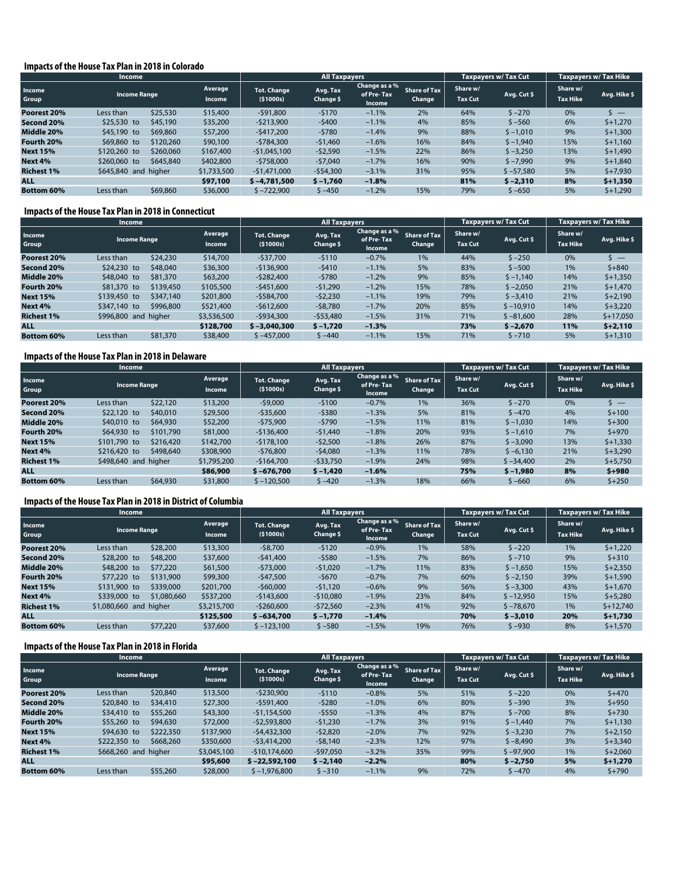#### **Impacts of the House Tax Plan in 2018 in Colorado**

|                   | <b>Income</b>                            |           |                                |                       | <b>All Taxpayers</b>                  |                               |                            |             | <b>Taxpayers w/ Tax Cut</b> | <b>Taxpayers w/ Tax Hike</b> |             |
|-------------------|------------------------------------------|-----------|--------------------------------|-----------------------|---------------------------------------|-------------------------------|----------------------------|-------------|-----------------------------|------------------------------|-------------|
| Income<br>Group   | Average<br><b>Income Range</b><br>Income |           | <b>Tot. Change</b><br>(51000s) | Avg. Tax<br>Change \$ | Change as a %<br>of Pre-Tax<br>Income | <b>Share of Tax</b><br>Change | Share w/<br><b>Tax Cut</b> | Avg. Cut \$ | Share w/<br><b>Tax Hike</b> | Avg. Hike \$                 |             |
| Poorest 20%       | Less than                                | \$25,530  | \$15,400                       | $-591,800$            | $-5170$                               | $-1.1%$                       | 2%                         | 64%         | $5 - 270$                   | 0%                           | $\cdot$ $-$ |
| Second 20%        | $$25,530$ to                             | \$45,190  | \$35,200                       | $-5213,900$           | $-5400$                               | $-1.1%$                       | 4%                         | 85%         | $$ -560$                    | 6%                           | $$+1,270$   |
| Middle 20%        | \$45,190 to                              | \$69,860  | \$57,200                       | $-5417.200$           | $-5780$                               | $-1.4%$                       | 9%                         | 88%         | $$ -1,010$                  | 9%                           | $$+1,300$   |
| Fourth 20%        | \$69,860 to                              | \$120,260 | \$90,100                       | $-5784.300$           | $-51,460$                             | $-1.6%$                       | 16%                        | 84%         | $$ -1,940$                  | 15%                          | $$+1,160$   |
| <b>Next 15%</b>   | \$120,260 to                             | \$260,060 | \$167,400                      | $-$1,045,100$         | $-52,590$                             | $-1.5%$                       | 22%                        | 86%         | $$ -3,250$                  | 13%                          | $$+1,490$   |
| Next 4%           | \$260,060 to                             | \$645,840 | \$402,800                      | $-5758.000$           | $-57,040$                             | $-1.7%$                       | 16%                        | 90%         | $$ -7,990$                  | 9%                           | $$+1,840$   |
| <b>Richest 1%</b> | \$645,840 and higher                     |           | \$1,733,500                    | -\$1,471,000          | $-554,300$                            | $-3.1%$                       | 31%                        | 95%         | $$ -57,580$                 | 5%                           | $$+7,930$   |
| <b>ALL</b>        |                                          |           | \$97,100                       | $$ -4,781,500$        | $$ -1,760$                            | $-1.8%$                       |                            | 81%         | $$ -2,310$                  | 8%                           | $$+1,350$   |
| <b>Bottom 60%</b> | Less than                                | \$69,860  | \$36,000                       | $$ -722,900$          | $$ -450$                              | $-1.2%$                       | 15%                        | 79%         | \$ –650                     | 5%                           | $$+1,290$   |

#### **Impacts of the House Tax Plan in 2018 in Connecticut**

|                   | Income                                          |           |                                  |                       | <b>All Taxpayers</b>                  |                               |                            |             | <b>Taxpavers w/ Tax Cut</b> | <b>Taxpayers w/ Tax Hike</b> |                          |
|-------------------|-------------------------------------------------|-----------|----------------------------------|-----------------------|---------------------------------------|-------------------------------|----------------------------|-------------|-----------------------------|------------------------------|--------------------------|
| Income<br>Group   | Average<br><b>Income Range</b><br><b>Income</b> |           | <b>Tot. Change</b><br>( \$1000s) | Avg. Tax<br>Change \$ | Change as a %<br>of Pre-Tax<br>Income | <b>Share of Tax</b><br>Change | Share w/<br><b>Tax Cut</b> | Avg. Cut \$ | Share w/<br><b>Tax Hike</b> | Avg. Hike \$                 |                          |
| Poorest 20%       | Less than                                       | \$24,230  | \$14,700                         | $-537.700$            | $-5110$                               | $-0.7%$                       | 1%                         | 44%         | $$ -250$                    | 0%                           | $\overline{\phantom{a}}$ |
| Second 20%        | \$24,230 to                                     | \$48,040  | \$36,300                         | $-5136.900$           | $-5410$                               | $-1.1%$                       | 5%                         | 83%         | $$ -500$                    | 1%                           | $5 + 840$                |
| Middle 20%        | \$48,040 to                                     | \$81,370  | \$63,200                         | $-5282.400$           | $-5780$                               | $-1.2%$                       | 9%                         | 85%         | $$ -1,140$                  | 14%                          | $$+1.350$                |
| Fourth 20%        | \$81,370 to                                     | \$139,450 | \$105,500                        | $-$451,600$           | $-51,290$                             | $-1.2%$                       | 15%                        | 78%         | $$ -2,050$                  | 21%                          | $$+1,470$                |
| <b>Next 15%</b>   | \$139,450 to                                    | \$347,140 | \$201,800                        | $-$584,700$           | $-52,230$                             | $-1.1%$                       | 19%                        | 79%         | $$ -3,410$                  | 21%                          | $$+2,190$                |
| Next 4%           | \$347,140 to                                    | \$996,800 | \$521,400                        | $-5612.600$           | $-58.780$                             | $-1.7%$                       | 20%                        | 85%         | $$ -10.910$                 | 14%                          | $$+3,220$                |
| <b>Richest 1%</b> | \$996,800 and higher                            |           | \$3,536,500                      | $-5934.300$           | $-$53,480$                            | $-1.5%$                       | 31%                        | 71%         | $$ -81,600$                 | 28%                          | $$+17.050$               |
| <b>ALL</b>        |                                                 |           | \$128,700                        | $$ -3.040.300$        | $$ -1,720$                            | $-1.3%$                       |                            | 73%         | $$ -2.670$                  | 11%                          | $$+2,110$                |
| <b>Bottom 60%</b> | Less than                                       | \$81,370  | \$38,400                         | $$ -457.000$          | $$ -440$                              | $-1.1%$                       | 15%                        | 71%         | $5 - 710$                   | 5%                           | $$+1,310$                |

# **Impacts of the House Tax Plan in 2018 in Delaware**

|                   | <b>Income</b>                            |           |                                |                       | <b>All Taxpayers</b>                  |                               |                            |             | <b>Taxpayers w/ Tax Cut</b> | Taxpayers w/Tax Hike |                          |
|-------------------|------------------------------------------|-----------|--------------------------------|-----------------------|---------------------------------------|-------------------------------|----------------------------|-------------|-----------------------------|----------------------|--------------------------|
| Income<br>Group   | Average<br><b>Income Range</b><br>Income |           | <b>Tot. Change</b><br>(51000s) | Avg. Tax<br>Change \$ | Change as a %<br>of Pre-Tax<br>Income | <b>Share of Tax</b><br>Change | Share w/<br><b>Tax Cut</b> | Avg. Cut \$ | Share w/<br><b>Tax Hike</b> | Avg. Hike \$         |                          |
| Poorest 20%       | Less than                                | \$22,120  | \$13,200                       | $-59,000$             | $-5100$                               | $-0.7%$                       | 1%                         | 36%         | $5 - 270$                   | 0%                   | $\overline{\phantom{a}}$ |
| Second 20%        | \$22,120 to                              | \$40,010  | \$29,500                       | $-535,600$            | $-5380$                               | $-1.3%$                       | 5%                         | 81%         | $5 - 470$                   | 4%                   | $5 + 100$                |
| Middle 20%        | \$40,010 to                              | \$64,930  | \$52,200                       | $-575.900$            | $-5790$                               | $-1.5%$                       | 11%                        | 81%         | $$ -1,030$                  | 14%                  | $5 + 300$                |
| Fourth 20%        | \$64,930 to                              | \$101,790 | \$81,000                       | $-5136.400$           | $-51,440$                             | $-1.8%$                       | 20%                        | 93%         | $$ -1,610$                  | 7%                   | $$+970$                  |
| <b>Next 15%</b>   | \$101,790 to                             | \$216,420 | \$142,700                      | $-5178.100$           | $-52,500$                             | $-1.8%$                       | 26%                        | 87%         | $$ -3,090$                  | 13%                  | $$+1,330$                |
| Next 4%           | \$216,420 to                             | \$498,640 | \$308,900                      | $-576.800$            | $-54,080$                             | $-1.3%$                       | 11%                        | 78%         | $$ -6,130$                  | 21%                  | $$+3,290$                |
| <b>Richest 1%</b> | \$498,640 and higher<br>\$1,795,200      |           | $-5164.700$                    | $-533,750$            | $-1.9%$                               | 24%                           | 98%                        | $$ -34,400$ | 2%                          | $$+5,750$            |                          |
| <b>ALL</b>        |                                          |           | \$86,900                       | $$ -676.700$          | $$ -1,420$                            | $-1.6%$                       |                            | 75%         | $$ -1.980$                  | 8%                   | $5 + 980$                |
| <b>Bottom 60%</b> | Less than                                | \$64,930  | \$31,800                       | $$ -120,500$          | $$ -420$                              | $-1.3%$                       | 18%                        | 66%         | $$ -660$                    | 6%                   | $$+250$                  |

#### **Impacts of the House Tax Plan in 2018 in District of Columbia**

|                   | <b>Income</b>       |             |                          | <b>All Taxpayers</b>             |                       |                                       |                               |                            | <b>Taxpavers w/ Tax Cut</b> | <b>Taxpayers w/ Tax Hike</b> |              |
|-------------------|---------------------|-------------|--------------------------|----------------------------------|-----------------------|---------------------------------------|-------------------------------|----------------------------|-----------------------------|------------------------------|--------------|
| Income<br>Group   | <b>Income Range</b> |             | Average<br><b>Income</b> | <b>Tot. Change</b><br>( \$1000s) | Avg. Tax<br>Change \$ | Change as a %<br>of Pre-Tax<br>Income | <b>Share of Tax</b><br>Change | Share w/<br><b>Tax Cut</b> | Avg. Cut \$                 | Share w/<br><b>Tax Hike</b>  | Avg. Hike \$ |
| Poorest 20%       | Less than           | \$28,200    | \$13,300                 | $-58.700$                        | $-5120$               | $-0.9%$                               | 1%                            | 58%                        | $$ -220$                    | 1%                           | $5 + 1.220$  |
| Second 20%        | \$28,200 to         | \$48,200    | \$37,600                 | $-541,400$                       | $-5580$               | $-1.5%$                               | 7%                            | 86%                        | $5 - 710$                   | 9%                           | $5 + 310$    |
| Middle 20%        | \$48,200 to         | \$77,220    | \$61,500                 | $-573.000$                       | $-51.020$             | $-1.7%$                               | 11%                           | 83%                        | $$ -1,650$                  | 15%                          | $$+2,350$    |
| Fourth 20%        | \$77,220 to         | \$131,900   | \$99,300                 | $-547,500$                       | $-5670$               | $-0.7%$                               | 7%                            | 60%                        | $$ -2,150$                  | 39%                          | $$+1,590$    |
| <b>Next 15%</b>   | \$131,900 to        | \$339,000   | \$201,700                | $-$60,000$                       | $-51,120$             | $-0.6%$                               | 9%                            | 56%                        | $$ -3,300$                  | 43%                          | $$+1,670$    |
| Next 4%           | \$339,000 to        | \$1,080,660 | \$537,200                | $-5143,600$                      | $-510,080$            | $-1.9%$                               | 23%                           | 84%                        | $$ -12,950$                 | 15%                          | $$+5,280$    |
| <b>Richest 1%</b> | \$1,080,660 and     | higher      | \$3,215,700              | $-5260.600$                      | $-572,560$            | $-2.3%$                               | 41%                           | 92%                        | $$ -78.670$                 | 1%                           | $$+12.740$   |
| <b>ALL</b>        |                     |             | \$125,500                | $$ -634.700$                     | $$ -1,770$            | $-1.4%$                               |                               | 70%                        | $$ -3,010$                  | 20%                          | $$+1,730$    |
| <b>Bottom 60%</b> | Less than           | \$77,220    | \$37,600                 | $$ -123,100$                     | $$ -580$              | $-1.5%$                               | 19%                           | 76%                        | \$ -930                     | 8%                           | $$+1,570$    |

#### **Impacts of the House Tax Plan in 2018 in Florida**

|                   | <b>Income</b>        |                          |                                  | <b>All Taxpayers</b>  |                                        |                               |                            | <b>Taxpayers w/ Tax Cut</b> | <b>Taxpayers w/ Tax Hike</b> |              |
|-------------------|----------------------|--------------------------|----------------------------------|-----------------------|----------------------------------------|-------------------------------|----------------------------|-----------------------------|------------------------------|--------------|
| Income<br>Group   | <b>Income Range</b>  | Average<br><b>Income</b> | <b>Tot. Change</b><br>( \$1000s) | Avg. Tax<br>Change \$ | Change as a %<br>of Pre- Tax<br>Income | <b>Share of Tax</b><br>Change | Share w/<br><b>Tax Cut</b> | Avg. Cut \$                 | Share w/<br><b>Tax Hike</b>  | Avg. Hike \$ |
| Poorest 20%       | Less than            | \$20,840<br>\$13,500     | $-5230.900$                      | $-5110$               | $-0.8%$                                | 5%                            | 51%                        | $5 - 220$                   | 0%                           | $$+470$      |
| Second 20%        | \$20,840 to          | \$34,410<br>\$27,300     | $-5591.400$                      | $-5280$               | $-1.0%$                                | 6%                            | 80%                        | $5 - 390$                   | 3%                           | $$+950$      |
| Middle 20%        | \$34,410 to          | \$55,260<br>\$43,300     | $-$1,154,500$                    | $-5550$               | $-1.3%$                                | 4%                            | 87%                        | $5 - 700$                   | 8%                           | $$+730$      |
| Fourth 20%        | \$55,260 to          | \$94,630<br>\$72,000     | $-52,593,800$                    | $-51,230$             | $-1.7%$                                | 3%                            | 91%                        | $$ -1,440$                  | 7%                           | $$+1,130$    |
| <b>Next 15%</b>   | \$94,630 to          | \$222,350<br>\$137,900   | $-54.432.300$                    | $-52.820$             | $-2.0%$                                | 7%                            | 92%                        | $$ -3,230$                  | 7%                           | $$+2.150$    |
| Next 4%           | \$222,350 to         | \$668,260<br>\$350,600   | $-53,414,200$                    | $-58.140$             | $-2.3%$                                | 12%                           | 97%                        | $$ -8,490$                  | 3%                           | $$+3,340$    |
| <b>Richest 1%</b> | \$668,260 and higher | \$3,045,100              | $-510.174.600$                   | $-$97,050$            | $-3.2%$                                | 35%                           | 99%                        | $$ -97.900$                 | 1%                           | $$+2,060$    |
| <b>ALL</b>        |                      | \$95,600                 | $$ -22.592.100$                  | $$ -2.140$            | $-2.2%$                                |                               | 80%                        | $$ -2.750$                  | 5%                           | $$+1,270$    |
| <b>Bottom 60%</b> | Less than            | \$55,260<br>\$28,000     | $$ -1,976,800$                   | $5 - 310$             | $-1.1%$                                | 9%                            | 72%                        | \$ -470                     | 4%                           | $$+790$      |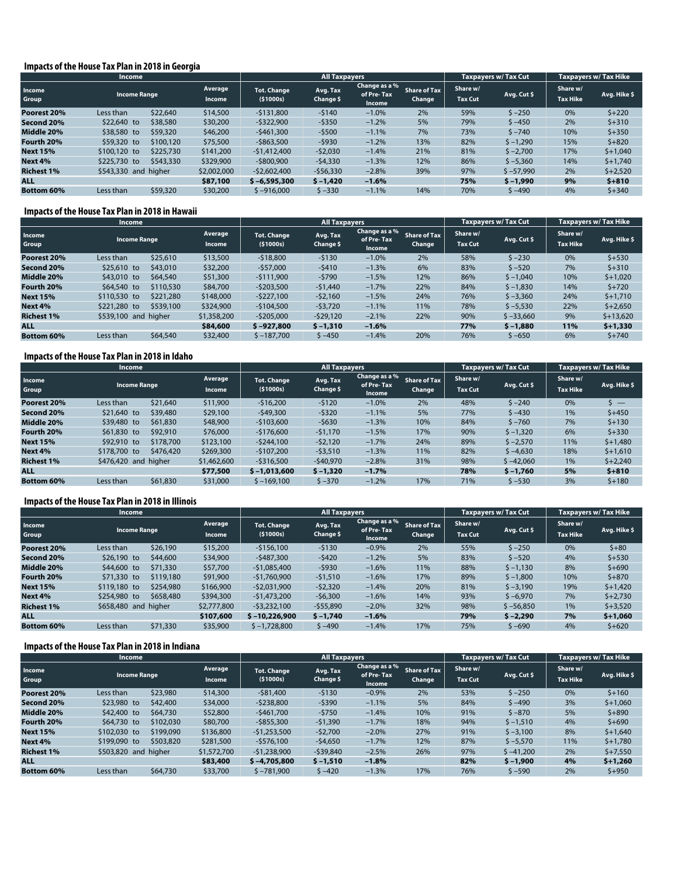#### **Impacts of the House Tax Plan in 2018 in Georgia**

|                   | <b>Income</b>        |           |                   | <b>All Taxpayers</b>             |                       |                                       |                               |                            | <b>Taxpayers w/ Tax Cut</b> | Taxpayers w/ Tax Hike       |              |
|-------------------|----------------------|-----------|-------------------|----------------------------------|-----------------------|---------------------------------------|-------------------------------|----------------------------|-----------------------------|-----------------------------|--------------|
| Income<br>Group   | <b>Income Range</b>  |           | Average<br>Income | <b>Tot. Change</b><br>( \$1000s) | Avg. Tax<br>Change \$ | Change as a %<br>of Pre-Tax<br>Income | <b>Share of Tax</b><br>Change | Share w/<br><b>Tax Cut</b> | Avg. Cut \$                 | Share w/<br><b>Tax Hike</b> | Avg. Hike \$ |
| Poorest 20%       | Less than            | \$22,640  | \$14,500          | $-5131.800$                      | $-5140$               | $-1.0%$                               | 2%                            | 59%                        | $$ -250$                    | 0%                          | $5 + 220$    |
| Second 20%        | \$22,640 to          | \$38,580  | \$30,200          | $-5322.900$                      | $-5350$               | $-1.2%$                               | 5%                            | 79%                        | $$ -450$                    | 2%                          | $5 + 310$    |
| Middle 20%        | \$38,580 to          | \$59,320  | \$46,200          | $-$ \$461,300                    | $-5500$               | $-1.1%$                               | 7%                            | 73%                        | $5 - 740$                   | 10%                         | $$+350$      |
| Fourth 20%        | \$59,320 to          | \$100,120 | \$75,500          | $-$ \$863,500                    | $-5930$               | $-1.2%$                               | 13%                           | 82%                        | $$ -1,290$                  | 15%                         | $5 + 820$    |
| <b>Next 15%</b>   | \$100,120 to         | \$225,730 | \$141,200         | $-51,412,400$                    | $-52,030$             | $-1.4%$                               | 21%                           | 81%                        | $5 - 2.700$                 | 17%                         | $$+1.040$    |
| Next 4%           | \$225,730 to         | \$543,330 | \$329,900         | $-5800.900$                      | $-54,330$             | $-1.3%$                               | 12%                           | 86%                        | $$ -5,360$                  | 14%                         | $$+1,740$    |
| <b>Richest 1%</b> | \$543,330 and higher |           | \$2,002,000       | $-52.602.400$                    | $-$56,330$            | $-2.8%$                               | 39%                           | 97%                        | $$ -57,990$                 | 2%                          | $$+2,520$    |
| <b>ALL</b>        |                      |           | \$87,100          | $$ -6.595.300$                   | $$ -1,420$            | $-1.6%$                               |                               | 75%                        | $$ -1,990$                  | 9%                          | $5 + 810$    |
| <b>Bottom 60%</b> | Less than            | \$59,320  | \$30,200          | $$ -916,000$                     | $5 - 330$             | $-1.1%$                               | 14%                           | 70%                        | $$ -490$                    | 4%                          | $5 + 340$    |

#### **Impacts of the House Tax Plan in 2018 in Hawaii**

|                   | <b>Income</b>             |                   |                                  | <b>All Taxpayers</b>  |                                       |                               |                            | <b>Taxpayers w/ Tax Cut</b> | <b>Taxpayers w/ Tax Hike</b> |              |
|-------------------|---------------------------|-------------------|----------------------------------|-----------------------|---------------------------------------|-------------------------------|----------------------------|-----------------------------|------------------------------|--------------|
| Income<br>Group   | <b>Income Range</b>       | Average<br>Income | <b>Tot. Change</b><br>( \$1000s) | Avg. Tax<br>Change \$ | Change as a %<br>of Pre-Tax<br>Income | <b>Share of Tax</b><br>Change | Share w/<br><b>Tax Cut</b> | Avg. Cut \$                 | Share w/<br><b>Tax Hike</b>  | Avg. Hike \$ |
| Poorest 20%       | \$25,610<br>Less than     | \$13,500          | $-518,800$                       | $-5130$               | $-1.0%$                               | 2%                            | 58%                        | $$ -230$                    | 0%                           | $$+530$      |
| Second 20%        | \$25,610 to<br>\$43,010   | \$32,200          | $-$ \$57,000                     | $-5410$               | $-1.3%$                               | 6%                            | 83%                        | $$ -520$                    | 7%                           | $5 + 310$    |
| Middle 20%        | \$43,010 to<br>\$64,540   | \$51,300          | $-5111.900$                      | $-5790$               | $-1.5%$                               | 12%                           | 86%                        | $$ -1,040$                  | 10%                          | $$+1.020$    |
| Fourth 20%        | \$110,530<br>$$64,540$ to | \$84,700          | $-$ \$203,500                    | $-51,440$             | $-1.7%$                               | 22%                           | 84%                        | $$ -1,830$                  | 14%                          | $5 + 720$    |
| <b>Next 15%</b>   | \$221,280<br>\$110,530 to | \$148,000         | $-5227,100$                      | $-52,160$             | $-1.5%$                               | 24%                           | 76%                        | $$ -3,360$                  | 24%                          | $$+1,710$    |
| Next 4%           | \$221,280 to<br>\$539,100 | \$324,900         | $-$ \$104,500                    | $-53,720$             | $-1.1%$                               | 11%                           | 78%                        | $$ -5,530$                  | 22%                          | $$+2,650$    |
| <b>Richest 1%</b> | \$539,100 and higher      | \$1,358,200       | $-$ \$205,000                    | $-529,120$            | $-2.1%$                               | 22%                           | 90%                        | $$ -33,660$                 | 9%                           | $$+13,620$   |
| <b>ALL</b>        |                           | \$84,600          | $$ -927.800$                     | $$ -1,310$            | $-1.6%$                               |                               | 77%                        | $$ -1.880$                  | 11%                          | $$+1,330$    |
| <b>Bottom 60%</b> | \$64,540<br>Less than     | \$32,400          | $$ -187,700$                     | $$ -450$              | $-1.4%$                               | 20%                           | 76%                        | $$ -650$                    | 6%                           | $5 + 740$    |

#### **Impacts of the House Tax Plan in 2018 in Idaho**

|                   | <b>Income</b>        |           |                   |                                  | <b>All Taxpayers</b>  |                                       |                               |                            | <b>Taxpavers w/ Tax Cut</b> | <b>Taxpayers w/ Tax Hike</b> |              |
|-------------------|----------------------|-----------|-------------------|----------------------------------|-----------------------|---------------------------------------|-------------------------------|----------------------------|-----------------------------|------------------------------|--------------|
| Income<br>Group   | <b>Income Range</b>  |           | Average<br>Income | <b>Tot. Change</b><br>( \$1000s) | Avg. Tax<br>Change \$ | Change as a %<br>of Pre-Tax<br>Income | <b>Share of Tax</b><br>Change | Share w/<br><b>Tax Cut</b> | Avg. Cut \$                 | Share w/<br><b>Tax Hike</b>  | Avg. Hike \$ |
| Poorest 20%       | Less than            | \$21,640  | \$11,900          | $-516.200$                       | $-5120$               | $-1.0%$                               | 2%                            | 48%                        | $5 - 240$                   | 0%                           | $\sim$ $-$   |
| Second 20%        | \$21,640 to          | \$39,480  | \$29,100          | $-549.300$                       | $-5320$               | $-1.1%$                               | 5%                            | 77%                        | $$ -430$                    | 1%                           | $$+450$      |
| Middle 20%        | \$39,480 to          | \$61,830  | \$48,900          | $-5103.600$                      | $-5630$               | $-1.3%$                               | 10%                           | 84%                        | $$ -760$                    | 7%                           | $5 + 130$    |
| Fourth 20%        | \$61,830 to          | \$92,910  | \$76,000          | $-5176.600$                      | $-51,170$             | $-1.5%$                               | 17%                           | 90%                        | $$ -1,320$                  | 6%                           | $5 + 330$    |
| <b>Next 15%</b>   | \$92,910 to          | \$178,700 | \$123,100         | $-5244.100$                      | $-52,120$             | $-1.7%$                               | 24%                           | 89%                        | $$ -2,570$                  | 11%                          | $$+1,480$    |
| Next 4%           | \$178,700 to         | \$476,420 | \$269,300         | $-5107.200$                      | $-53,510$             | $-1.3%$                               | 11%                           | 82%                        | $$ -4,630$                  | 18%                          | $$+1,610$    |
| <b>Richest 1%</b> | \$476,420 and higher |           | \$1,462,600       | $-5316.500$                      | $-540,970$            | $-2.8%$                               | 31%                           | 98%                        | $$ -42,060$                 | 1%                           | $$+2,240$    |
| <b>ALL</b>        |                      |           | \$77,500          | $$ -1.013,600$                   | $$ -1,320$            | $-1.7%$                               |                               | 78%                        | $$ -1.760$                  | 5%                           | $5 + 810$    |
| <b>Bottom 60%</b> | Less than            | \$61,830  | \$31,000          | $$ -169,100$                     | $$ -370$              | $-1.2%$                               | 17%                           | 71%                        | $$ -530$                    | 3%                           | $$+180$      |

#### **Impacts of the House Tax Plan in 2018 in Illinois**

|                   | Income               |           |                          | <b>All Taxpayers</b>    |                       |                                       |                               |                            | <b>Taxpayers w/ Tax Cut</b> | <b>Taxpayers w/ Tax Hike</b> |              |
|-------------------|----------------------|-----------|--------------------------|-------------------------|-----------------------|---------------------------------------|-------------------------------|----------------------------|-----------------------------|------------------------------|--------------|
| Income<br>Group   | <b>Income Range</b>  |           | Average<br><b>Income</b> | Tot. Change<br>(51000s) | Avg. Tax<br>Change \$ | Change as a %<br>of Pre-Tax<br>Income | <b>Share of Tax</b><br>Change | Share w/<br><b>Tax Cut</b> | Avg. Cut \$                 | Share w/<br><b>Tax Hike</b>  | Avg. Hike \$ |
| Poorest 20%       | Less than            | \$26,190  | \$15,200                 | $-5156.100$             | $-5130$               | $-0.9%$                               | 2%                            | 55%                        | $$ -250$                    | 0%                           | $$+80$       |
| Second 20%        | $$26,190$ to         | \$44,600  | \$34,900                 | $-5487.300$             | $-5420$               | $-1.2%$                               | 5%                            | 83%                        | $5 - 520$                   | 4%                           | $$+530$      |
| Middle 20%        | \$44,600 to          | \$71,330  | \$57,700                 | $-$1,085,400$           | $-5930$               | $-1.6%$                               | 11%                           | 88%                        | $$ -1,130$                  | 8%                           | $$+690$      |
| Fourth 20%        | \$71,330 to          | \$119,180 | \$91,900                 | $-$1,760,900$           | $-51,510$             | $-1.6%$                               | 17%                           | 89%                        | $$ -1,800$                  | 10%                          | $$+870$      |
| <b>Next 15%</b>   | \$119,180 to         | \$254,980 | \$166,900                | $-52,031,900$           | $-52,320$             | $-1.4%$                               | 20%                           | 81%                        | $$ -3,190$                  | 19%                          | $$+1,420$    |
| Next 4%           | \$254,980 to         | \$658,480 | \$394,300                | $-$1,473,200$           | $-56,300$             | $-1.6%$                               | 14%                           | 93%                        | $$ -6,970$                  | 7%                           | $$+2,730$    |
| <b>Richest 1%</b> | \$658,480 and higher |           | \$2,777,800              | $-53,232,100$           | $-$55,890$            | $-2.0%$                               | 32%                           | 98%                        | $$ -56,850$                 | 1%                           | $$+3,520$    |
| <b>ALL</b>        |                      |           | \$107,600                | $$-10,226,900$          | $$ -1,740$            | $-1.6%$                               |                               | 79%                        | $$ -2.290$                  | 7%                           | $$+1,060$    |
| <b>Bottom 60%</b> | Less than            | \$71,330  | \$35,900                 | $$ -1,728,800$          | $$ -490$              | $-1.4%$                               | 17%                           | 75%                        | \$ –690                     | 4%                           | $5 + 620$    |

#### **Impacts of the House Tax Plan in 2018 in Indiana**

|                   | <b>Income</b>        |           |                          |                                  | <b>All Taxpayers</b>  |                                        |                               |                            | Taxpayers w/ Tax Cut | <b>Taxpayers w/ Tax Hike</b> |              |
|-------------------|----------------------|-----------|--------------------------|----------------------------------|-----------------------|----------------------------------------|-------------------------------|----------------------------|----------------------|------------------------------|--------------|
| Income<br>Group   | <b>Income Range</b>  |           | Average<br><b>Income</b> | <b>Tot. Change</b><br>( \$1000s) | Avg. Tax<br>Change \$ | Change as a %<br>of Pre- Tax<br>Income | <b>Share of Tax</b><br>Change | Share w/<br><b>Tax Cut</b> | Avg. Cut \$          | Share w/<br><b>Tax Hike</b>  | Avg. Hike \$ |
| Poorest 20%       | Less than            | \$23,980  | \$14,300                 | $-581,400$                       | $-5130$               | $-0.9%$                                | 2%                            | 53%                        | $$ -250$             | 0%                           | $$+160$      |
| Second 20%        | \$23,980 to          | \$42,400  | \$34,000                 | $-5238,800$                      | $-5390$               | $-1.1%$                                | 5%                            | 84%                        | \$ -490              | 3%                           | $$+1,060$    |
| Middle 20%        | \$42,400 to          | \$64,730  | \$52,800                 | $-5461.700$                      | $-5750$               | $-1.4%$                                | 10%                           | 91%                        | $$ -870$             | 5%                           | $$+890$      |
| Fourth 20%        | \$64,730 to          | \$102,030 | \$80,700                 | $-$ \$855,300                    | $-51,390$             | $-1.7%$                                | 18%                           | 94%                        | $$ -1,510$           | 4%                           | $$+690$      |
| <b>Next 15%</b>   | \$102,030 to         | \$199,090 | \$136,800                | $-$1,253,500$                    | $-52.700$             | $-2.0%$                                | 27%                           | 91%                        | $$ -3,100$           | 8%                           | $$+1.640$    |
| Next 4%           | \$199,090 to         | \$503,820 | \$281,500                | $-5576.100$                      | $-54,650$             | $-1.7%$                                | 12%                           | 87%                        | $$ -5,570$           | 11%                          | $$+1,780$    |
| <b>Richest 1%</b> | \$503,820 and higher |           | \$1,572,700              | $-51.238.900$                    | $-539,840$            | $-2.5%$                                | 26%                           | 97%                        | $$ -41.200$          | 2%                           | $$+7.550$    |
| <b>ALL</b>        |                      |           | \$83,400                 | $$ -4.705.800$                   | $$ -1,510$            | $-1.8%$                                |                               | 82%                        | $$ -1.900$           | 4%                           | $$+1,260$    |
| <b>Bottom 60%</b> | Less than            | \$64,730  | \$33,700                 | $$ -781,900$                     | $5 - 420$             | $-1.3%$                                | 17%                           | 76%                        | $$ -590$             | 2%                           | $$+950$      |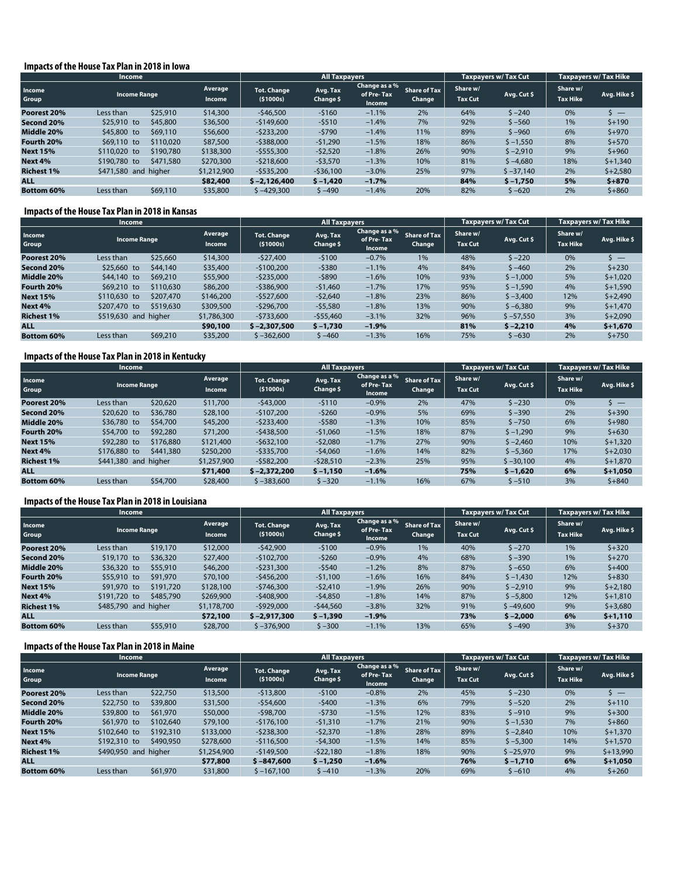#### **Impacts of the House Tax Plan in 2018 in Iowa**

|                   | <b>Income</b>        |           |                   | <b>All Taxpayers</b>             |                       |                                       |                               |                            | <b>Taxpayers w/ Tax Cut</b> | <b>Taxpayers w/ Tax Hike</b> |                          |
|-------------------|----------------------|-----------|-------------------|----------------------------------|-----------------------|---------------------------------------|-------------------------------|----------------------------|-----------------------------|------------------------------|--------------------------|
| Income<br>Group   | <b>Income Range</b>  |           | Average<br>Income | <b>Tot. Change</b><br>( \$1000s) | Avg. Tax<br>Change \$ | Change as a %<br>of Pre-Tax<br>Income | <b>Share of Tax</b><br>Change | Share w/<br><b>Tax Cut</b> | Avg. Cut \$                 | Share w/<br><b>Tax Hike</b>  | Avg. Hike \$             |
| Poorest 20%       | Less than            | \$25,910  | \$14,300          | $-546.500$                       | $-5160$               | $-1.1%$                               | 2%                            | 64%                        | $5 - 240$                   | 0%                           | $\overline{\phantom{0}}$ |
| Second 20%        | \$25,910 to          | \$45,800  | \$36,500          | $-5149.600$                      | $-5510$               | $-1.4%$                               | 7%                            | 92%                        | $$ -560$                    | 1%                           | $$+190$                  |
| Middle 20%        | \$45,800 to          | \$69,110  | \$56,600          | $-$ \$233,200                    | $-5790$               | $-1.4%$                               | 11%                           | 89%                        | $$ -960$                    | 6%                           | $$+970$                  |
| Fourth 20%        | \$69,110 to          | \$110,020 | \$87,500          | $-5388,000$                      | $-51,290$             | $-1.5%$                               | 18%                           | 86%                        | $$ -1,550$                  | 8%                           | $$+570$                  |
| <b>Next 15%</b>   | \$110,020 to         | \$190,780 | \$138,300         | $-5555.300$                      | $-52,520$             | $-1.8%$                               | 26%                           | 90%                        | $$ -2,910$                  | 9%                           | $$+960$                  |
| Next 4%           | \$190,780 to         | \$471,580 | \$270,300         | $-5218,600$                      | $-53,570$             | $-1.3%$                               | 10%                           | 81%                        | $$ -4,680$                  | 18%                          | $$+1,340$                |
| <b>Richest 1%</b> | \$471,580 and higher |           | \$1,212,900       | $-5535.200$                      | $-536,100$            | $-3.0%$                               | 25%                           | 97%                        | $$ -37,140$                 | 2%                           | $$+2,580$                |
| <b>ALL</b>        |                      |           | \$82,400          | $$ -2.126.400$                   | $$ -1,420$            | $-1.7%$                               |                               | 84%                        | $$ -1,750$                  | 5%                           | $$+870$                  |
| <b>Bottom 60%</b> | Less than            | \$69,110  | \$35,800          | \$ -429,300                      | \$ -490               | $-1.4%$                               | 20%                           | 82%                        | $$ -620$                    | 2%                           | $$+860$                  |

#### **Impacts of the House Tax Plan in 2018 in Kansas**

|                   | <b>Income</b>        |           |                   | <b>All Taxpayers</b>             |                       |                                       |                               |                            | <b>Taxpayers w/ Tax Cut</b> | <b>Taxpayers w/ Tax Hike</b> |                              |
|-------------------|----------------------|-----------|-------------------|----------------------------------|-----------------------|---------------------------------------|-------------------------------|----------------------------|-----------------------------|------------------------------|------------------------------|
| Income<br>Group   | <b>Income Range</b>  |           | Average<br>Income | <b>Tot. Change</b><br>( \$1000s) | Avg. Tax<br>Change \$ | Change as a %<br>of Pre-Tax<br>Income | <b>Share of Tax</b><br>Change | Share w/<br><b>Tax Cut</b> | Avg. Cut \$                 | Share w/<br><b>Tax Hike</b>  | Avg. Hike \$                 |
| Poorest 20%       | Less than            | \$25,660  | \$14,300          | $-527.400$                       | $-5100$               | $-0.7%$                               | 1%                            | 48%                        | $5 - 220$                   | 0%                           | $\overline{\phantom{0}}$ $-$ |
| Second 20%        | \$25,660 to          | \$44,140  | \$35,400          | $-5100.200$                      | $-5380$               | $-1.1%$                               | 4%                            | 84%                        | $$ -460$                    | 2%                           | $5 + 230$                    |
| Middle 20%        | \$44,140 to          | \$69,210  | \$55,900          | $-$ \$235,000                    | $-5890$               | $-1.6%$                               | 10%                           | 93%                        | $$ -1,000$                  | 5%                           | $$+1,020$                    |
| Fourth 20%        | \$69,210 to          | \$110,630 | \$86,200          | $-5386.900$                      | $-51,460$             | $-1.7%$                               | 17%                           | 95%                        | $$ -1,590$                  | 4%                           | $$+1,590$                    |
| <b>Next 15%</b>   | \$110,630 to         | \$207,470 | \$146,200         | $-5527.600$                      | $-52.640$             | $-1.8%$                               | 23%                           | 86%                        | $$ -3,400$                  | 12%                          | $$+2,490$                    |
| Next 4%           | \$207,470 to         | \$519,630 | \$309,500         | $-5296,700$                      | $-55,580$             | $-1.8%$                               | 13%                           | 90%                        | $$ -6,380$                  | 9%                           | $$+1,470$                    |
| <b>Richest 1%</b> | \$519,630 and higher |           | \$1,786,300       | $-5733,600$                      | $-555,460$            | $-3.1%$                               | 32%                           | 96%                        | $$ -57,550$                 | 3%                           | $$+2,090$                    |
| <b>ALL</b>        |                      |           | \$90,100          | $$ -2.307.500$                   | $$ -1,730$            | $-1.9%$                               |                               | 81%                        | $$ -2.210$                  | 4%                           | $$+1,670$                    |
| <b>Bottom 60%</b> | Less than            | \$69,210  | \$35,200          | $$ -362,600$                     | $$ -460$              | $-1.3%$                               | 16%                           | 75%                        | $$ -630$                    | 2%                           | $$+750$                      |

#### **Impacts of the House Tax Plan in 2018 in Kentucky**

|                   | <b>Income</b>             |                   |                                  | <b>All Taxpayers</b>  |                                       |                               |                            | Taxpayers w/ Tax Cut | Taxpayers w/Tax Hike        |                          |
|-------------------|---------------------------|-------------------|----------------------------------|-----------------------|---------------------------------------|-------------------------------|----------------------------|----------------------|-----------------------------|--------------------------|
| Income<br>Group   | <b>Income Range</b>       | Average<br>Income | <b>Tot. Change</b><br>( \$1000s) | Avg. Tax<br>Change \$ | Change as a %<br>of Pre-Tax<br>Income | <b>Share of Tax</b><br>Change | Share w/<br><b>Tax Cut</b> | Avg. Cut \$          | Share w/<br><b>Tax Hike</b> | Avg. Hike \$             |
| Poorest 20%       | \$20,620<br>Less than     | \$11,700          | $-543,000$                       | $-5110$               | $-0.9%$                               | 2%                            | 47%                        | $$ -230$             | 0%                          | $\overline{\phantom{a}}$ |
| Second 20%        | \$20,620 to<br>\$36,780   | \$28,100          | $-5107.200$                      | $-5260$               | $-0.9%$                               | 5%                            | 69%                        | $$ -390$             | 2%                          | $$+390$                  |
| Middle 20%        | \$36,780 to<br>\$54,700   | \$45,200          | $-5233.400$                      | $-5580$               | $-1.3%$                               | 10%                           | 85%                        | $S - 750$            | 6%                          | $$+980$                  |
| Fourth 20%        | \$92,280<br>\$54,700 to   | \$71,200          | $-5438,500$                      | $-51,060$             | $-1.5%$                               | 18%                           | 87%                        | $$ -1,290$           | 9%                          | $5 + 630$                |
| <b>Next 15%</b>   | \$176,880<br>\$92,280 to  | \$121,400         | $-5632,100$                      | $-52.080$             | $-1.7%$                               | 27%                           | 90%                        | $$ -2,460$           | 10%                         | $$+1,320$                |
| Next 4%           | \$441,380<br>\$176,880 to | \$250,200         | $-$ \$335,700                    | $-54,060$             | $-1.6%$                               | 14%                           | 82%                        | $$ -5,360$           | 17%                         | $$+2,030$                |
| <b>Richest 1%</b> | \$441,380 and higher      | \$1,257,900       | $-5582.200$                      | $-528,510$            | $-2.3%$                               | 25%                           | 95%                        | $$ -30.100$          | 4%                          | $$+1.870$                |
| <b>ALL</b>        |                           | \$71,400          | $$ -2.372.200$                   | $$ -1,150$            | $-1.6%$                               |                               | 75%                        | $$ -1.620$           | 6%                          | $$+1,050$                |
| <b>Bottom 60%</b> | \$54,700<br>Less than     | \$28,400          | $$ -383,600$                     | $$ -320$              | $-1.1%$                               | 16%                           | 67%                        | $$ -510$             | 3%                          | $5 + 840$                |

#### **Impacts of the House Tax Plan in 2018 in Louisiana**

|                   | <b>Income</b>             |                   |                                  | All Taxpayers         |                                       |                               |                            | <b>Taxpayers w/ Tax Cut</b> | <b>Taxpayers w/ Tax Hike</b> |              |
|-------------------|---------------------------|-------------------|----------------------------------|-----------------------|---------------------------------------|-------------------------------|----------------------------|-----------------------------|------------------------------|--------------|
| Income<br>Group   | <b>Income Range</b>       | Average<br>Income | <b>Tot. Change</b><br>( \$1000s) | Avg. Tax<br>Change \$ | Change as a %<br>of Pre-Tax<br>Income | <b>Share of Tax</b><br>Change | Share w/<br><b>Tax Cut</b> | Avg. Cut \$                 | Share w/<br><b>Tax Hike</b>  | Avg. Hike \$ |
| Poorest 20%       | \$19,170<br>Less than     | \$12,000          | $-542.900$                       | $-5100$               | $-0.9%$                               | 1%                            | 40%                        | $$ -270$                    | 1%                           | $5 + 320$    |
| Second 20%        | \$36,320<br>\$19,170 to   | \$27,400          | $-5102.700$                      | $-5260$               | $-0.9%$                               | 4%                            | 68%                        | $$ -390$                    | 1%                           | $5 + 270$    |
| Middle 20%        | \$36,320 to<br>\$55,910   | \$46,200          | $-5231.300$                      | $-5540$               | $-1.2%$                               | 8%                            | 87%                        | $$ -650$                    | 6%                           | $5 + 400$    |
| Fourth 20%        | \$91,970<br>\$55,910 to   | \$70,100          | $-5456.200$                      | $-51,100$             | $-1.6%$                               | 16%                           | 84%                        | $$ -1,430$                  | 12%                          | $$+830$      |
| <b>Next 15%</b>   | \$91,970 to<br>\$191,720  | \$128,100         | $-5746.300$                      | $-52,410$             | $-1.9%$                               | 26%                           | 90%                        | $$ -2,910$                  | 9%                           | $$+2,180$    |
| Next 4%           | \$485,790<br>\$191,720 to | \$269,900         | $-5408.900$                      | $-54,850$             | $-1.8%$                               | 14%                           | 87%                        | $$ -5,800$                  | 12%                          | $$+1,810$    |
| <b>Richest 1%</b> | \$485,790 and higher      | \$1,178,700       | $-5929.000$                      | $-544.560$            | $-3.8%$                               | 32%                           | 91%                        | $$ -49,600$                 | 9%                           | $$+3,680$    |
| <b>ALL</b>        |                           | \$72,100          | $$ -2,917,300$                   | $$ -1,390$            | $-1.9%$                               |                               | 73%                        | $$ -2.000$                  | 6%                           | $$+1,110$    |
| <b>Bottom 60%</b> | \$55,910<br>Less than     | \$28,700          | $$ -376,900$                     | $$ -300$              | $-1.1%$                               | 13%                           | 65%                        | $$ -490$                    | 3%                           | $$+370$      |

#### **Impacts of the House Tax Plan in 2018 in Maine**

|                   | <b>Income</b>             |                          |                         | <b>All Taxpayers</b>  |                                       |                               |                            | <b>Taxpayers w/ Tax Cut</b> | <b>Taxpayers w/ Tax Hike</b> |              |
|-------------------|---------------------------|--------------------------|-------------------------|-----------------------|---------------------------------------|-------------------------------|----------------------------|-----------------------------|------------------------------|--------------|
| Income<br>Group   | <b>Income Range</b>       | Average<br><b>Income</b> | Tot. Change<br>(51000s) | Avg. Tax<br>Change \$ | Change as a %<br>of Pre-Tax<br>Income | <b>Share of Tax</b><br>Change | Share w/<br><b>Tax Cut</b> | Avg. Cut \$                 | Share w/<br><b>Tax Hike</b>  | Avg. Hike \$ |
| Poorest 20%       | \$22,750<br>Less than     | \$13,500                 | $-513.800$              | $-5100$               | $-0.8%$                               | 2%                            | 45%                        | $5 - 230$                   | 0%                           | $\sim$ $-$   |
| Second 20%        | $$22,750$ to<br>\$39,800  | \$31,500                 | $-554,600$              | $-5400$               | $-1.3%$                               | 6%                            | 79%                        | $5 - 520$                   | 2%                           | $5 + 110$    |
| Middle 20%        | \$39,800 to<br>\$61,970   | \$50,000                 | $-598.700$              | $-5730$               | $-1.5%$                               | 12%                           | 83%                        | $5 - 910$                   | 9%                           | $5 + 300$    |
| Fourth 20%        | \$61,970 to<br>\$102,640  | \$79,100                 | $-5176.100$             | $-51,310$             | $-1.7%$                               | 21%                           | 90%                        | $$ -1,530$                  | 7%                           | $$+860$      |
| <b>Next 15%</b>   | \$102,640 to<br>\$192,310 | \$133,000                | $-5238,300$             | $-52.370$             | $-1.8%$                               | 28%                           | 89%                        | $5 - 2.840$                 | 10%                          | $$+1.370$    |
| Next 4%           | \$490,950<br>\$192,310 to | \$278,600                | $-5116,500$             | $-54,300$             | $-1.5%$                               | 14%                           | 85%                        | $$ -5,300$                  | 14%                          | $$+1,570$    |
| <b>Richest 1%</b> | \$490,950 and higher      | \$1,254,900              | $-5149.500$             | $-522.180$            | $-1.8%$                               | 18%                           | 90%                        | $$ -25.970$                 | 9%                           | $$+13.990$   |
| <b>ALL</b>        |                           | \$77,800                 | $$ -847,600$            | $$ -1,250$            | $-1.6%$                               |                               | 76%                        | $$ -1.710$                  | 6%                           | $$+1.050$    |
| <b>Bottom 60%</b> | \$61,970<br>Less than     | \$31,800                 | $$ -167.100$            | $$ -410$              | $-1.3%$                               | 20%                           | 69%                        | $$ -610$                    | 4%                           | $$+260$      |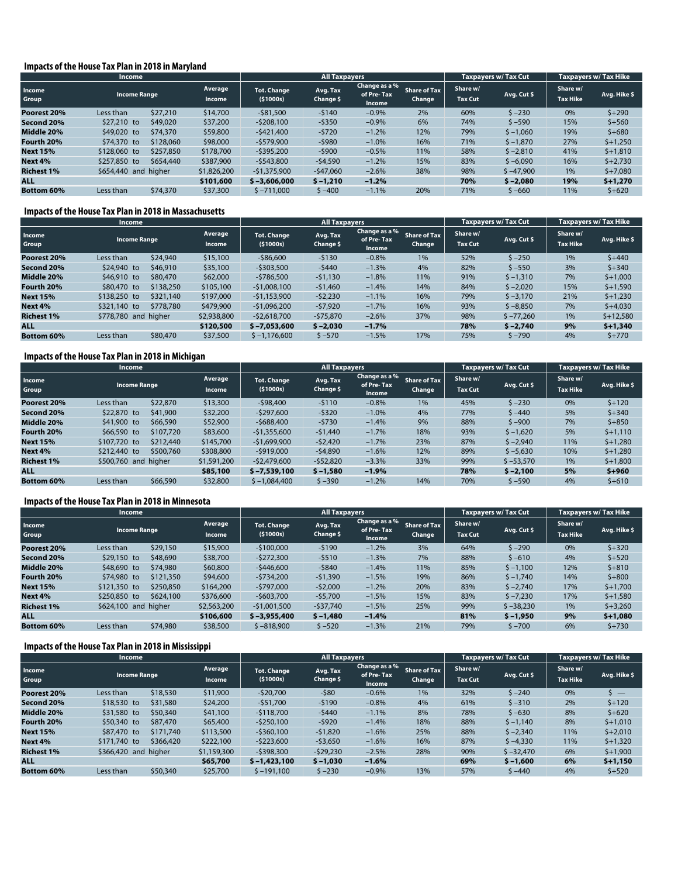#### **Impacts of the House Tax Plan in 2018 in Maryland**

|                   | <b>Income</b>       |                                        |                   |                                  | <b>All Taxpayers</b>  |                                       |                               | <b>Taxpayers w/ Tax Cut</b> |             | Taxpayers w/ Tax Hike       |              |
|-------------------|---------------------|----------------------------------------|-------------------|----------------------------------|-----------------------|---------------------------------------|-------------------------------|-----------------------------|-------------|-----------------------------|--------------|
| Income<br>Group   | <b>Income Range</b> |                                        | Average<br>Income | <b>Tot. Change</b><br>( \$1000s) | Avg. Tax<br>Change \$ | Change as a %<br>of Pre-Tax<br>Income | <b>Share of Tax</b><br>Change | Share w/<br><b>Tax Cut</b>  | Avg. Cut \$ | Share w/<br><b>Tax Hike</b> | Avg. Hike \$ |
| Poorest 20%       | Less than           | \$27,210                               | \$14,700          | $-$ \$81,500                     | $-5140$               | $-0.9%$                               | 2%                            | 60%                         | $5 - 230$   | 0%                          | $5 + 290$    |
| Second 20%        | \$27,210 to         | \$49,020                               | \$37,200          | $-5208.100$                      | $-5350$               | $-0.9%$                               | 6%                            | 74%                         | $5 - 590$   | 15%                         | $$+560$      |
| Middle 20%        | \$49,020 to         | \$74,370                               | \$59,800          | $-5421,400$                      | $-5720$               | $-1.2%$                               | 12%                           | 79%                         | $$ -1,060$  | 19%                         | $$+680$      |
| Fourth 20%        | \$74,370 to         | \$128,060                              | \$98,000          | $-$ \$579,900                    | $-5980$               | $-1.0%$                               | 16%                           | 71%                         | $$ -1,870$  | 27%                         | $$+1,250$    |
| <b>Next 15%</b>   | \$128,060 to        | \$257,850                              | \$178,700         | $-5395.200$                      | $-5900$               | $-0.5%$                               | 11%                           | 58%                         | $5 - 2.810$ | 41%                         | $$+1,810$    |
| Next 4%           | \$257,850 to        | \$654,440                              | \$387,900         | $-5543.800$                      | $-54,590$             | $-1.2%$                               | 15%                           | 83%                         | $$ -6,090$  | 16%                         | $$+2,730$    |
| <b>Richest 1%</b> |                     | \$654,440 and<br>higher<br>\$1,826,200 |                   | $-$1,375,900$                    | $-547,060$            | $-2.6%$                               | 38%                           | 98%                         | $$ -47.900$ | 1%                          | $$+7,080$    |
| <b>ALL</b>        |                     |                                        | \$101,600         | $$ -3,606,000$                   | $$ -1,210$            | $-1.2%$                               |                               | 70%                         | $$ -2.080$  | 19%                         | $$+1,270$    |
| <b>Bottom 60%</b> | Less than           | \$74,370                               | \$37,300          | $$ -711.000$                     | $$ -400$              | $-1.1%$                               | 20%                           | 71%                         | $$ -660$    | 11%                         | $5 + 620$    |

#### **Impacts of the House Tax Plan in 2018 in Massachusetts**

| Income            |                                     |           |                          | <b>All Taxpayers</b>             |                       |                                       |                               | <b>Taxpayers w/ Tax Cut</b> |             | <b>Taxpayers w/ Tax Hike</b> |              |
|-------------------|-------------------------------------|-----------|--------------------------|----------------------------------|-----------------------|---------------------------------------|-------------------------------|-----------------------------|-------------|------------------------------|--------------|
| Income<br>Group   | <b>Income Range</b>                 |           | Average<br><b>Income</b> | <b>Tot. Change</b><br>( \$1000s) | Avg. Tax<br>Change \$ | Change as a %<br>of Pre-Tax<br>Income | <b>Share of Tax</b><br>Change | Share w/<br><b>Tax Cut</b>  | Avg. Cut \$ | Share w/<br><b>Tax Hike</b>  | Avg. Hike \$ |
| Poorest 20%       | Less than                           | \$24,940  | \$15,100                 | $-586,600$                       | $-5130$               | $-0.8%$                               | 1%                            | 52%                         | $$ -250$    | 1%                           | $5 + 440$    |
| Second 20%        | \$46,910<br>\$24,940 to             |           | \$35,100                 | $-$ \$303,500                    | $-5440$               | $-1.3%$                               | 4%                            | 82%                         | $$ -550$    | 3%                           | $5 + 340$    |
| Middle 20%        | \$46,910 to                         | \$80,470  | \$62,000                 | $-5786.500$                      | $-51,130$             | $-1.8%$                               | 11%                           | 91%                         | $$ -1,310$  | 7%                           | $$+1.000$    |
| Fourth 20%        | \$80,470 to                         | \$138,250 | \$105,100                | $-$1,008,100$                    | $-51,460$             | $-1.4%$                               | 14%                           | 84%                         | $$ -2,020$  | 15%                          | $$+1,590$    |
| <b>Next 15%</b>   | \$138,250 to                        | \$321,140 | \$197,000                | $-$1,153,900$                    | $-52,230$             | $-1.1%$                               | 16%                           | 79%                         | $$ -3,170$  | 21%                          | $$+1,230$    |
| Next 4%           | \$321,140 to                        | \$778,780 | \$479,900                | $-51.096.200$                    | $-57,920$             | $-1.7%$                               | 16%                           | 93%                         | $$ -8,850$  | 7%                           | $$+4,030$    |
| <b>Richest 1%</b> | \$778,780 and higher<br>\$2,938,800 |           | $-52.618.700$            | $-575,870$                       | $-2.6%$               | 37%                                   | 98%                           | $$ -77.260$                 | 1%          | $$+12,580$                   |              |
| <b>ALL</b>        |                                     |           | \$120,500                | $$ -7.053.600$                   | $$ -2.030$            | $-1.7%$                               |                               | 78%                         | $$ -2.740$  | 9%                           | $$+1,340$    |
| <b>Bottom 60%</b> | Less than                           | \$80,470  | \$37,500                 | $$ -1,176,600$                   | $$ -570$              | $-1.5%$                               | 17%                           | 75%                         | $5 - 790$   | 4%                           | $5 + 770$    |

# **Impacts of the House Tax Plan in 2018 in Michigan**

| <b>Income</b>     |                                     |           |                   |                                  | <b>All Taxpayers</b>  |                                       |                               | <b>Taxpavers w/ Tax Cut</b> |             | Taxpayers w/ Tax Hike       |              |
|-------------------|-------------------------------------|-----------|-------------------|----------------------------------|-----------------------|---------------------------------------|-------------------------------|-----------------------------|-------------|-----------------------------|--------------|
| Income<br>Group   | <b>Income Range</b>                 |           | Average<br>Income | <b>Tot. Change</b><br>( \$1000s) | Avg. Tax<br>Change \$ | Change as a %<br>of Pre-Tax<br>Income | <b>Share of Tax</b><br>Change | Share w/<br><b>Tax Cut</b>  | Avg. Cut \$ | Share w/<br><b>Tax Hike</b> | Avg. Hike \$ |
| Poorest 20%       | Less than                           | \$22,870  | \$13,300          | $-598,400$                       | $-5110$               | $-0.8%$                               | 1%                            | 45%                         | $5 - 230$   | 0%                          | $5 + 120$    |
| Second 20%        | \$41,900<br>\$22,870 to             |           | \$32,200          | $-5297,600$                      | $-5320$               | $-1.0%$                               | 4%                            | 77%                         | $$ -440$    | 5%                          | $$+340$      |
| Middle 20%        | \$41,900 to<br>\$66,590             |           | \$52,900          | $-5688.400$                      | $-5730$               | $-1.4%$                               | 9%                            | 88%                         | $$ -900$    | 7%                          | $$+850$      |
| Fourth 20%        | \$66,590 to                         | \$107,720 | \$83,600          | $-$1,355,600$                    | $-51,440$             | $-1.7%$                               | 18%                           | 93%                         | $$ -1,620$  | 5%                          | $$+1.110$    |
| <b>Next 15%</b>   | \$107,720 to                        | \$212,440 | \$145,700         | $-$1,699,900$                    | $-52,420$             | $-1.7%$                               | 23%                           | 87%                         | $$ -2,940$  | 11%                         | $$+1,280$    |
| Next 4%           | \$212,440 to                        | \$500,760 | \$308,800         | $-5919.000$                      | $-54,890$             | $-1.6%$                               | 12%                           | 89%                         | $$ -5,630$  | 10%                         | $$+1,280$    |
| <b>Richest 1%</b> | \$500,760 and higher<br>\$1,591,200 |           | $-52.479.600$     | $-552,820$                       | $-3.3%$               | 33%                                   | 99%                           | $$ -53.570$                 | 1%          | $$+1.800$                   |              |
| <b>ALL</b>        | \$85,100                            |           | $$ -7.539.100$    | $$ -1,580$                       | $-1.9%$               |                                       | 78%                           | $$ -2.100$                  | 5%          | $$+960$                     |              |
| <b>Bottom 60%</b> | Less than                           | \$66,590  | \$32,800          | $$ -1,084,400$                   | $$ -390$              | $-1.2%$                               | 14%                           | 70%                         | $$ -590$    | 4%                          | $$+610$      |

#### **Impacts of the House Tax Plan in 2018 in Minnesota**

| Income            |                                     |           |                   | All Taxpayers                    |                       |                                       |                               | <b>Taxpayers w/ Tax Cut</b> |             | <b>Taxpayers w/ Tax Hike</b> |              |
|-------------------|-------------------------------------|-----------|-------------------|----------------------------------|-----------------------|---------------------------------------|-------------------------------|-----------------------------|-------------|------------------------------|--------------|
| Income<br>Group   | <b>Income Range</b>                 |           | Average<br>Income | <b>Tot. Change</b><br>( \$1000s) | Avg. Tax<br>Change \$ | Change as a %<br>of Pre-Tax<br>Income | <b>Share of Tax</b><br>Change | Share w/<br><b>Tax Cut</b>  | Avg. Cut \$ | Share w/<br><b>Tax Hike</b>  | Avg. Hike \$ |
| Poorest 20%       | Less than                           | \$29,150  | \$15,900          | $-5100,000$                      | $-5190$               | $-1.2%$                               | 3%                            | 64%                         | $5 - 290$   | 0%                           | $5 + 320$    |
| Second 20%        | $$29,150$ to<br>\$48,690            |           | \$38,700          | $-5272,300$                      | $-5510$               | $-1.3%$                               | 7%                            | 88%                         | $$ -610$    | 4%                           | $5 + 520$    |
| Middle 20%        | \$48,690 to                         | \$74,980  | \$60,800          | $-5446.600$                      | $-5840$               | $-1.4%$                               | 11%                           | 85%                         | $$ -1,100$  | 12%                          | $5 + 810$    |
| Fourth 20%        | \$74,980 to                         | \$121,350 | \$94,600          | $-5734,200$                      | $-51,390$             | $-1.5%$                               | 19%                           | 86%                         | $$ -1,740$  | 14%                          | $5 + 800$    |
| <b>Next 15%</b>   | \$121,350 to                        | \$250,850 | \$164,200         | $-5797.000$                      | $-52,000$             | $-1.2%$                               | 20%                           | 83%                         | $$ -2,740$  | 17%                          | $$+1,700$    |
| Next 4%           | \$250,850 to                        | \$624,100 | \$376,600         | $-5603.700$                      | $-55,700$             | $-1.5%$                               | 15%                           | 83%                         | $$ -7,230$  | 17%                          | $$+1,580$    |
| <b>Richest 1%</b> | \$624,100 and higher<br>\$2,563,200 |           | $-$1,001,500$     | $-537.740$                       | $-1.5%$               | 25%                                   | 99%                           | $$ -38,230$                 | 1%          | $$+3,260$                    |              |
| <b>ALL</b>        |                                     |           | \$106,600         | $$ -3.955.400$                   | $$ -1,480$            | $-1.4%$                               |                               | 81%                         | $$ -1,950$  | 9%                           | $$+1,080$    |
| <b>Bottom 60%</b> | Less than                           | \$74,980  | \$38,500          | $$ -818,900$                     | $$ -520$              | $-1.3%$                               | 21%                           | 79%                         | $5 - 700$   | 6%                           | $5 + 730$    |

#### **Impacts of the House Tax Plan in 2018 in Mississippi**

|                   | <b>Income</b>                       |           |                          |                         | <b>All Taxpayers</b>  |                                       |                               |                            | <b>Taxpayers w/ Tax Cut</b> | <b>Taxpayers w/ Tax Hike</b> |              |
|-------------------|-------------------------------------|-----------|--------------------------|-------------------------|-----------------------|---------------------------------------|-------------------------------|----------------------------|-----------------------------|------------------------------|--------------|
| Income<br>Group   | <b>Income Range</b>                 |           | Average<br><b>Income</b> | Tot. Change<br>(51000s) | Avg. Tax<br>Change \$ | Change as a %<br>of Pre-Tax<br>Income | <b>Share of Tax</b><br>Change | Share w/<br><b>Tax Cut</b> | Avg. Cut \$                 | Share w/<br><b>Tax Hike</b>  | Avg. Hike \$ |
| Poorest 20%       | Less than                           | \$18,530  | \$11,900                 | $-520.700$              | $-580$                | $-0.6%$                               | 1%                            | 32%                        | $5 - 240$                   | 0%                           | $\sim$ $-$   |
| Second 20%        | \$18,530 to<br>\$31,580             |           | \$24,200                 | $-551.700$              | $-5190$               | $-0.8%$                               | 4%                            | 61%                        | $5 - 310$                   | 2%                           | $5 + 120$    |
| Middle 20%        | \$31,580 to                         | \$50,340  | \$41,100                 | $-5118.700$             | $-5440$               | $-1.1%$                               | 8%                            | 78%                        | $5 - 630$                   | 8%                           | $5 + 620$    |
| Fourth 20%        | \$50,340 to                         | \$87,470  | \$65,400                 | $-$ \$250,100           | $-5920$               | $-1.4%$                               | 18%                           | 88%                        | $$ -1,140$                  | 8%                           | $$+1,010$    |
| <b>Next 15%</b>   | \$87,470 to                         | \$171,740 | \$113,500                | $-5360.100$             | $-51.820$             | $-1.6%$                               | 25%                           | 88%                        | $$ -2,340$                  | 11%                          | $$+2,010$    |
| Next 4%           | \$171,740 to                        | \$366,420 | \$222,100                | $-$ \$223,600           | $-53,650$             | $-1.6%$                               | 16%                           | 87%                        | $$ -4,330$                  | 11%                          | $$+1,320$    |
| <b>Richest 1%</b> | \$366,420 and higher<br>\$1,159,300 |           |                          | $-5398.300$             | $-529,230$            | $-2.5%$                               | 28%                           | 90%                        | $$ -32.470$                 | 6%                           | $$+1,900$    |
| <b>ALL</b>        | \$65,700                            |           |                          | $$ -1.423.100$          | $$ -1,030$            | $-1.6%$                               |                               | 69%                        | $$ -1,600$                  | 6%                           | $$+1,150$    |
| <b>Bottom 60%</b> | Less than                           | \$50,340  | \$25,700                 | $$ -191.100$            | $$ -230$              | $-0.9%$                               | 13%                           | 57%                        | \$ –440                     | 4%                           | $5 + 520$    |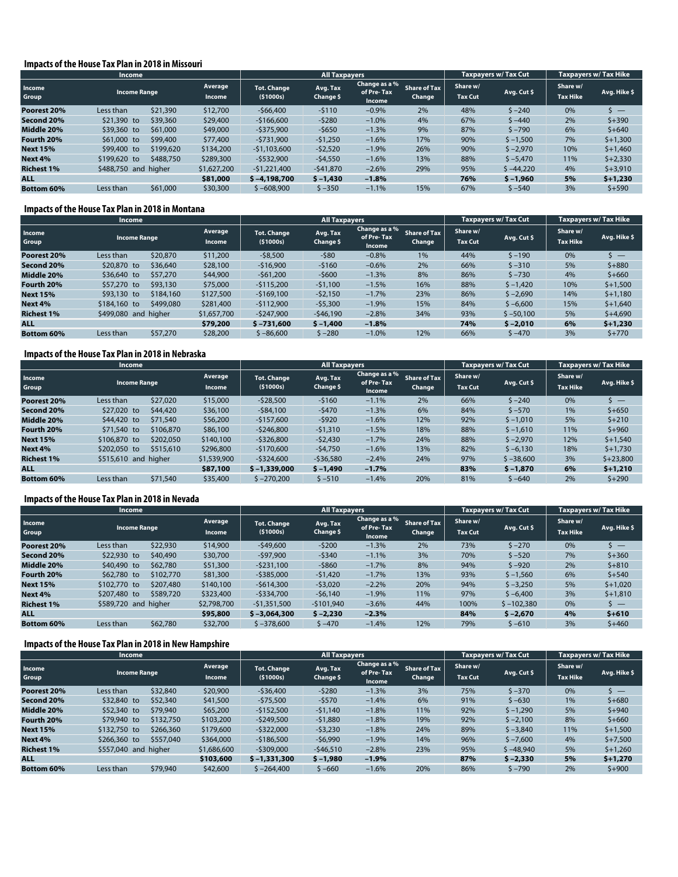#### **Impacts of the House Tax Plan in 2018 in Missouri**

|                   | <b>Income</b>                       |           |                   |                         | <b>All Taxpayers</b>  |                                       |                               | Taxpayers w/ Tax Cut       |             | <b>Taxpayers w/ Tax Hike</b> |                              |
|-------------------|-------------------------------------|-----------|-------------------|-------------------------|-----------------------|---------------------------------------|-------------------------------|----------------------------|-------------|------------------------------|------------------------------|
| Income<br>Group   | <b>Income Range</b>                 |           | Average<br>Income | Tot. Change<br>(51000s) | Avg. Tax<br>Change \$ | Change as a %<br>of Pre-Tax<br>Income | <b>Share of Tax</b><br>Change | Share w/<br><b>Tax Cut</b> | Avg. Cut \$ | Share w/<br><b>Tax Hike</b>  | Avg. Hike \$                 |
| Poorest 20%       | Less than                           | \$21,390  | \$12,700          | $-566.400$              | $-5110$               | $-0.9%$                               | 2%                            | 48%                        | $5 - 240$   | 0%                           | $\overline{\phantom{0}}$ $-$ |
| Second 20%        | \$21,390 to                         | \$39,360  | \$29,400          | $-5166.600$             | $-5280$               | $-1.0%$                               | 4%                            | 67%                        | $5 - 440$   | 2%                           | $$+390$                      |
| Middle 20%        | \$39,360 to                         | \$61,000  | \$49,000          | $-$ \$375,900           | $-5650$               | $-1.3%$                               | 9%                            | 87%                        | $5 - 790$   | 6%                           | $5 + 640$                    |
| Fourth 20%        | $$61,000$ to                        | \$99,400  | \$77,400          | $-5731.900$             | $-51,250$             | $-1.6%$                               | 17%                           | 90%                        | $$ -1,500$  | 7%                           | $$+1,300$                    |
| <b>Next 15%</b>   | \$99,400 to                         | \$199,620 | \$134,200         | $-51,103,600$           | $-52,520$             | $-1.9%$                               | 26%                           | 90%                        | $$ -2,970$  | 10%                          | $$+1,460$                    |
| Next 4%           | \$199,620 to                        | \$488,750 | \$289,300         | $-5532.900$             | $-54,550$             | $-1.6%$                               | 13%                           | 88%                        | $$ -5,470$  | 11%                          | $$+2,330$                    |
| <b>Richest 1%</b> | \$488,750 and higher<br>\$1,627,200 |           |                   | $-$1,221,400$           | $-541,870$            | $-2.6%$                               | 29%                           | 95%                        | $$ -44,220$ | 4%                           | $$+3,910$                    |
| <b>ALL</b>        |                                     |           | \$81,000          | $$ -4.198.700$          | $$ -1,430$            | $-1.8%$                               |                               | 76%                        | $$ -1.960$  | 5%                           | $$+1,230$                    |
| <b>Bottom 60%</b> | Less than                           | \$61,000  | \$30,300          | $$ -608.900$            | $$ -350$              | $-1.1%$                               | 15%                           | 67%                        | $$ -540$    | 3%                           | $$+590$                      |

#### **Impacts of the House Tax Plan in 2018 in Montana**

|                   | <b>Income</b>                       | <b>All Taxpayers</b> |                                  |                       |                                       | Taxpayers w/ Tax Cut          |                            | Taxpayers w/ Tax Hike |                             |              |
|-------------------|-------------------------------------|----------------------|----------------------------------|-----------------------|---------------------------------------|-------------------------------|----------------------------|-----------------------|-----------------------------|--------------|
| Income<br>Group   | <b>Income Range</b>                 | Average<br>Income    | <b>Tot. Change</b><br>( \$1000s) | Avg. Tax<br>Change \$ | Change as a %<br>of Pre-Tax<br>Income | <b>Share of Tax</b><br>Change | Share w/<br><b>Tax Cut</b> | Avg. Cut \$           | Share w/<br><b>Tax Hike</b> | Avg. Hike \$ |
| Poorest 20%       | \$20,870<br>Less than               | \$11,200             | $-58,500$                        | $-580$                | $-0.8%$                               | 1%                            | 44%                        | $5 - 190$             | 0%                          |              |
| Second 20%        | \$36,640<br>\$20,870 to             | \$28,100             | $-516.900$                       | $-5160$               | $-0.6%$                               | 2%                            | 66%                        | $$ -310$              | 5%                          | $$+880$      |
| Middle 20%        | \$36,640 to<br>\$57,270             | \$44,900             | $-561.200$                       | $-5600$               | $-1.3%$                               | 8%                            | 86%                        | $5 - 730$             | 4%                          | $$+660$      |
| Fourth 20%        | \$93,130<br>\$57,270 to             | \$75,000             | $-$115,200$                      | $-51.100$             | $-1.5%$                               | 16%                           | 88%                        | $$ -1,420$            | 10%                         | $$+1,500$    |
| <b>Next 15%</b>   | \$184,160<br>\$93,130 to            | \$127,500            | $-5169.100$                      | $-52,150$             | $-1.7%$                               | 23%                           | 86%                        | $$ -2,690$            | 14%                         | $$+1,180$    |
| Next 4%           | \$499,080<br>\$184,160 to           | \$281,400            | $-5112.900$                      | $-55,300$             | $-1.9%$                               | 15%                           | 84%                        | $$ -6.600$            | 15%                         | $$+1.640$    |
| <b>Richest 1%</b> | \$499,080 and higher<br>\$1,657,700 |                      | $-5247.900$                      | $-546,190$            | $-2.8%$                               | 34%                           | 93%                        | $$ -50.100$           | 5%                          | $$+4,690$    |
| <b>ALL</b>        |                                     | \$79,200             | $$ -731,600$                     | $$ -1,400$            | $-1.8%$                               |                               | 74%                        | $$ -2.010$            | 6%                          | $$+1.230$    |
| <b>Bottom 60%</b> | \$57,270<br>Less than               | \$28,200             | $$ -86,600$                      | $$ -280$              | $-1.0%$                               | 12%                           | 66%                        | $$ -470$              | 3%                          | $$+770$      |

#### **Impacts of the House Tax Plan in 2018 in Nebraska**

|                   | <b>Income</b>                       | <b>All Taxpayers</b>   |                                  |                       |                                       | Taxpayers w/ Tax Cut          |                            | <b>Taxpayers w/ Tax Hike</b> |                             |              |
|-------------------|-------------------------------------|------------------------|----------------------------------|-----------------------|---------------------------------------|-------------------------------|----------------------------|------------------------------|-----------------------------|--------------|
| Income<br>Group   | <b>Income Range</b>                 | Average<br>Income      | <b>Tot. Change</b><br>( \$1000s) | Avg. Tax<br>Change \$ | Change as a %<br>of Pre-Tax<br>Income | <b>Share of Tax</b><br>Change | Share w/<br><b>Tax Cut</b> | Avg. Cut \$                  | Share w/<br><b>Tax Hike</b> | Avg. Hike \$ |
| Poorest 20%       | Less than                           | \$27,020<br>\$15,000   | $-528,500$                       | $-5160$               | $-1.1%$                               | 2%                            | 66%                        | $5 - 240$                    | 0%                          |              |
| Second 20%        | \$27,020 to                         | \$36,100<br>\$44,420   | $-584.100$                       | $-5470$               | $-1.3%$                               | 6%                            | 84%                        | $$ -570$                     | 1%                          | $$+650$      |
| Middle 20%        | \$44,420 to                         | \$56,200<br>\$71,540   | $-5157.600$                      | $-5920$               | $-1.6%$                               | 12%                           | 92%                        | $$ -1,010$                   | 5%                          | $5 + 210$    |
| Fourth 20%        | \$71,540 to                         | \$106,870<br>\$86,100  | $-5246,800$                      | $-51,310$             | $-1.5%$                               | 18%                           | 88%                        | $$ -1,610$                   | 11%                         | $$+960$      |
| <b>Next 15%</b>   | \$106,870 to                        | \$202,050<br>\$140,100 | $-5326,800$                      | $-52.430$             | $-1.7%$                               | 24%                           | 88%                        | $$ -2,970$                   | 12%                         | $$+1,540$    |
| Next 4%           | \$202,050 to                        | \$515,610<br>\$296,800 | $-5170.600$                      | $-54,750$             | $-1.6%$                               | 13%                           | 82%                        | $$ -6,130$                   | 18%                         | $$+1,730$    |
| <b>Richest 1%</b> | \$515,610 and higher<br>\$1,539,900 |                        | $-5324.600$                      | $-536,580$            | $-2.4%$                               | 24%                           | 97%                        | $$ -38,600$                  | 3%                          | $$+23,800$   |
| <b>ALL</b>        |                                     | \$87,100               | $$ -1.339.000$                   | $$ -1,490$            | $-1.7%$                               |                               | 83%                        | $$ -1.870$                   | 6%                          | $$+1,210$    |
| <b>Bottom 60%</b> | Less than                           | \$71,540<br>\$35,400   | $$ -270,200$                     | $$ -510$              | $-1.4%$                               | 20%                           | 81%                        | $$ -640$                     | 2%                          | $$+290$      |

#### **Impacts of the House Tax Plan in 2018 in Nevada**

|                   | <b>Income</b>            |           |                   |                                | <b>All Taxpayers</b>  |                                       |                               |                            | Taxpayers w/Tax Cut | <b>Taxpayers w/ Tax Hike</b> |              |
|-------------------|--------------------------|-----------|-------------------|--------------------------------|-----------------------|---------------------------------------|-------------------------------|----------------------------|---------------------|------------------------------|--------------|
| Income<br>Group   | <b>Income Range</b>      |           | Average<br>Income | <b>Tot. Change</b><br>(51000s) | Avg. Tax<br>Change \$ | Change as a %<br>of Pre-Tax<br>Income | <b>Share of Tax</b><br>Change | Share w/<br><b>Tax Cut</b> | Avg. Cut \$         | Share w/<br><b>Tax Hike</b>  | Avg. Hike \$ |
| Poorest 20%       | Less than                | \$22,930  | \$14,900          | $-549,600$                     | $-5200$               | $-1.3%$                               | 2%                            | 73%                        | $5 - 270$           | 0%                           | __           |
| Second 20%        | \$22,930 to              | \$40,490  | \$30,700          | $-597.900$                     | $-5340$               | $-1.1%$                               | 3%                            | 70%                        | $5 - 520$           | 7%                           | $$+360$      |
| Middle 20%        | \$40,490 to              | \$62,780  | \$51,300          | $-5231.100$                    | $-5860$               | $-1.7%$                               | 8%                            | 94%                        | $5 - 920$           | 2%                           | $$+810$      |
| Fourth 20%        | \$62,780 to<br>\$102,770 |           | \$81,300          | $-5385.000$                    | $-51,420$             | $-1.7%$                               | 13%                           | 93%                        | $$ -1,560$          | 6%                           | $$+540$      |
| <b>Next 15%</b>   | \$102,770 to             | \$207,480 | \$140,100         | $-5614.300$                    | $-53,020$             | $-2.2%$                               | 20%                           | 94%                        | $$ -3,250$          | 5%                           | $$+1,020$    |
| Next 4%           | \$207,480 to             | \$589,720 | \$323,400         | $-5334.700$                    | $-56.140$             | $-1.9%$                               | 11%                           | 97%                        | $$ -6,400$          | 3%                           | $$+1,810$    |
| <b>Richest 1%</b> | higher<br>\$589,720 and  |           | \$2,798,700       | $-51.351.500$                  | $-5101.940$           | $-3.6%$                               | 44%                           | 100%                       | $$ -102.380$        | 0%                           | s —          |
| <b>ALL</b>        |                          |           | \$95,800          | $$ -3.064.300$                 | $$ -2.230$            | $-2.3%$                               |                               | 84%                        | $$ -2.670$          | 4%                           | $$+610$      |
| <b>Bottom 60%</b> | Less than                | \$62,780  | \$32,700          | $$ -378,600$                   | $5 - 470$             | $-1.4%$                               | 12%                           | 79%                        | $5 - 610$           | 3%                           | $$+460$      |

#### **Impacts of the House Tax Plan in 2018 in New Hampshire**

|                   | <b>Income</b>           |           |                          |                                | <b>All Taxpayers</b>  |                                       |                               |                            | Taxpayers w/ Tax Cut | <b>Taxpayers w/ Tax Hike</b> |                           |
|-------------------|-------------------------|-----------|--------------------------|--------------------------------|-----------------------|---------------------------------------|-------------------------------|----------------------------|----------------------|------------------------------|---------------------------|
| Income<br>Group   | <b>Income Range</b>     |           | Average<br><b>Income</b> | <b>Tot. Change</b><br>(51000s) | Avg. Tax<br>Change \$ | Change as a %<br>of Pre-Tax<br>Income | <b>Share of Tax</b><br>Change | Share w/<br><b>Tax Cut</b> | Avg. Cut \$          | Share w/<br><b>Tax Hike</b>  | Avg. Hike \$              |
| Poorest 20%       | Less than               | \$32,840  | \$20,900                 | $-536.400$                     | $-5280$               | $-1.3%$                               | 3%                            | 75%                        | $$ -370$             | 0%                           | $\mathsf{S}$ $\mathsf{S}$ |
| Second 20%        | \$32,840 to             | \$52,340  | \$41,500                 | $-575,500$                     | $-5570$               | $-1.4%$                               | 6%                            | 91%                        | $5 - 630$            | 1%                           | $5 + 680$                 |
| Middle 20%        | \$52,340 to             | \$79,940  | \$65,200                 | $-5152.500$                    | $-51,140$             | $-1.8%$                               | 11%                           | 92%                        | $5 - 1.290$          | 5%                           | $$+940$                   |
| Fourth 20%        | \$79,940 to             | \$132,750 | \$103,200                | $-$ \$249,500                  | $-51,880$             | $-1.8%$                               | 19%                           | 92%                        | $$ -2,100$           | 8%                           | $$+660$                   |
| <b>Next 15%</b>   | \$132,750 to            | \$266,360 | \$179,600                | $-5322.000$                    | $-53,230$             | $-1.8%$                               | 24%                           | 89%                        | $5 - 3.840$          | 11%                          | $$+1,500$                 |
| Next 4%           | $$266.360$ to           | \$557,040 | \$364,000                | $-$186,500$                    | $-56,990$             | $-1.9%$                               | 14%                           | 96%                        | $$ -7.600$           | 4%                           | $$+7,500$                 |
| <b>Richest 1%</b> | \$557,040 and<br>higher |           | \$1,686,600              | $-5309.000$                    | $-546,510$            | $-2.8%$                               | 23%                           | 95%                        | $$ -48.940$          | 5%                           | $$+1,260$                 |
| <b>ALL</b>        |                         |           | \$103,600                | $$ -1.331.300$                 | $$ -1,980$            | $-1.9%$                               |                               | 87%                        | $$ -2.330$           | 5%                           | $5 + 1.270$               |
| <b>Bottom 60%</b> | Less than               | \$79,940  | \$42,600                 | $$ -264.400$                   | $$ -660$              | $-1.6%$                               | 20%                           | 86%                        | $S - 790$            | 2%                           | $$+900$                   |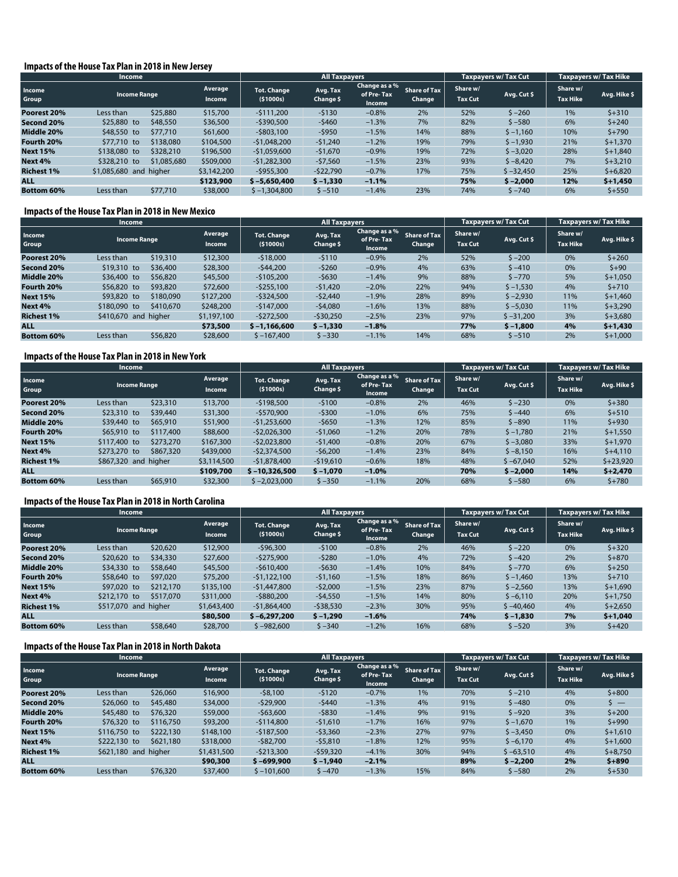#### **Impacts of the House Tax Plan in 2018 in New Jersey**

|                   | <b>Income</b>             |             |                          |                                  | <b>All Taxpayers</b>  |                                       |                               | <b>Taxpayers w/ Tax Cut</b> |             | <b>Taxpayers w/ Tax Hike</b> |              |
|-------------------|---------------------------|-------------|--------------------------|----------------------------------|-----------------------|---------------------------------------|-------------------------------|-----------------------------|-------------|------------------------------|--------------|
| Income<br>Group   | <b>Income Range</b>       |             | Average<br><b>Income</b> | <b>Tot. Change</b><br>( \$1000s) | Avg. Tax<br>Change \$ | Change as a %<br>of Pre-Tax<br>Income | <b>Share of Tax</b><br>Change | Share w/<br><b>Tax Cut</b>  | Avg. Cut \$ | Share w/<br><b>Tax Hike</b>  | Avg. Hike \$ |
| Poorest 20%       | Less than                 | \$25,880    | \$15,700                 | $-5111.200$                      | $-5130$               | $-0.8%$                               | 2%                            | 52%                         | $5 - 260$   | 1%                           | $5 + 310$    |
| Second 20%        | \$25,880 to<br>\$48,550   |             | \$36,500                 | $-$ \$390,500                    | $-5460$               | $-1.3%$                               | 7%                            | 82%                         | $$ -580$    | 6%                           | $5 + 240$    |
| Middle 20%        | \$48,550 to               | \$77,710    | \$61,600                 | $-$ \$803,100                    | $-5950$               | $-1.5%$                               | 14%                           | 88%                         | $$ -1,160$  | 10%                          | $$+790$      |
| Fourth 20%        | \$77,710 to               | \$138,080   | \$104,500                | $-$1,048,200$                    | $-51,240$             | $-1.2%$                               | 19%                           | 79%                         | $$ -1,930$  | 21%                          | $$+1,370$    |
| <b>Next 15%</b>   | \$138,080 to              | \$328,210   | \$196,500                | $-$1,059,600$                    | $-51,670$             | $-0.9%$                               | 19%                           | 72%                         | $$ -3,020$  | 28%                          | $$+1,840$    |
| Next 4%           | \$328,210 to              | \$1,085,680 | \$509,000                | $-$1,282,300$                    | $-57,560$             | $-1.5%$                               | 23%                           | 93%                         | $$ -8,420$  | 7%                           | $$+3,210$    |
| <b>Richest 1%</b> | higher<br>\$1,085,680 and |             | \$3,142,200              | $-$ \$955,300                    | $-522,790$            | $-0.7%$                               | 17%                           | 75%                         | $$ -32,450$ | 25%                          | $$+6,820$    |
| <b>ALL</b>        |                           |             | \$123,900                | $$ -5.650.400$                   | $$ -1,330$            | $-1.1%$                               |                               | 75%                         | $$ -2,000$  | 12%                          | $$+1,450$    |
| <b>Bottom 60%</b> | Less than                 | \$77,710    | \$38,000                 | $$ -1,304,800$                   | $$ -510$              | $-1.4%$                               | 23%                           | 74%                         | $5 - 740$   | 6%                           | $$+550$      |

#### **Impacts of the House Tax Plan in 2018 in New Mexico**

|                   | Income                              | <b>All Taxpayers</b>     |                                  |                       |                                       | <b>Taxpayers w/ Tax Cut</b>   |                            | <b>Taxpayers w/ Tax Hike</b> |                             |              |
|-------------------|-------------------------------------|--------------------------|----------------------------------|-----------------------|---------------------------------------|-------------------------------|----------------------------|------------------------------|-----------------------------|--------------|
| Income<br>Group   | <b>Income Range</b>                 | Average<br><b>Income</b> | <b>Tot. Change</b><br>( \$1000s) | Avg. Tax<br>Change \$ | Change as a %<br>of Pre-Tax<br>Income | <b>Share of Tax</b><br>Change | Share w/<br><b>Tax Cut</b> | Avg. Cut \$                  | Share w/<br><b>Tax Hike</b> | Avg. Hike \$ |
| Poorest 20%       | Less than                           | \$19,310<br>\$12,300     | $-518,000$                       | $-5110$               | $-0.9%$                               | 2%                            | 52%                        | $$ -200$                     | 0%                          | $$+260$      |
| Second 20%        | \$19,310 to                         | \$36,400<br>\$28,300     | $-544.200$                       | $-5260$               | $-0.9%$                               | 4%                            | 63%                        | $5 - 410$                    | 0%                          | $$+90$       |
| Middle 20%        | \$36,400 to                         | \$45,500<br>\$56,820     | $-5105.200$                      | $-5630$               | $-1.4%$                               | 9%                            | 88%                        | $5 - 770$                    | 5%                          | $$+1.050$    |
| Fourth 20%        | \$56,820 to                         | \$93,820<br>\$72,600     | $-$ \$255,100                    | $-51,420$             | $-2.0%$                               | 22%                           | 94%                        | $$ -1,530$                   | 4%                          | $5 + 710$    |
| <b>Next 15%</b>   | \$93,820 to                         | \$180,090<br>\$127,200   | $-$ \$324,500                    | $-52,440$             | $-1.9%$                               | 28%                           | 89%                        | $$ -2,930$                   | 11%                         | $$+1,460$    |
| Next 4%           | \$180,090 to                        | \$410,670<br>\$248,200   | $-5147.000$                      | $-54,080$             | $-1.6%$                               | 13%                           | 88%                        | $$ -5,030$                   | 11%                         | $$+3,290$    |
| <b>Richest 1%</b> | \$410,670 and higher<br>\$1,197,100 |                          | $-5272.500$                      | $-530,250$            | $-2.5%$                               | 23%                           | 97%                        | $$ -31.200$                  | 3%                          | $$+3,680$    |
| <b>ALL</b>        |                                     | \$73,500                 | $$ -1.166,600$                   | $$ -1,330$            | $-1.8%$                               |                               | 77%                        | $$ -1.800$                   | 4%                          | $$+1,430$    |
| <b>Bottom 60%</b> | Less than                           | \$56,820<br>\$28,600     | $$ -167,400$                     | $$ -330$              | $-1.1%$                               | 14%                           | 68%                        | $$ -510$                     | 2%                          | $$+1,000$    |

#### **Impacts of the House Tax Plan in 2018 in New York**

|                   | <b>Income</b>        |           |                   |                                  | All Taxpayers         |                                       |                               |                            | <b>Taxpavers w/ Tax Cut</b> | <b>Taxpayers w/ Tax Hike</b> |              |
|-------------------|----------------------|-----------|-------------------|----------------------------------|-----------------------|---------------------------------------|-------------------------------|----------------------------|-----------------------------|------------------------------|--------------|
| Income<br>Group   | <b>Income Range</b>  |           | Average<br>Income | <b>Tot. Change</b><br>( \$1000s) | Avg. Tax<br>Change \$ | Change as a %<br>of Pre-Tax<br>Income | <b>Share of Tax</b><br>Change | Share w/<br><b>Tax Cut</b> | Avg. Cut \$                 | Share w/<br><b>Tax Hike</b>  | Avg. Hike \$ |
| Poorest 20%       | Less than            | \$23,310  | \$13,700          | $-5198.500$                      | $-5100$               | $-0.8%$                               | 2%                            | 46%                        | $5 - 230$                   | 0%                           | $$+380$      |
| Second 20%        | \$23,310 to          | \$39,440  | \$31,300          | $-5570.900$                      | $-5300$               | $-1.0%$                               | 6%                            | 75%                        | $$ -440$                    | 6%                           | $$+510$      |
| Middle 20%        | \$39,440 to          | \$65,910  | \$51,900          | $-51.253.600$                    | $-5650$               | $-1.3%$                               | 12%                           | 85%                        | $$ -890$                    | 11%                          | $$+930$      |
| Fourth 20%        | \$65,910 to          | \$117,400 | \$88,600          | $-52,026,300$                    | $-51.060$             | $-1.2%$                               | 20%                           | 78%                        | $$ -1,780$                  | 21%                          | $$+1.550$    |
| <b>Next 15%</b>   | \$117,400 to         | \$273,270 | \$167,300         | $-52,023,800$                    | $-51,400$             | $-0.8%$                               | 20%                           | 67%                        | $$ -3,080$                  | 33%                          | $$+1,970$    |
| Next 4%           | \$273,270 to         | \$867,320 | \$439,000         | $-52,374,500$                    | $-56,200$             | $-1.4%$                               | 23%                           | 84%                        | $$ -8,150$                  | 16%                          | $$+4,110$    |
| <b>Richest 1%</b> | \$867,320 and higher |           | \$3,114,500       | $-51.878.400$                    | $-519.610$            | $-0.6%$                               | 18%                           | 48%                        | $$ -67.040$                 | 52%                          | $$+23,920$   |
| <b>ALL</b>        |                      |           | \$109,700         | $$-10,326,500$                   | $$ -1,070$            | $-1.0%$                               |                               | 70%                        | $$ -2,000$                  | 14%                          | $$+2,470$    |
| <b>Bottom 60%</b> | Less than            | \$65,910  | \$32,300          | $$ -2,023,000$                   | $$ -350$              | $-1.1%$                               | 20%                           | 68%                        | \$ –580                     | 6%                           | $$+780$      |

#### **Impacts of the House Tax Plan in 2018 in North Carolina**

| Income            |                      |           |                   | <b>All Taxpayers</b>           |                       |                                       |                               | <b>Taxpayers w/ Tax Cut</b> |             | <b>Taxpayers w/ Tax Hike</b> |              |
|-------------------|----------------------|-----------|-------------------|--------------------------------|-----------------------|---------------------------------------|-------------------------------|-----------------------------|-------------|------------------------------|--------------|
| Income<br>Group   | <b>Income Range</b>  |           | Average<br>Income | <b>Tot. Change</b><br>(51000s) | Avg. Tax<br>Change \$ | Change as a %<br>of Pre-Tax<br>Income | <b>Share of Tax</b><br>Change | Share w/<br><b>Tax Cut</b>  | Avg. Cut \$ | Share w/<br><b>Tax Hike</b>  | Avg. Hike \$ |
| Poorest 20%       | Less than            | \$20,620  | \$12,900          | $-596.300$                     | $-5100$               | $-0.8%$                               | 2%                            | 46%                         | $5 - 220$   | 0%                           | $5 + 320$    |
| Second 20%        | \$20,620 to          | \$34,330  | \$27,600          | $-$ \$275,900                  | $-5280$               | $-1.0%$                               | 4%                            | 72%                         | $5 - 420$   | 2%                           | $$+870$      |
| Middle 20%        | \$34,330 to          | \$58,640  | \$45,500          | $-5610,400$                    | $-5630$               | $-1.4%$                               | 10%                           | 84%                         | $5 - 770$   | 6%                           | $$+250$      |
| Fourth 20%        | \$58,640 to          | \$97,020  | \$75,200          | $-51.122.100$                  | $-51,160$             | $-1.5%$                               | 18%                           | 86%                         | $$ -1,460$  | 13%                          | $5 + 710$    |
| <b>Next 15%</b>   | \$97,020 to          | \$212,170 | \$135,100         | $-$1,447,800$                  | $-52,000$             | $-1.5%$                               | 23%                           | 87%                         | $$ -2,560$  | 13%                          | $$+1,690$    |
| Next 4%           | \$212,170 to         | \$517,070 | \$311,000         | $-5880.200$                    | $-54,550$             | $-1.5%$                               | 14%                           | 80%                         | $$ -6,110$  | 20%                          | $$+1,750$    |
| <b>Richest 1%</b> | \$517,070 and higher |           | \$1,643,400       | $-51.864.400$                  | $-538,530$            | $-2.3%$                               | 30%                           | 95%                         | $$ -40.460$ | 4%                           | $$+2,650$    |
| <b>ALL</b>        |                      |           | \$80,500          | $$-6.297.200$                  | $$ -1,290$            | $-1.6%$                               |                               | 74%                         | $$ -1.830$  | 7%                           | $$+1,040$    |
| <b>Bottom 60%</b> | Less than            | \$58,640  | \$28,700          | $$ -982,600$                   | $$ -340$              | $-1.2%$                               | 16%                           | 68%                         | $$ -520$    | 3%                           | $5 + 420$    |

#### **Impacts of the House Tax Plan in 2018 in North Dakota**

|                   | <b>Income</b>        |           |                          |                                  | <b>All Taxpayers</b>  |                                        |                               |                            | Taxpayers w/ Tax Cut | Taxpayers w/Tax Hike        |              |
|-------------------|----------------------|-----------|--------------------------|----------------------------------|-----------------------|----------------------------------------|-------------------------------|----------------------------|----------------------|-----------------------------|--------------|
| Income<br>Group   | <b>Income Range</b>  |           | Average<br><b>Income</b> | <b>Tot. Change</b><br>( \$1000s) | Avg. Tax<br>Change \$ | Change as a %<br>of Pre- Tax<br>Income | <b>Share of Tax</b><br>Change | Share w/<br><b>Tax Cut</b> | Avg. Cut \$          | Share w/<br><b>Tax Hike</b> | Avg. Hike \$ |
| Poorest 20%       | Less than            | \$26,060  | \$16,900                 | $-58,100$                        | $-5120$               | $-0.7%$                                | 1%                            | 70%                        | $5 - 210$            | 4%                          | $5 + 800$    |
| Second 20%        | \$26,060 to          | \$45,480  | \$34,000                 | $-529.900$                       | $-5440$               | $-1.3%$                                | 4%                            | 91%                        | $$ -480$             | 0%                          | $S =$        |
| Middle 20%        | \$45,480 to          | \$76,320  | \$59,000                 | $-563.600$                       | $-5830$               | $-1.4%$                                | 9%                            | 91%                        | $5 - 920$            | 3%                          | $5 + 200$    |
| Fourth 20%        | \$76,320 to          | \$116,750 | \$93,200                 | $-5114.800$                      | $-51.610$             | $-1.7%$                                | 16%                           | 97%                        | $$ -1,670$           | 1%                          | $$+990$      |
| <b>Next 15%</b>   | \$116,750 to         | \$222,130 | \$148,100                | $-$ \$187,500                    | $-53,360$             | $-2.3%$                                | 27%                           | 97%                        | $$ -3,450$           | 0%                          | $$+1,610$    |
| Next 4%           | \$222,130 to         | \$621,180 | \$318,000                | $-582.700$                       | $-55,810$             | $-1.8%$                                | 12%                           | 95%                        | $$ -6,170$           | 4%                          | $$+1,600$    |
| <b>Richest 1%</b> | \$621,180 and higher |           | \$1,431,500              | $-5213.300$                      | $-559,320$            | $-4.1%$                                | 30%                           | 94%                        | $$ -63,510$          | 4%                          | $$+8,750$    |
| <b>ALL</b>        |                      |           | \$90,300                 | $$ -699,900$                     | $$ -1.940$            | $-2.1%$                                |                               | 89%                        | $$ -2.200$           | 2%                          | $5 + 890$    |
| <b>Bottom 60%</b> | Less than            | \$76,320  | \$37,400                 | $$ -101,600$                     | $$ -470$              | $-1.3%$                                | 15%                           | 84%                        | $$ -580$             | 2%                          | $$+530$      |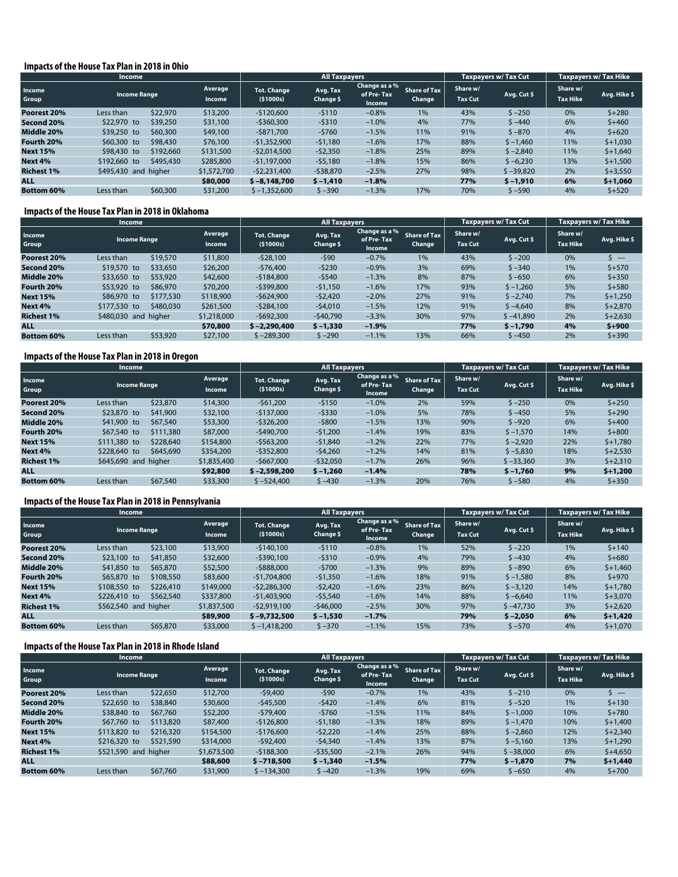#### **Impacts of the House Tax Plan in 2018 in Ohio**

| <b>Income</b>     |                      |           |                   |                                | <b>All Taxpayers</b>  |                                       |                               | <b>Taxpayers w/ Tax Cut</b> |             | <b>Taxpayers w/ Tax Hike</b> |              |
|-------------------|----------------------|-----------|-------------------|--------------------------------|-----------------------|---------------------------------------|-------------------------------|-----------------------------|-------------|------------------------------|--------------|
| Income<br>Group   | <b>Income Range</b>  |           | Average<br>Income | <b>Tot. Change</b><br>(51000s) | Avg. Tax<br>Change \$ | Change as a %<br>of Pre-Tax<br>Income | <b>Share of Tax</b><br>Change | Share w/<br><b>Tax Cut</b>  | Avg. Cut \$ | Share w/<br><b>Tax Hike</b>  | Avg. Hike \$ |
| Poorest 20%       | Less than            | \$22,970  | \$13,200          | $-$120,600$                    | $-5110$               | $-0.8%$                               | 1%                            | 43%                         | $5 - 250$   | 0%                           | $5 + 280$    |
| Second 20%        | \$22,970 to          | \$39,250  | \$31,100          | $-5360,300$                    | $-5310$               | $-1.0%$                               | 4%                            | 77%                         | $$ -440$    | 6%                           | $$+460$      |
| Middle 20%        | \$39,250 to          | \$60,300  | \$49,100          | $-5871.700$                    | $-5760$               | $-1.5%$                               | 11%                           | 91%                         | $$ -870$    | 4%                           | $5 + 620$    |
| Fourth 20%        | \$60,300 to          | \$98,430  | \$76,100          | $-$1,352,900$                  | $-51,180$             | $-1.6%$                               | 17%                           | 88%                         | $$ -1,460$  | 11%                          | $$+1,030$    |
| <b>Next 15%</b>   | \$98,430 to          | \$192,660 | \$131,500         | $-$ \$2,014,500                | $-52,350$             | $-1.8%$                               | 25%                           | 89%                         | $$ -2,840$  | 11%                          | $$+1,640$    |
| Next 4%           | \$192,660 to         | \$495,430 | \$285,800         | $-51,197,000$                  | $-55,180$             | $-1.8%$                               | 15%                           | 86%                         | $$ -6,230$  | 13%                          | $$+1,500$    |
| <b>Richest 1%</b> | \$495,430 and higher |           | \$1,572,700       | $-52,231,400$                  | $-538,870$            | $-2.5%$                               | 27%                           | 98%                         | $$ -39,820$ | 2%                           | $$+3,550$    |
| <b>ALL</b>        |                      |           | \$80,000          | $$ -8.148.700$                 | $$ -1,410$            | $-1.8%$                               |                               | 77%                         | $$ -1,910$  | 6%                           | $$+1,060$    |
| <b>Bottom 60%</b> | Less than            | \$60,300  | \$31,200          | $$ -1,352,600$                 | $$ -390$              | $-1.3%$                               | 17%                           | 70%                         | \$ –590     | 4%                           | $$+520$      |

#### **Impacts of the House Tax Plan in 2018 in Oklahoma**

|                   | <b>Income</b>             |                   | <b>All Taxpayers</b>             |                       |                                       |                               | <b>Taxpayers w/ Tax Cut</b> | <b>Taxpayers w/ Tax Hike</b> |                             |                          |
|-------------------|---------------------------|-------------------|----------------------------------|-----------------------|---------------------------------------|-------------------------------|-----------------------------|------------------------------|-----------------------------|--------------------------|
| Income<br>Group   | <b>Income Range</b>       | Average<br>Income | <b>Tot. Change</b><br>( \$1000s) | Avg. Tax<br>Change \$ | Change as a %<br>of Pre-Tax<br>Income | <b>Share of Tax</b><br>Change | Share w/<br><b>Tax Cut</b>  | Avg. Cut \$                  | Share w/<br><b>Tax Hike</b> | Avg. Hike \$             |
| Poorest 20%       | \$19,570<br>Less than     | \$11,800          | $-528,100$                       | $-590$                | $-0.7%$                               | 1%                            | 43%                         | $$ -200$                     | 0%                          | $\overline{\phantom{a}}$ |
| Second 20%        | \$33,650<br>\$19,570 to   | \$26,200          | $-576,400$                       | $-5230$               | $-0.9%$                               | 3%                            | 69%                         | $$ -340$                     | 1%                          | $$+570$                  |
| Middle 20%        | \$33,650 to<br>\$53,920   | \$42,600          | $-5184.800$                      | $-5540$               | $-1.3%$                               | 8%                            | 87%                         | $$ -650$                     | 6%                          | $$+350$                  |
| Fourth 20%        | \$86,970<br>\$53,920 to   | \$70,200          | $-$ \$399,800                    | $-51,150$             | $-1.6%$                               | 17%                           | 93%                         | $$ -1,260$                   | 5%                          | $$+580$                  |
| <b>Next 15%</b>   | \$86,970 to<br>\$177,530  | \$118,900         | $-5624,900$                      | $-52,420$             | $-2.0%$                               | 27%                           | 91%                         | $$ -2,740$                   | 7%                          | $$+1,250$                |
| Next 4%           | \$480,030<br>\$177,530 to | \$261,500         | $-5284.100$                      | $-54,010$             | $-1.5%$                               | 12%                           | 91%                         | $$ -4,640$                   | 8%                          | $$+2,870$                |
| <b>Richest 1%</b> | \$480,030 and higher      | \$1,218,000       | $-5692,300$                      | $-540,790$            | $-3.3%$                               | 30%                           | 97%                         | $$ -41,890$                  | 2%                          | $$+2,630$                |
| <b>ALL</b>        |                           | \$70,800          | $$ -2.290.400$                   | $$ -1,330$            | $-1.9%$                               |                               | 77%                         | $$ -1,790$                   | 4%                          | $$+900$                  |
| <b>Bottom 60%</b> | \$53,920<br>Less than     | \$27,100          | $$ -289,300$                     | $$ -290$              | $-1.1%$                               | 13%                           | 66%                         | $$ -450$                     | 2%                          | $$+390$                  |

# **Impacts of the House Tax Plan in 2018 in Oregon**

|                   | <b>Income</b>        |           |                   |                                  | <b>All Taxpayers</b>  |                                       |                               |                            | Taxpayers w/ Tax Cut | Taxpayers w/Tax Hike        |              |
|-------------------|----------------------|-----------|-------------------|----------------------------------|-----------------------|---------------------------------------|-------------------------------|----------------------------|----------------------|-----------------------------|--------------|
| Income<br>Group   | <b>Income Range</b>  |           | Average<br>Income | <b>Tot. Change</b><br>( \$1000s) | Avg. Tax<br>Change \$ | Change as a %<br>of Pre-Tax<br>Income | <b>Share of Tax</b><br>Change | Share w/<br><b>Tax Cut</b> | Avg. Cut \$          | Share w/<br><b>Tax Hike</b> | Avg. Hike \$ |
| Poorest 20%       | Less than            | \$23,870  | \$14,300          | $-561.200$                       | $-5150$               | $-1.0%$                               | 2%                            | 59%                        | $$ -250$             | 0%                          | $$+250$      |
| Second 20%        | \$23,870 to          | \$41,900  | \$32,100          | $-5137.000$                      | $-5330$               | $-1.0%$                               | 5%                            | 78%                        | $$ -450$             | 5%                          | $5 + 290$    |
| Middle 20%        | \$41,900 to          | \$67,540  | \$53,300          | $-5326.200$                      | $-5800$               | $-1.5%$                               | 13%                           | 90%                        | $$ -920$             | 6%                          | $5 + 400$    |
| Fourth 20%        | \$67,540 to          | \$111,380 | \$87,000          | $-5490.700$                      | $-51,200$             | $-1.4%$                               | 19%                           | 83%                        | $$ -1,570$           | 14%                         | $5 + 800$    |
| <b>Next 15%</b>   | \$111,380 to         | \$228,640 | \$154,800         | $-5563,200$                      | $-51.840$             | $-1.2%$                               | 22%                           | 77%                        | $$ -2,920$           | 22%                         | $$+1,780$    |
| Next 4%           | \$228,640 to         | \$645,690 | \$354,200         | $-$ \$352,800                    | $-54,260$             | $-1.2%$                               | 14%                           | 81%                        | $$ -5,830$           | 18%                         | $$+2,530$    |
| <b>Richest 1%</b> | \$645,690 and higher |           | \$1,835,400       | $-5667.000$                      | $-532,050$            | $-1.7%$                               | 26%                           | 96%                        | $$ -33,360$          | 3%                          | $$+2,310$    |
| <b>ALL</b>        |                      |           | \$92,800          | $$ -2.598.200$                   | $$ -1,260$            | $-1.4%$                               |                               | 78%                        | $$ -1.760$           | 9%                          | $5 + 1.200$  |
| <b>Bottom 60%</b> | Less than            | \$67,540  | \$33,300          | $$ -524.400$                     | $$ -430$              | $-1.3%$                               | 20%                           | 76%                        | $$ -580$             | 4%                          | $$+350$      |

#### **Impacts of the House Tax Plan in 2018 in Pennsylvania**

| Income            |                                     |           |                   | All Taxpayers                  |                       |                                       |                               | <b>Taxpayers w/ Tax Cut</b> |             | <b>Taxpayers w/ Tax Hike</b> |              |
|-------------------|-------------------------------------|-----------|-------------------|--------------------------------|-----------------------|---------------------------------------|-------------------------------|-----------------------------|-------------|------------------------------|--------------|
| Income<br>Group   | <b>Income Range</b>                 |           | Average<br>Income | <b>Tot. Change</b><br>(51000s) | Avg. Tax<br>Change \$ | Change as a %<br>of Pre-Tax<br>Income | <b>Share of Tax</b><br>Change | Share w/<br><b>Tax Cut</b>  | Avg. Cut \$ | Share w/<br><b>Tax Hike</b>  | Avg. Hike \$ |
| Poorest 20%       | Less than                           | \$23,100  | \$13,900          | $-5140.100$                    | $-5110$               | $-0.8%$                               | 1%                            | 52%                         | $5 - 220$   | 1%                           | $5 + 140$    |
| Second 20%        | $$23,100$ to                        | \$41,850  | \$32,600          | $-$ \$390,100                  | $-5310$               | $-0.9%$                               | 4%                            | 79%                         | $5 - 430$   | 4%                           | $5 + 680$    |
| Middle 20%        | \$41,850 to                         | \$65,870  | \$52,500          | $-5888.000$                    | $-5700$               | $-1.3%$                               | 9%                            | 89%                         | $$ -890$    | 6%                           | $$+1,460$    |
| Fourth 20%        | \$65,870 to                         | \$108,550 | \$83,600          | $-51.704.800$                  | $-51,350$             | $-1.6%$                               | 18%                           | 91%                         | $$ -1,580$  | 8%                           | $$+970$      |
| <b>Next 15%</b>   | \$108,550 to                        | \$226,410 | \$149,000         | $-52,286,300$                  | $-52,420$             | $-1.6%$                               | 23%                           | 86%                         | $$ -3,120$  | 14%                          | $$+1,780$    |
| Next 4%           | \$226,410 to                        | \$562,540 | \$337,800         | $-$1,403,900$                  | $-55,540$             | $-1.6%$                               | 14%                           | 88%                         | $$ -6,640$  | 11%                          | $$+3,070$    |
| <b>Richest 1%</b> | \$562,540 and higher<br>\$1,837,500 |           |                   | $-52.919.100$                  | $-546,000$            | $-2.5%$                               | 30%                           | 97%                         | $$ -47.730$ | 3%                           | $$+2,620$    |
| <b>ALL</b>        |                                     |           | \$89,900          | $$ -9.732.500$                 | $$ -1,530$            | $-1.7%$                               |                               | 79%                         | $$ -2.050$  | 6%                           | $$+1,420$    |
| <b>Bottom 60%</b> | Less than                           | \$65,870  | \$33,000          | $$ -1,418,200$                 | $$ -370$              | $-1.1%$                               | 15%                           | 73%                         | $$ -570$    | 4%                           | $$+1,070$    |

#### **Impacts of the House Tax Plan in 2018 in Rhode Island**

|                   | <b>Income</b>        |           |                   |                           | <b>All Taxpayers</b>  |                                       |                               |                            | <b>Taxpayers w/ Tax Cut</b> | <b>Taxpayers w/ Tax Hike</b> |              |
|-------------------|----------------------|-----------|-------------------|---------------------------|-----------------------|---------------------------------------|-------------------------------|----------------------------|-----------------------------|------------------------------|--------------|
| Income<br>Group   | <b>Income Range</b>  |           | Average<br>Income | Tot. Change<br>( \$1000s) | Avg. Tax<br>Change \$ | Change as a %<br>of Pre-Tax<br>Income | <b>Share of Tax</b><br>Change | Share w/<br><b>Tax Cut</b> | Avg. Cut \$                 | Share w/<br><b>Tax Hike</b>  | Avg. Hike \$ |
| Poorest 20%       | Less than            | \$22,650  | \$12,700          | $-59,400$                 | $-590$                | $-0.7%$                               | 1%                            | 43%                        | $5 - 210$                   | 0%                           | $\sim$ $-$   |
| Second 20%        | \$22,650 to          | \$38,840  | \$30,600          | $-545.500$                | $-5420$               | $-1.4%$                               | 6%                            | 81%                        | $5 - 520$                   | 1%                           | $5 + 130$    |
| Middle 20%        | \$38,840 to          | \$67,760  | \$52,200          | $-579.400$                | $-5760$               | $-1.5%$                               | 11%                           | 84%                        | $$ -1,000$                  | 10%                          | $$+780$      |
| Fourth 20%        | \$67,760 to          | \$113,820 | \$87,400          | $-5126.800$               | $-51.180$             | $-1.3%$                               | 18%                           | 89%                        | $$ -1,470$                  | 10%                          | $$+1,400$    |
| <b>Next 15%</b>   | \$113,820 to         | \$216,320 | \$154,500         | $-5176.600$               | $-52,220$             | $-1.4%$                               | 25%                           | 88%                        | $$ -2,860$                  | 12%                          | $$+2,340$    |
| Next 4%           | \$216,320 to         | \$521,590 | \$314,000         | $-592.400$                | $-54.340$             | $-1.4%$                               | 13%                           | 87%                        | $$ -5,160$                  | 13%                          | $$+1,290$    |
| <b>Richest 1%</b> | \$521,590 and higher |           | \$1,673,500       | $-5188.300$               | $-535,500$            | $-2.1%$                               | 26%                           | 94%                        | $$ -38,000$                 | 6%                           | $$+4,650$    |
| <b>ALL</b>        |                      |           | \$88,600          | $$ -718.500$              | $$ -1,340$            | $-1.5%$                               |                               | 77%                        | $$ -1.870$                  | 7%                           | $5 + 1,440$  |
| <b>Bottom 60%</b> | Less than            | \$67,760  | \$31,900          | $$ -134.300$              | $$ -420$              | $-1.3%$                               | 19%                           | 69%                        | $$ -650$                    | 4%                           | $$+700$      |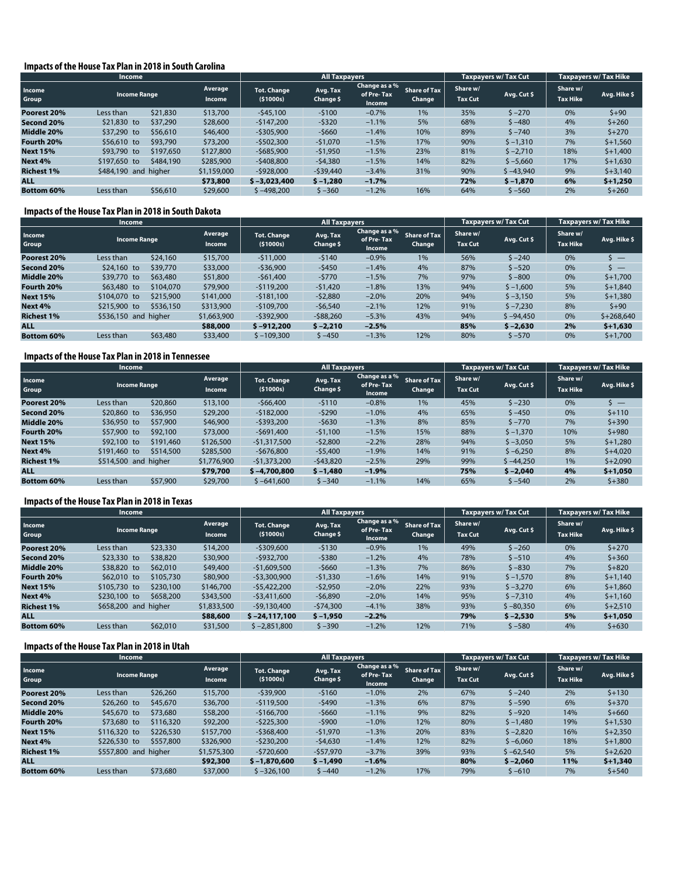#### **Impacts of the House Tax Plan in 2018 in South Carolina**

|                   | <b>Income</b>        |           |                          |                                  | <b>All Taxpayers</b>  |                                       |                               | <b>Taxpayers w/ Tax Cut</b> |             | <b>Taxpayers w/ Tax Hike</b> |              |
|-------------------|----------------------|-----------|--------------------------|----------------------------------|-----------------------|---------------------------------------|-------------------------------|-----------------------------|-------------|------------------------------|--------------|
| Income<br>Group   | <b>Income Range</b>  |           | Average<br><b>Income</b> | <b>Tot. Change</b><br>( \$1000s) | Avg. Tax<br>Change \$ | Change as a %<br>of Pre-Tax<br>Income | <b>Share of Tax</b><br>Change | Share w/<br><b>Tax Cut</b>  | Avg. Cut \$ | Share w/<br><b>Tax Hike</b>  | Avg. Hike \$ |
| Poorest 20%       | Less than            | \$21,830  | \$13,700                 | $-545.100$                       | $-5100$               | $-0.7%$                               | $1\%$                         | 35%                         | $5 - 270$   | 0%                           | $$+90$       |
| Second 20%        | \$21,830 to          | \$37,290  | \$28,600                 | $-5147.200$                      | $-5320$               | $-1.1%$                               | 5%                            | 68%                         | $5 - 480$   | 4%                           | $$+260$      |
| Middle 20%        | \$37,290 to          | \$56,610  | \$46,400                 | $-$ \$305,900                    | $-5660$               | $-1.4%$                               | 10%                           | 89%                         | $5 - 740$   | 3%                           | $5 + 270$    |
| Fourth 20%        | \$56,610 to          | \$93,790  | \$73,200                 | $-$502,300$                      | $-51,070$             | $-1.5%$                               | 17%                           | 90%                         | $$ -1,310$  | 7%                           | $$+1,560$    |
| <b>Next 15%</b>   | \$93,790 to          | \$197,650 | \$127,800                | $-5685,900$                      | $-51,950$             | $-1.5%$                               | 23%                           | 81%                         | $$ -2,710$  | 18%                          | $$+1,400$    |
| Next 4%           | \$197,650 to         | \$484,190 | \$285,900                | $-5408.800$                      | $-54,380$             | $-1.5%$                               | 14%                           | 82%                         | $$ -5,660$  | 17%                          | $$+1,630$    |
| <b>Richest 1%</b> | \$484,190 and higher |           | \$1,159,000              | $-5928.000$                      | $-539,440$            | $-3.4%$                               | 31%                           | 90%                         | $$ -43,940$ | 9%                           | $$+3,140$    |
| <b>ALL</b>        |                      |           | \$73,800                 | $$ -3.023.400$                   | $$ -1,280$            | $-1.7%$                               |                               | 72%                         | $$ -1,870$  | 6%                           | $$+1,250$    |
| <b>Bottom 60%</b> | Less than            | \$56,610  | \$29,600                 | $$ -498,200$                     | $$ -360$              | $-1.2%$                               | 16%                           | 64%                         | $$ -560$    | 2%                           | $$+260$      |

#### **Impacts of the House Tax Plan in 2018 in South Dakota**

|                   | Income                    | <b>All Taxpayers</b>     |                         |                       |                                       |                               | <b>Taxpayers w/ Tax Cut</b> | <b>Taxpayers w/ Tax Hike</b> |                             |                          |
|-------------------|---------------------------|--------------------------|-------------------------|-----------------------|---------------------------------------|-------------------------------|-----------------------------|------------------------------|-----------------------------|--------------------------|
| Income<br>Group   | <b>Income Range</b>       | Average<br><b>Income</b> | Tot. Change<br>(51000s) | Avg. Tax<br>Change \$ | Change as a %<br>of Pre-Tax<br>Income | <b>Share of Tax</b><br>Change | Share w/<br><b>Tax Cut</b>  | Avg. Cut \$                  | Share w/<br><b>Tax Hike</b> | Avg. Hike \$             |
| Poorest 20%       | \$24,160<br>Less than     | \$15,700                 | $-511,000$              | $-5140$               | $-0.9%$                               | 1%                            | 56%                         | $5 - 240$                    | 0%                          | $\overline{\phantom{0}}$ |
| Second 20%        | \$39,770<br>\$24,160 to   | \$33,000                 | $-536.900$              | $-5450$               | $-1.4%$                               | 4%                            | 87%                         | $5 - 520$                    | 0%                          | \  —                     |
| Middle 20%        | \$39,770 to<br>\$63,480   | \$51,800                 | $-561,400$              | $-5770$               | $-1.5%$                               | 7%                            | 97%                         | $$ -800$                     | 0%                          | $$+1,700$                |
| Fourth 20%        | \$63,480 to<br>\$104,070  | \$79,900                 | $-$119,200$             | $-51,420$             | $-1.8%$                               | 13%                           | 94%                         | $$ -1,600$                   | 5%                          | $$+1,840$                |
| <b>Next 15%</b>   | \$215,900<br>\$104,070 to | \$141,000                | $-5181.100$             | $-52,880$             | $-2.0%$                               | 20%                           | 94%                         | $$ -3,150$                   | 5%                          | $$+1,380$                |
| Next 4%           | \$536,150<br>\$215,900 to | \$313,900                | $-$109,700$             | $-56,540$             | $-2.1%$                               | 12%                           | 91%                         | $$ -7,230$                   | 8%                          | $5 + 90$                 |
| <b>Richest 1%</b> | \$536,150 and higher      | \$1,663,900              | $-$ \$392,900           | $-588,260$            | $-5.3%$                               | 43%                           | 94%                         | $$ -94.450$                  | 0%                          | $$+268.640$              |
| <b>ALL</b>        |                           | \$88,000                 | $$ -912,200$            | $$ -2.210$            | $-2.5%$                               |                               | 85%                         | $$ -2.630$                   | 2%                          | $$+1,630$                |
| <b>Bottom 60%</b> | \$63,480<br>Less than     | \$33,400                 | $$ -109,300$            | $$ -450$              | $-1.3%$                               | 12%                           | 80%                         | $$ -570$                     | 0%                          | $$+1,700$                |

#### **Impacts of the House Tax Plan in 2018 in Tennessee**

|                   | <b>Income</b>                       | <b>All Taxpayers</b>   |                                  |                       |                                       | Taxpayers w/ Tax Cut          |                            | Taxpayers w/Tax Hike |                             |                          |
|-------------------|-------------------------------------|------------------------|----------------------------------|-----------------------|---------------------------------------|-------------------------------|----------------------------|----------------------|-----------------------------|--------------------------|
| Income<br>Group   | <b>Income Range</b>                 | Average<br>Income      | <b>Tot. Change</b><br>( \$1000s) | Avg. Tax<br>Change \$ | Change as a %<br>of Pre-Tax<br>Income | <b>Share of Tax</b><br>Change | Share w/<br><b>Tax Cut</b> | Avg. Cut \$          | Share w/<br><b>Tax Hike</b> | Avg. Hike \$             |
| Poorest 20%       | Less than                           | \$20,860<br>\$13,100   | $-566,400$                       | $-5110$               | $-0.8%$                               | 1%                            | 45%                        | $$ -230$             | 0%                          | $\overline{\phantom{a}}$ |
| Second 20%        | \$20,860 to                         | \$36,950<br>\$29,200   | $-5182.000$                      | $-5290$               | $-1.0%$                               | 4%                            | 65%                        | $$ -450$             | 0%                          | $5 + 110$                |
| Middle 20%        | \$36,950 to                         | \$57,900<br>\$46,900   | $-5393.200$                      | $-5630$               | $-1.3%$                               | 8%                            | 85%                        | $S - 770$            | 7%                          | $$+390$                  |
| Fourth 20%        | \$57,900 to                         | \$92,100<br>\$73,000   | $-5691.400$                      | $-51,100$             | $-1.5%$                               | 15%                           | 88%                        | $$ -1,370$           | 10%                         | $$+980$                  |
| <b>Next 15%</b>   | \$92,100 to                         | \$191,460<br>\$126,500 | $-$1,317,500$                    | $-52,800$             | $-2.2%$                               | 28%                           | 94%                        | $$ -3,050$           | 5%                          | $$+1,280$                |
| Next 4%           | \$191,460 to                        | \$514,500<br>\$285,500 | $-5676.800$                      | $-55,400$             | $-1.9%$                               | 14%                           | 91%                        | $$ -6,250$           | 8%                          | $$+4,020$                |
| <b>Richest 1%</b> | \$514,500 and higher<br>\$1,776,900 |                        | $-$1,373,200$                    | $-543,820$            | $-2.5%$                               | 29%                           | 99%                        | $$ -44.250$          | 1%                          | $$+2,090$                |
| <b>ALL</b>        |                                     | \$79,700               | $$ -4.700.800$                   | $$ -1,480$            | $-1.9%$                               |                               | 75%                        | $$ -2.040$           | 4%                          | $$+1,050$                |
| <b>Bottom 60%</b> | Less than                           | \$57,900<br>\$29,700   | $$ -641.600$                     | $$ -340$              | $-1.1%$                               | 14%                           | 65%                        | $$ -540$             | 2%                          | $$+380$                  |

#### **Impacts of the House Tax Plan in 2018 in Texas**

| Income            |                      |           |                   | <b>All Taxpayers</b>           |                       |                                       |                               | <b>Taxpayers w/ Tax Cut</b> |             | <b>Taxpayers w/ Tax Hike</b> |              |
|-------------------|----------------------|-----------|-------------------|--------------------------------|-----------------------|---------------------------------------|-------------------------------|-----------------------------|-------------|------------------------------|--------------|
| Income<br>Group   | <b>Income Range</b>  |           | Average<br>Income | <b>Tot. Change</b><br>(51000s) | Avg. Tax<br>Change \$ | Change as a %<br>of Pre-Tax<br>Income | <b>Share of Tax</b><br>Change | Share w/<br><b>Tax Cut</b>  | Avg. Cut \$ | Share w/<br><b>Tax Hike</b>  | Avg. Hike \$ |
| Poorest 20%       | Less than            | \$23,330  | \$14,200          | $-5309.600$                    | $-5130$               | $-0.9%$                               | 1%                            | 49%                         | $5 - 260$   | 0%                           | $5 + 270$    |
| Second 20%        | $$23,330$ to         | \$38,820  | \$30,900          | $-5932.700$                    | $-5380$               | $-1.2%$                               | 4%                            | 78%                         | $$ -510$    | 4%                           | $$+360$      |
| Middle 20%        | \$38,820 to          | \$62,010  | \$49,400          | $-51,609,500$                  | $-5660$               | $-1.3%$                               | 7%                            | 86%                         | $$ -830$    | 7%                           | $5 + 820$    |
| Fourth 20%        | \$62,010 to          | \$105,730 | \$80,900          | $-53,300,900$                  | $-51,330$             | $-1.6%$                               | 14%                           | 91%                         | $$ -1,570$  | 8%                           | $$+1,140$    |
| <b>Next 15%</b>   | \$105,730 to         | \$230,100 | \$146,700         | $-$5,422,200$                  | $-52,950$             | $-2.0%$                               | 22%                           | 93%                         | $$ -3,270$  | 6%                           | $$+1,860$    |
| Next 4%           | \$230,100 to         | \$658,200 | \$343,500         | $-53.411.600$                  | $-56,890$             | $-2.0%$                               | 14%                           | 95%                         | $$ -7,310$  | 4%                           | $$+1,160$    |
| <b>Richest 1%</b> | \$658,200 and higher |           | \$1,833,500       | $-59.130.400$                  | $-574.300$            | $-4.1%$                               | 38%                           | 93%                         | $$ -80,350$ | 6%                           | $$+2,510$    |
| <b>ALL</b>        |                      |           | \$88,600          | $$ -24.117.100$                | $$ -1,950$            | $-2.2%$                               |                               | 79%                         | $$ -2.530$  | 5%                           | $$+1,050$    |
| <b>Bottom 60%</b> | Less than            | \$62,010  | \$31,500          | $$ -2,851,800$                 | $$ -390$              | $-1.2%$                               | 12%                           | 71%                         | \$ –580     | 4%                           | $$+630$      |

#### **Impacts of the House Tax Plan in 2018 in Utah**

|                   | <b>Income</b>           |           |                          |                                  | <b>All Taxpayers</b>  |                                       |                        | <b>Taxpayers w/ Tax Cut</b> |             | Taxpayers w/ Tax Hike       |              |
|-------------------|-------------------------|-----------|--------------------------|----------------------------------|-----------------------|---------------------------------------|------------------------|-----------------------------|-------------|-----------------------------|--------------|
| Income<br>Group   | <b>Income Range</b>     |           | Average<br><b>Income</b> | <b>Tot. Change</b><br>( \$1000s) | Avg. Tax<br>Change \$ | Change as a %<br>of Pre-Tax<br>Income | Share of Tax<br>Change | Share w/<br><b>Tax Cut</b>  | Avg. Cut \$ | Share w/<br><b>Tax Hike</b> | Avg. Hike \$ |
| Poorest 20%       | Less than               | \$26,260  | \$15,700                 | $-539.900$                       | $-5160$               | $-1.0%$                               | 2%                     | 67%                         | $5 - 240$   | 2%                          | $$+130$      |
| Second 20%        | \$26,260 to<br>\$45,670 |           | \$36,700                 | $-5119.500$                      | $-5490$               | $-1.3%$                               | 6%                     | 87%                         | $$ -590$    | 6%                          | $$+370$      |
| Middle 20%        | \$45,670 to             | \$73,680  | \$58,200                 | $-5166.700$                      | $-5660$               | $-1.1%$                               | 9%                     | 82%                         | $5 - 920$   | 14%                         | $$+660$      |
| Fourth 20%        | \$73,680 to             | \$116,320 | \$92,200                 | $-5225.300$                      | $-5900$               | $-1.0%$                               | 12%                    | 80%                         | $$ -1,480$  | 19%                         | $$+1,530$    |
| <b>Next 15%</b>   | \$116,320 to            | \$226,530 | \$157,700                | $-5368,400$                      | $-51.970$             | $-1.3%$                               | 20%                    | 83%                         | $$ -2,820$  | 16%                         | $$+2,350$    |
| Next 4%           | \$226,530 to            | \$557,800 | \$326,900                | $-5230,200$                      | $-54,630$             | $-1.4%$                               | 12%                    | 82%                         | $$ -6,060$  | 18%                         | $$+1,800$    |
| <b>Richest 1%</b> | \$557,800 and higher    |           | \$1,575,300              | $-5720.600$                      | $-557,970$            | $-3.7%$                               | 39%                    | 93%                         | $$ -62.540$ | 5%                          | $$+2,620$    |
| <b>ALL</b>        |                         |           | \$92,300                 | $$ -1.870.600$                   | $$ -1,490$            | $-1.6%$                               |                        | 80%                         | $$ -2.060$  | 11%                         | $$+1,340$    |
| <b>Bottom 60%</b> | Less than               | \$73,680  | \$37,000                 | $$ -326,100$                     | $$ -440$              | $-1.2%$                               | 17%                    | 79%                         | $$ -610$    | 7%                          | $$+540$      |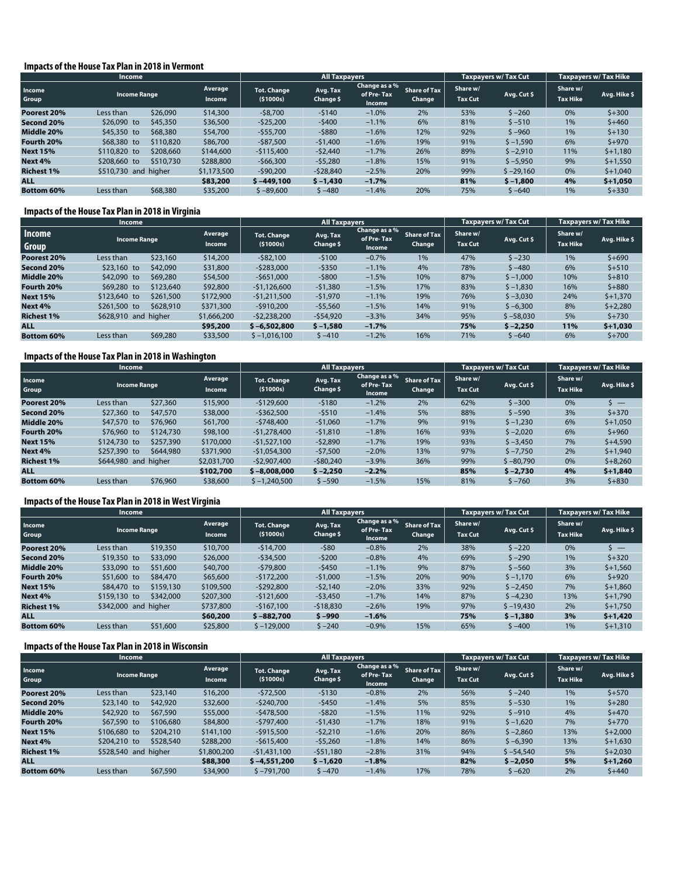#### **Impacts of the House Tax Plan in 2018 in Vermont**

|                   | <b>Income</b>                       |           |                   |                                | <b>All Taxpayers</b>  |                                       |                               | <b>Taxpayers w/ Tax Cut</b> |             | <b>Taxpayers w/ Tax Hike</b> |              |
|-------------------|-------------------------------------|-----------|-------------------|--------------------------------|-----------------------|---------------------------------------|-------------------------------|-----------------------------|-------------|------------------------------|--------------|
| Income<br>Group   | <b>Income Range</b>                 |           | Average<br>Income | <b>Tot. Change</b><br>(51000s) | Avg. Tax<br>Change \$ | Change as a %<br>of Pre-Tax<br>Income | <b>Share of Tax</b><br>Change | Share w/<br><b>Tax Cut</b>  | Avg. Cut \$ | Share w/<br><b>Tax Hike</b>  | Avg. Hike \$ |
| Poorest 20%       | Less than                           | \$26,090  | \$14,300          | $-58,700$                      | $-5140$               | $-1.0%$                               | 2%                            | 53%                         | $5 - 260$   | 0%                           | $5 + 300$    |
| Second 20%        | \$26,090 to<br>\$45,350             |           | \$36,500          | $-525,200$                     | $-5400$               | $-1.1%$                               | 6%                            | 81%                         | $$ -510$    | 1%                           | $$+460$      |
| Middle 20%        | \$45,350 to                         | \$68,380  | \$54,700          | $-$55,700$                     | $-5880$               | $-1.6%$                               | 12%                           | 92%                         | $$ -960$    | 1%                           | $5 + 130$    |
| Fourth 20%        | \$68,380 to                         | \$110,820 | \$86,700          | $-$87,500$                     | $-51,400$             | $-1.6%$                               | 19%                           | 91%                         | $$ -1,590$  | 6%                           | $$+970$      |
| <b>Next 15%</b>   | \$110,820 to                        | \$208,660 | \$144,600         | $-5115,400$                    | $-52,440$             | $-1.7%$                               | 26%                           | 89%                         | $$ -2,910$  | 11%                          | $$+1,180$    |
| Next 4%           | \$208,660 to                        | \$510,730 | \$288,800         | $-566,300$                     | $-55,280$             | $-1.8%$                               | 15%                           | 91%                         | $$ -5,950$  | 9%                           | $$+1,550$    |
| <b>Richest 1%</b> | \$510,730 and higher<br>\$1,173,500 |           | $-590.200$        | $-528,840$                     | $-2.5%$               | 20%                                   | 99%                           | $$ -29,160$                 | 0%          | $$+1,040$                    |              |
| <b>ALL</b>        |                                     |           | \$83,200          | $$ -449,100$                   | $$ -1,430$            | $-1.7%$                               |                               | 81%                         | $$ -1,800$  | 4%                           | $$+1,050$    |
| <b>Bottom 60%</b> | Less than                           | \$68,380  | \$35,200          | $$ -89,600$                    | $$ -480$              | $-1.4%$                               | 20%                           | 75%                         | \$ –640     | 1%                           | $5 + 330$    |

#### **Impacts of the House Tax Plan in 2018 in Virginia**

|                   | <b>Income</b>                            |           |                                  | All Taxpayers         |                                       |                               | <b>Taxpayers w/ Tax Cut</b> |             | <b>Taxpayers w/ Tax Hike</b> |              |
|-------------------|------------------------------------------|-----------|----------------------------------|-----------------------|---------------------------------------|-------------------------------|-----------------------------|-------------|------------------------------|--------------|
| Income<br>Group   | Average<br><b>Income Range</b><br>Income |           | <b>Tot. Change</b><br>( \$1000s) | Avg. Tax<br>Change \$ | Change as a %<br>of Pre-Tax<br>Income | <b>Share of Tax</b><br>Change | Share w/<br><b>Tax Cut</b>  | Avg. Cut \$ | Share w/<br><b>Tax Hike</b>  | Avg. Hike \$ |
| Poorest 20%       | \$23,160<br>Less than                    | \$14,200  | $-$ \$82,100                     | $-5100$               | $-0.7%$                               | 1%                            | 47%                         | $$ -230$    | 1%                           | $$+690$      |
| Second 20%        | \$23,160 to<br>\$42,090                  | \$31,800  | $-5283,000$                      | $-5350$               | $-1.1%$                               | 4%                            | 78%                         | $$ -480$    | 6%                           | $$+510$      |
| Middle 20%        | \$42,090 to<br>\$69,280                  | \$54,500  | $-5651.000$                      | $-5800$               | $-1.5%$                               | 10%                           | 87%                         | $$ -1,000$  | 10%                          | $5 + 810$    |
| Fourth 20%        | $$69,280$ to<br>\$123,640                | \$92,800  | $-51,126,600$                    | $-51,380$             | $-1.5%$                               | 17%                           | 83%                         | $$ -1,830$  | 16%                          | $$+880$      |
| <b>Next 15%</b>   | \$123,640 to<br>\$261,500                | \$172,900 | $-51,211,500$                    | $-51,970$             | $-1.1%$                               | 19%                           | 76%                         | $$ -3,030$  | 24%                          | $$+1,370$    |
| Next 4%           | \$261,500 to<br>\$628,910                | \$371,300 | $-$ \$910.200                    | $-55,560$             | $-1.5%$                               | 14%                           | 91%                         | $$ -6,300$  | 8%                           | $$+2,280$    |
| <b>Richest 1%</b> | \$628,910 and higher<br>\$1,666,200      |           | $-52,238,200$                    | $-554,920$            | $-3.3%$                               | 34%                           | 95%                         | $$ -58,030$ | 5%                           | $$+730$      |
| <b>ALL</b>        |                                          | \$95,200  | $$ -6.502.800$                   | $$ -1,580$            | $-1.7%$                               |                               | 75%                         | $$ -2.250$  | 11%                          | $$+1,030$    |
| <b>Bottom 60%</b> | \$69,280<br>Less than                    | \$33,500  | $$ -1,016,100$                   | $5 - 410$             | $-1.2%$                               | 16%                           | 71%                         | $$ -640$    | 6%                           | $$+700$      |

#### **Impacts of the House Tax Plan in 2018 in Washington**

|                   | <b>Income</b>                       |           |                   |                                  | <b>All Taxpayers</b>  |                                       |                               | Taxpayers w/ Tax Cut       |             | Taxpayers w/Tax Hike        |                          |
|-------------------|-------------------------------------|-----------|-------------------|----------------------------------|-----------------------|---------------------------------------|-------------------------------|----------------------------|-------------|-----------------------------|--------------------------|
| Income<br>Group   | <b>Income Range</b>                 |           | Average<br>Income | <b>Tot. Change</b><br>( \$1000s) | Avg. Tax<br>Change \$ | Change as a %<br>of Pre-Tax<br>Income | <b>Share of Tax</b><br>Change | Share w/<br><b>Tax Cut</b> | Avg. Cut \$ | Share w/<br><b>Tax Hike</b> | Avg. Hike \$             |
| Poorest 20%       | Less than                           | \$27,360  | \$15,900          | $-$129,600$                      | $-5180$               | $-1.2%$                               | 2%                            | 62%                        | $$ -300$    | 0%                          | $\overline{\phantom{a}}$ |
| Second 20%        | \$27,360 to<br>\$47,570             |           | \$38,000          | $-5362.500$                      | $-5510$               | $-1.4%$                               | 5%                            | 88%                        | $$ -590$    | 3%                          | $$+370$                  |
| Middle 20%        | \$76,960<br>\$47,570 to             |           | \$61,700          | $-5748.400$                      | $-51,060$             | $-1.7%$                               | 9%                            | 91%                        | $$ -1,230$  | 6%                          | $$+1.050$                |
| Fourth 20%        | \$76,960 to                         | \$124,730 | \$98,100          | $-$1,278,400$                    | $-51,810$             | $-1.8%$                               | 16%                           | 93%                        | $$ -2,020$  | 6%                          | $$+960$                  |
| <b>Next 15%</b>   | \$124,730 to                        | \$257,390 | \$170,000         | $-51.527.100$                    | $-52,890$             | $-1.7%$                               | 19%                           | 93%                        | $$ -3,450$  | 7%                          | $$+4,590$                |
| Next 4%           | \$257,390 to                        | \$644,980 | \$371,900         | $-$1,054,300$                    | $-57,500$             | $-2.0%$                               | 13%                           | 97%                        | $$ -7,750$  | 2%                          | $$+1,940$                |
| <b>Richest 1%</b> | \$644,980 and higher<br>\$2,031,700 |           |                   | $-52.907.400$                    | $-580,240$            | $-3.9%$                               | 36%                           | 99%                        | $$ -80,790$ | 0%                          | $$+8,260$                |
| <b>ALL</b>        |                                     |           | \$102,700         | $$ -8.008.000$                   | $$ -2.250$            | $-2.2%$                               |                               | 85%                        | $$ -2.730$  | 4%                          | $5 + 1.840$              |
| <b>Bottom 60%</b> | Less than                           | \$76,960  | \$38,600          | $$ -1,240,500$                   | $$ -590$              | $-1.5%$                               | 15%                           | 81%                        | $$ -760$    | 3%                          | $5 + 830$                |

#### **Impacts of the House Tax Plan in 2018 in West Virginia**

|                   | Income                                          |           |             |                           | <b>All Taxpayers</b>  |                                       |                               | <b>Taxpayers w/ Tax Cut</b> |             | <b>Taxpayers w/ Tax Hike</b> |              |
|-------------------|-------------------------------------------------|-----------|-------------|---------------------------|-----------------------|---------------------------------------|-------------------------------|-----------------------------|-------------|------------------------------|--------------|
| Income<br>Group   | Average<br><b>Income Range</b><br><b>Income</b> |           |             | Tot. Change<br>( \$1000s) | Avg. Tax<br>Change \$ | Change as a %<br>of Pre-Tax<br>Income | <b>Share of Tax</b><br>Change | Share w/<br><b>Tax Cut</b>  | Avg. Cut \$ | Share w/<br><b>Tax Hike</b>  | Avg. Hike \$ |
| Poorest 20%       | Less than                                       | \$19,350  | \$10,700    | $-514,700$                | $-580$                | $-0.8%$                               | 2%                            | 38%                         | $$ -220$    | 0%                           |              |
| Second 20%        | \$33,090<br>$$19,350$ to<br>\$26,000            |           |             | $-534,500$                | $-5200$               | $-0.8%$                               | 4%                            | 69%                         | $5 - 290$   | 1%                           | $5 + 320$    |
| Middle 20%        | \$33,090 to                                     | \$51,600  | \$40,700    | $-579.800$                | $-5450$               | $-1.1%$                               | 9%                            | 87%                         | $$ -560$    | 3%                           | $$+1,560$    |
| Fourth 20%        | \$51,600 to                                     | \$84,470  | \$65,600    | $-5172,200$               | $-51,000$             | $-1.5%$                               | 20%                           | 90%                         | $$ -1,170$  | 6%                           | $5 + 920$    |
| <b>Next 15%</b>   | \$84,470 to                                     | \$159,130 | \$109,500   | $-5292,800$               | $-52,140$             | $-2.0%$                               | 33%                           | 92%                         | $$ -2,450$  | 7%                           | $$+1,860$    |
| Next 4%           | \$159,130 to                                    | \$342,000 | \$207,300   | $-5121,600$               | $-$ \$3,450           | $-1.7%$                               | 14%                           | 87%                         | $$ -4,230$  | 13%                          | $$+1,790$    |
| <b>Richest 1%</b> | \$342,000 and higher<br>\$737,800               |           | $-5167.100$ | $-518,830$                | $-2.6%$               | 19%                                   | 97%                           | $$ -19,430$                 | 2%          | $$+1,750$                    |              |
| <b>ALL</b>        |                                                 |           | \$60,200    | $$ -882.700$              | $$ -990$              | $-1.6%$                               |                               | 75%                         | $$ -1.380$  | 3%                           | $$+1,420$    |
| <b>Bottom 60%</b> | Less than                                       | \$51,600  | \$25,800    | $$ -129,000$              | $5 - 240$             | $-0.9%$                               | 15%                           | 65%                         | \$ –400     | 1%                           | $$+1,310$    |

#### **Impacts of the House Tax Plan in 2018 in Wisconsin**

|                   | <b>Income</b>                            |           |             | <b>All Taxpayers</b>      |                       |                                       |                               | Taxpayers w/ Tax Cut       |             | Taxpayers w/Tax Hike        |              |
|-------------------|------------------------------------------|-----------|-------------|---------------------------|-----------------------|---------------------------------------|-------------------------------|----------------------------|-------------|-----------------------------|--------------|
| Income<br>Group   | Average<br><b>Income Range</b><br>Income |           |             | Tot. Change<br>( \$1000s) | Avg. Tax<br>Change \$ | Change as a %<br>of Pre-Tax<br>Income | <b>Share of Tax</b><br>Change | Share w/<br><b>Tax Cut</b> | Avg. Cut \$ | Share w/<br><b>Tax Hike</b> | Avg. Hike \$ |
| Poorest 20%       | Less than                                | \$23,140  | \$16,200    | $-572.500$                | $-5130$               | $-0.8%$                               | 2%                            | 56%                        | $5 - 240$   | 1%                          | $$+570$      |
| Second 20%        | \$23,140 to<br>\$42,920                  |           | \$32,600    | $-5240.700$               | $-5450$               | $-1.4%$                               | 5%                            | 85%                        | $5 - 530$   | 1%                          | $5 + 280$    |
| Middle 20%        | \$42,920 to<br>\$67,590                  |           | \$55,000    | $-5478.500$               | $-5820$               | $-1.5%$                               | 11%                           | 92%                        | $$ -910$    | 4%                          | $$+470$      |
| Fourth 20%        | \$67,590 to                              | \$106,680 | \$84,800    | $-5797.400$               | $-51.430$             | $-1.7%$                               | 18%                           | 91%                        | $$ -1,620$  | 7%                          | $$+770$      |
| <b>Next 15%</b>   | \$106,680 to                             | \$204,210 | \$141,100   | $-5915.500$               | $-52.210$             | $-1.6%$                               | 20%                           | 86%                        | $$ -2,860$  | 13%                         | $$+2,000$    |
| Next 4%           | \$204,210 to                             | \$528,540 | \$288,200   | $-$615,400$               | $-55,260$             | $-1.8%$                               | 14%                           | 86%                        | $$ -6,390$  | 13%                         | $$+1,630$    |
| <b>Richest 1%</b> | \$528,540 and higher                     |           | \$1,800,200 | $-$1,431,100$             | $-551.180$            | $-2.8%$                               | 31%                           | 94%                        | $$ -54.540$ | 5%                          | $$+2,030$    |
| <b>ALL</b>        |                                          |           | \$88,300    | $$-4.551.200$             | $$ -1,620$            | $-1.8%$                               |                               | 82%                        | $$ -2.050$  | 5%                          | $$+1,260$    |
| <b>Bottom 60%</b> | Less than                                | \$67,590  | \$34,900    | $$ -791.700$              | $$ -470$              | $-1.4%$                               | 17%                           | 78%                        | $$ -620$    | 2%                          | $5 + 440$    |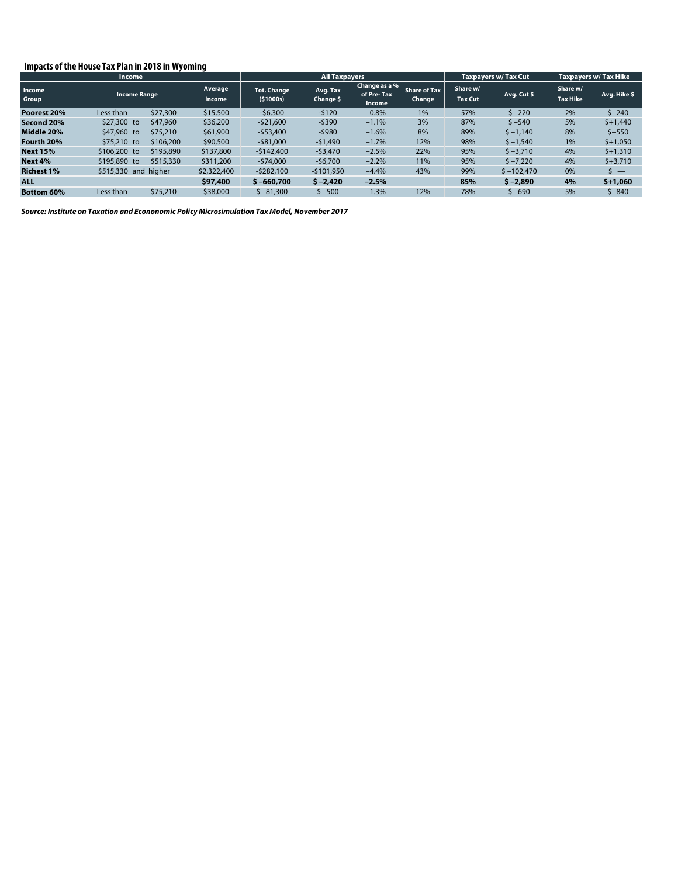#### **Impacts of the House Tax Plan in 2018 in Wyoming**

|                   | Income                  |           |                   |                                | <b>All Taxpayers</b>  |                                       |                               | <b>Taxpavers w/ Tax Cut</b> |              | <b>Taxpayers w/ Tax Hike</b> |              |
|-------------------|-------------------------|-----------|-------------------|--------------------------------|-----------------------|---------------------------------------|-------------------------------|-----------------------------|--------------|------------------------------|--------------|
| Income<br>Group   | <b>Income Range</b>     |           | Average<br>Income | <b>Tot. Change</b><br>(51000s) | Avg. Tax<br>Change \$ | Change as a %<br>of Pre-Tax<br>Income | <b>Share of Tax</b><br>Change | Share w/<br><b>Tax Cut</b>  | Avg. Cut \$  | Share w/<br><b>Tax Hike</b>  | Avg. Hike \$ |
| Poorest 20%       | Less than               | \$27,300  | \$15,500          | $-56,300$                      | $-5120$               | $-0.8%$                               | 1%                            | 57%                         | $5 - 220$    | 2%                           | $5 + 240$    |
| Second 20%        | \$47,960<br>\$27,300 to |           | \$36,200          | $-521,600$                     | $-5390$               | $-1.1%$                               | 3%                            | 87%                         | $$ -540$     | 5%                           | $$+1,440$    |
| Middle 20%        | \$47,960 to             | \$75,210  | \$61,900          | $-$53,400$                     | $-5980$               | $-1.6%$                               | 8%                            | 89%                         | $$ -1,140$   | 8%                           | $$+550$      |
| Fourth 20%        | \$75,210 to             | \$106,200 | \$90,500          | $-581,000$                     | $-51,490$             | $-1.7%$                               | 12%                           | 98%                         | $$ -1,540$   | 1%                           | $$+1,050$    |
| <b>Next 15%</b>   | \$106,200 to            | \$195,890 | \$137,800         | $-5142,400$                    | $-53,470$             | $-2.5%$                               | 22%                           | 95%                         | $$ -3,710$   | 4%                           | $$+1,310$    |
| Next 4%           | \$195,890 to            | \$515,330 | \$311,200         | $-574.000$                     | $-56.700$             | $-2.2%$                               | 11%                           | 95%                         | $5 - 7.220$  | 4%                           | $$+3,710$    |
| <b>Richest 1%</b> | \$515,330 and higher    |           | \$2,322,400       | $-5282.100$                    | $-5101.950$           | $-4.4%$                               | 43%                           | 99%                         | $$ -102.470$ | 0%                           | $S =$        |
| <b>ALL</b>        |                         |           | \$97,400          | $$ -660,700$                   | $$ -2,420$            | $-2.5%$                               |                               | 85%                         | $$ -2.890$   | 4%                           | $$+1.060$    |
| <b>Bottom 60%</b> | Less than               | \$75,210  | \$38,000          | $$ -81,300$                    | $$ -500$              | $-1.3%$                               | 12%                           | 78%                         | $$ -690$     | 5%                           | $5 + 840$    |

*Source: Institute on Taxation and Econonomic Policy Microsimulation Tax Model, November 2017*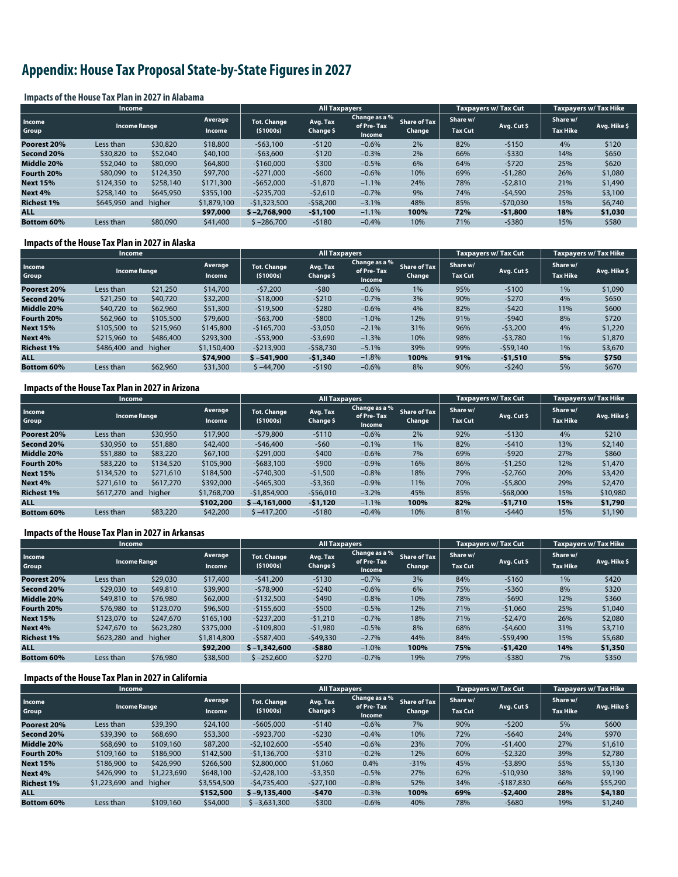# **Appendix: House Tax Proposal State-by-State Figures in 2027**

#### **Impacts of the House Tax Plan in 2027 in Alabama**

|                   | <b>Income</b>                          |           |                                 |                                | <b>All Taxpayers</b>  |                                       |                               |                            | <b>Taxpayers w/ Tax Cut</b> | <b>Taxpayers w/ Tax Hike</b> |              |
|-------------------|----------------------------------------|-----------|---------------------------------|--------------------------------|-----------------------|---------------------------------------|-------------------------------|----------------------------|-----------------------------|------------------------------|--------------|
| Income<br>Group   | <b>Income Range</b>                    |           | <b>Average</b><br><b>Income</b> | <b>Tot. Change</b><br>(51000s) | Avg. Tax<br>Change \$ | Change as a %<br>of Pre-Tax<br>Income | <b>Share of Tax</b><br>Change | Share w/<br><b>Tax Cut</b> | Avg. Cut \$                 | Share w/<br><b>Tax Hike</b>  | Avg. Hike \$ |
| Poorest 20%       | Less than                              | \$30,820  | \$18,800                        | $-563,100$                     | $-5120$               | $-0.6%$                               | 2%                            | 82%                        | $-5150$                     | 4%                           | \$120        |
| Second 20%        | \$30,820 to                            | \$52,040  | \$40,100                        | $-$63,600$                     | $-5120$               | $-0.3%$                               | 2%                            | 66%                        | $-5330$                     | 14%                          | \$650        |
| Middle 20%        | \$52,040 to                            | \$80,090  | \$64,800                        | $-$160,000$                    | $-5300$               | $-0.5%$                               | 6%                            | 64%                        | $-5720$                     | 25%                          | \$620        |
| Fourth 20%        | \$80,090 to                            | \$124,350 | \$97,700                        | $-5271.000$                    | $-5600$               | $-0.6%$                               | 10%                           | 69%                        | $-51.280$                   | 26%                          | \$1,080      |
| <b>Next 15%</b>   | \$124,350 to                           | \$258,140 | \$171,300                       | $-5652.000$                    | $-51,870$             | $-1.1%$                               | 24%                           | 78%                        | $-52,810$                   | 21%                          | \$1,490      |
| Next 4%           | \$258,140 to                           | \$645,950 | \$355,100                       | $-5235.700$                    | $-52.610$             | $-0.7%$                               | 9%                            | 74%                        | $-54,590$                   | 25%                          | \$3,100      |
| <b>Richest 1%</b> | higher<br>\$645,950 and<br>\$1,879,100 |           | $-51.323.500$                   | $-558,200$                     | $-3.1%$               | 48%                                   | 85%                           | $-570,030$                 | 15%                         | \$6,740                      |              |
| <b>ALL</b>        |                                        |           | \$97,000                        | $$ -2.768,900$                 | $-51,100$             | $-1.1%$                               | 100%                          | 72%                        | $-51,800$                   | 18%                          | \$1,030      |
| Bottom 60%        | Less than                              | \$80,090  | \$41,400                        | $$ -286,700$                   | $-5180$               | $-0.4%$                               | 10%                           | 71%                        | -\$380                      | 15%                          | \$580        |

#### **Impacts of the House Tax Plan in 2027 in Alaska**

|                   | <b>Income</b>       |           |                          | <b>All Taxpayers</b>             |                       |                                              |                        | Taxpayers w/ Tax Cut       |             | <b>Taxpayers w/ Tax Hike</b> |              |
|-------------------|---------------------|-----------|--------------------------|----------------------------------|-----------------------|----------------------------------------------|------------------------|----------------------------|-------------|------------------------------|--------------|
| Income<br>Group   | <b>Income Range</b> |           | Average<br><b>Income</b> | <b>Tot. Change</b><br>( \$1000s) | Avg. Tax<br>Change \$ | Change as a %<br>of Pre-Tax<br><b>Income</b> | Share of Tax<br>Change | Share w/<br><b>Tax Cut</b> | Avg. Cut \$ | Share w/<br><b>Tax Hike</b>  | Avg. Hike \$ |
| Poorest 20%       | Less than           | \$21,250  | \$14,700                 | $-57.200$                        | $-580$                | $-0.6%$                                      | 1%                     | 95%                        | $-5100$     | 1%                           | \$1,090      |
| Second 20%        | \$21,250 to         | \$40,720  | \$32,200                 | $-518,000$                       | $-5210$               | $-0.7%$                                      | 3%                     | 90%                        | $-5270$     | 4%                           | \$650        |
| Middle 20%        | \$40,720 to         | \$62,960  | \$51,300                 | $-$19,500$                       | $-5280$               | $-0.6%$                                      | 4%                     | 82%                        | $-5420$     | 11%                          | \$600        |
| Fourth 20%        | \$62,960 to         | \$105,500 | \$79,600                 | $-563.700$                       | $-5800$               | $-1.0%$                                      | 12%                    | 91%                        | $-5940$     | 8%                           | \$720        |
| <b>Next 15%</b>   | \$105,500 to        | \$215,960 | \$145,800                | $-$165,700$                      | $-53,050$             | $-2.1%$                                      | 31%                    | 96%                        | $-53,200$   | 4%                           | \$1,220      |
| Next 4%           | \$215,960 to        | \$486,400 | \$293,300                | $-$53,900$                       | $-53,690$             | $-1.3%$                                      | 10%                    | 98%                        | $-53.780$   | 1%                           | \$1,870      |
| <b>Richest 1%</b> | \$486,400 and       | higher    | \$1,150,400              | $-5213.900$                      | $-558,730$            | $-5.1%$                                      | 39%                    | 99%                        | $-$59,140$  | 1%                           | \$3,670      |
| <b>ALL</b>        |                     |           | \$74,900                 | $$ -541,900$                     | $-51,340$             | $-1.8%$                                      | 100%                   | 91%                        | $-51,510$   | 5%                           | \$750        |
| <b>Bottom 60%</b> | Less than           | \$62,960  | \$31,300                 | $$ -44,700$                      | $-5190$               | $-0.6%$                                      | 8%                     | 90%                        | $-5240$     | 5%                           | \$670        |

#### **Impacts of the House Tax Plan in 2027 in Arizona**

|                   | <b>Income</b>                                   |           |                                  | <b>All Taxpayers</b>  |                                       |                               |                            | <b>Taxpayers w/ Tax Cut</b> |                             | <b>Taxpayers w/ Tax Hike</b> |          |
|-------------------|-------------------------------------------------|-----------|----------------------------------|-----------------------|---------------------------------------|-------------------------------|----------------------------|-----------------------------|-----------------------------|------------------------------|----------|
| Income<br>Group   | Average<br><b>Income Range</b><br><b>Income</b> |           | <b>Tot. Change</b><br>( \$1000s) | Avg. Tax<br>Change \$ | Change as a %<br>of Pre-Tax<br>Income | <b>Share of Tax</b><br>Change | Share w/<br><b>Tax Cut</b> | Avg. Cut \$                 | Share w/<br><b>Tax Hike</b> | Avg. Hike \$                 |          |
| Poorest 20%       | Less than                                       | \$30,950  | \$17,900                         | $-579,800$            | $-5110$                               | $-0.6%$                       | 2%                         | 92%                         | $-5130$                     | 4%                           | \$210    |
| Second 20%        | \$30,950 to                                     | \$51,880  | \$42,400                         | $-546,400$            | $-560$                                | $-0.1%$                       | 1%                         | 82%                         | $-5410$                     | 13%                          | \$2,140  |
| Middle 20%        | \$51,880 to                                     | \$83,220  | \$67,100                         | $-5291.000$           | $-5400$                               | $-0.6%$                       | 7%                         | 69%                         | $-5920$                     | 27%                          | \$860    |
| Fourth 20%        | \$83,220 to                                     | \$134,520 | \$105,900                        | $-5683.100$           | $-5900$                               | $-0.9%$                       | 16%                        | 86%                         | $-51,250$                   | 12%                          | \$1,470  |
| <b>Next 15%</b>   | \$134,520 to                                    | \$271,610 | \$184,500                        | $-5740.300$           | $-51.500$                             | $-0.8%$                       | 18%                        | 79%                         | $-52.760$                   | 20%                          | \$3,420  |
| Next 4%           | \$271,610 to                                    | \$617,270 | \$392,000                        | $-5465.300$           | $-53.360$                             | $-0.9%$                       | 11%                        | 70%                         | $-55,800$                   | 29%                          | \$2,470  |
| <b>Richest 1%</b> | \$617,270 and                                   | higher    | \$1,768,700                      | -\$1,854,900          | $-556.010$                            | $-3.2%$                       | 45%                        | 85%                         | $-568,000$                  | 15%                          | \$10,980 |
| <b>ALL</b>        |                                                 |           | \$102,200                        | $$ -4.161.000$        | $-51,120$                             | $-1.1%$                       | 100%                       | 82%                         | $-51,710$                   | 15%                          | \$1,790  |
| <b>Bottom 60%</b> | Less than                                       | \$83,220  | \$42,200                         | $$ -417.200$          | $-5180$                               | $-0.4%$                       | 10%                        | 81%                         | $-5440$                     | 15%                          | \$1,190  |

#### **Impacts of the House Tax Plan in 2027 in Arkansas**

|                   | <b>Income</b>       |           |                          |                                  | <b>All Taxpayers</b>  |                                       |                               |                            | <b>Taxpavers w/ Tax Cut</b> | <b>Taxpayers w/ Tax Hike</b> |              |
|-------------------|---------------------|-----------|--------------------------|----------------------------------|-----------------------|---------------------------------------|-------------------------------|----------------------------|-----------------------------|------------------------------|--------------|
| Income<br>Group   | <b>Income Range</b> |           | Average<br><b>Income</b> | <b>Tot. Change</b><br>( \$1000s) | Avg. Tax<br>Change \$ | Change as a %<br>of Pre-Tax<br>Income | <b>Share of Tax</b><br>Change | Share w/<br><b>Tax Cut</b> | Avg. Cut \$                 | Share w/<br><b>Tax Hike</b>  | Avg. Hike \$ |
| Poorest 20%       | Less than           | \$29,030  | \$17,400                 | $-541.200$                       | $-5130$               | $-0.7%$                               | 3%                            | 84%                        | $-5160$                     | 1%                           | \$420        |
| Second 20%        | \$29,030 to         | \$49,810  | \$39,900                 | $-578.900$                       | $-5240$               | $-0.6%$                               | 6%                            | 75%                        | $-5360$                     | 8%                           | \$320        |
| Middle 20%        | \$49,810 to         | \$76,980  | \$62,000                 | $-5132.500$                      | $-5490$               | $-0.8%$                               | 10%                           | 78%                        | $-5690$                     | 12%                          | \$360        |
| Fourth 20%        | \$76,980 to         | \$123,070 | \$96,500                 | $-5155.600$                      | $-5500$               | $-0.5%$                               | 12%                           | 71%                        | $-51.060$                   | 25%                          | \$1,040      |
| <b>Next 15%</b>   | \$123,070 to        | \$247,670 | \$165,100                | $-5237.200$                      | $-51,210$             | $-0.7%$                               | 18%                           | 71%                        | $-52.470$                   | 26%                          | \$2,080      |
| Next 4%           | \$247,670 to        | \$623,280 | \$375,000                | $-5109.800$                      | $-51.980$             | $-0.5%$                               | 8%                            | 68%                        | $-54.600$                   | 31%                          | \$3,710      |
| <b>Richest 1%</b> | \$623,280 and       | higher    | \$1,814,800              | $-5587.400$                      | $-549,330$            | $-2.7%$                               | 44%                           | 84%                        | $-$59,490$                  | 15%                          | \$5,680      |
| <b>ALL</b>        |                     |           | \$92,200                 | $$ -1,342,600$                   | $-5880$               | $-1.0%$                               | 100%                          | 75%                        | $-51,420$                   | 14%                          | \$1,350      |
| <b>Bottom 60%</b> | Less than           | \$76,980  | \$38,500                 | $$ -252,600$                     | $-5270$               | $-0.7%$                               | 19%                           | 79%                        | $-5380$                     | 7%                           | \$350        |

#### **Impacts of the House Tax Plan in 2027 in California**

|                   | Income              |             |                          |                                | <b>All Taxpayers</b>  |                                       |                               |                            | <b>Taxpayers w/ Tax Cut</b> | Taxpayers w/ Tax Hike       |              |
|-------------------|---------------------|-------------|--------------------------|--------------------------------|-----------------------|---------------------------------------|-------------------------------|----------------------------|-----------------------------|-----------------------------|--------------|
| Income<br>Group   | <b>Income Range</b> |             | Average<br><b>Income</b> | <b>Tot. Change</b><br>(51000s) | Avg. Tax<br>Change \$ | Change as a %<br>of Pre-Tax<br>Income | <b>Share of Tax</b><br>Change | Share w/<br><b>Tax Cut</b> | Avg. Cut \$                 | Share w/<br><b>Tax Hike</b> | Avg. Hike \$ |
| Poorest 20%       | Less than           | \$39,390    | \$24,100                 | $-$605,000$                    | $-5140$               | $-0.6%$                               | 7%                            | 90%                        | $-5200$                     | 5%                          | \$600        |
| Second 20%        | \$39,390 to         | \$68,690    | \$53,300                 | $-5923.700$                    | $-5230$               | $-0.4%$                               | 10%                           | 72%                        | $-5640$                     | 24%                         | \$970        |
| Middle 20%        | \$68,690 to         | \$109,160   | \$87,200                 | $-52.102.600$                  | $-5540$               | $-0.6%$                               | 23%                           | 70%                        | $-51,400$                   | 27%                         | \$1,610      |
| Fourth 20%        | \$109,160 to        | \$186,900   | \$142,500                | $-51,136,700$                  | $-5310$               | $-0.2%$                               | 12%                           | 60%                        | $-52,320$                   | 39%                         | \$2,780      |
| <b>Next 15%</b>   | \$186,900 to        | \$426,990   | \$266,500                | \$2,800,000                    | \$1,060               | 0.4%                                  | $-31%$                        | 45%                        | $-53,890$                   | 55%                         | \$5,130      |
| Next 4%           | \$426,990 to        | \$1,223,690 | \$648,100                | $-52.428.100$                  | $-53.350$             | $-0.5%$                               | 27%                           | 62%                        | $-510.930$                  | 38%                         | \$9,190      |
| <b>Richest 1%</b> | \$1,223,690 and     | higher      | \$3,554,500              | -\$4,735,400                   | $-527,100$            | $-0.8%$                               | 52%                           | 34%                        | $-5187.830$                 | 66%                         | \$55,290     |
| <b>ALL</b>        |                     |             | \$152,500                | $$ -9.135.400$                 | $-5470$               | $-0.3%$                               | 100%                          | 69%                        | $-52,400$                   | 28%                         | \$4,180      |
| <b>Bottom 60%</b> | Less than           | \$109,160   | \$54,000                 | $$ -3.631.300$                 | $-5300$               | $-0.6%$                               | 40%                           | 78%                        | $-5680$                     | 19%                         | \$1,240      |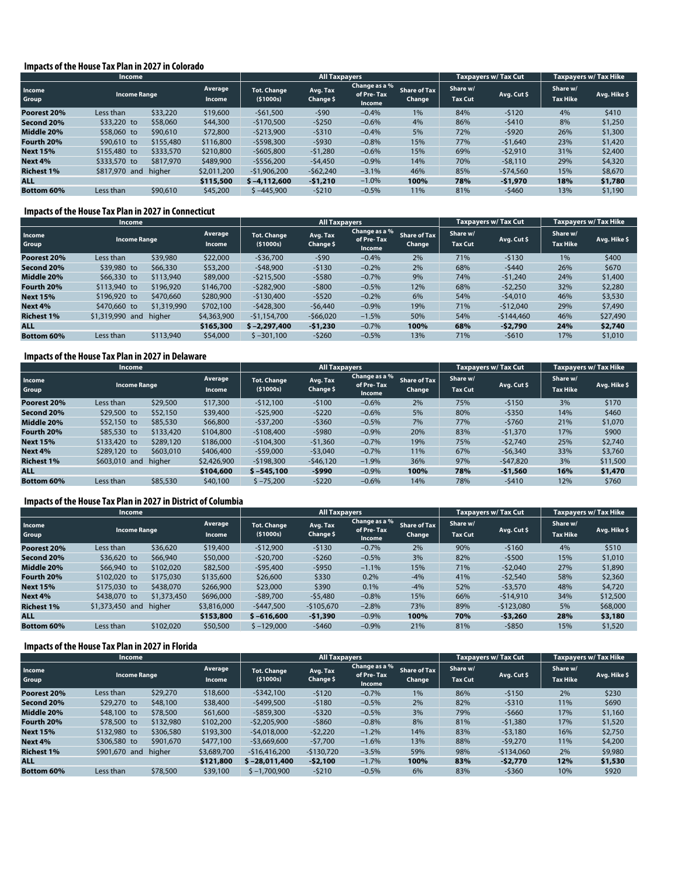#### **Impacts of the House Tax Plan in 2027 in Colorado**

|                   | <b>Income</b>       |           |                   |                                  | <b>All Taxpayers</b>  |                                       |                               |                            | Taxpayers w/Tax Cut | Taxpayers w/ Tax Hike       |              |
|-------------------|---------------------|-----------|-------------------|----------------------------------|-----------------------|---------------------------------------|-------------------------------|----------------------------|---------------------|-----------------------------|--------------|
| Income<br>Group   | <b>Income Range</b> |           | Average<br>Income | <b>Tot. Change</b><br>( \$1000s) | Avg. Tax<br>Change \$ | Change as a %<br>of Pre-Tax<br>Income | <b>Share of Tax</b><br>Change | Share w/<br><b>Tax Cut</b> | Avg. Cut\$          | Share w/<br><b>Tax Hike</b> | Avg. Hike \$ |
| Poorest 20%       | Less than           | \$33,220  | \$19,600          | $-561,500$                       | $-590$                | $-0.4%$                               | 1%                            | 84%                        | $-5120$             | 4%                          | \$410        |
| Second 20%        | \$33,220 to         | \$58,060  | \$44,300          | $-5170.500$                      | $-5250$               | $-0.6%$                               | 4%                            | 86%                        | $-5410$             | 8%                          | \$1,250      |
| Middle 20%        | \$58,060 to         | \$90,610  | \$72,800          | $-5213.900$                      | $-5310$               | $-0.4%$                               | 5%                            | 72%                        | $-5920$             | 26%                         | \$1,300      |
| Fourth 20%        | \$90,610 to         | \$155,480 | \$116,800         | $-5598.300$                      | $-5930$               | $-0.8%$                               | 15%                           | 77%                        | $-51.640$           | 23%                         | \$1,420      |
| <b>Next 15%</b>   | \$155,480 to        | \$333,570 | \$210,800         | $-5605.800$                      | $-51.280$             | $-0.6%$                               | 15%                           | 69%                        | $-52.910$           | 31%                         | \$2,400      |
| Next 4%           | \$333,570 to        | \$817,970 | \$489,900         | $-5556.200$                      | $-54,450$             | $-0.9%$                               | 14%                           | 70%                        | $-58,110$           | 29%                         | \$4,320      |
| <b>Richest 1%</b> | \$817,970 and       | higher    | \$2,011,200       | $-51,906,200$                    | $-562,240$            | $-3.1%$                               | 46%                           | 85%                        | $-574.560$          | 15%                         | \$8,670      |
| <b>ALL</b>        |                     |           | \$115,500         | $$ -4.112.600$                   | $-51,210$             | $-1.0%$                               | 100%                          | 78%                        | $-51,970$           | 18%                         | \$1,780      |
| Bottom 60%        | Less than           | \$90,610  | \$45,200          | $$ -445,900$                     | $-5210$               | $-0.5%$                               | 11%                           | 81%                        | $-5460$             | 13%                         | \$1,190      |

#### **Impacts of the House Tax Plan in 2027 in Connecticut**

|                   | Income              |             |                          |                                | <b>All Taxpayers</b>  |                                       |                               |                            | Taxpayers w/Tax Cut | <b>Taxpayers w/ Tax Hike</b> |              |
|-------------------|---------------------|-------------|--------------------------|--------------------------------|-----------------------|---------------------------------------|-------------------------------|----------------------------|---------------------|------------------------------|--------------|
| Income<br>Group   | <b>Income Range</b> |             | Average<br><b>Income</b> | <b>Tot. Change</b><br>(51000s) | Avg. Tax<br>Change \$ | Change as a %<br>of Pre-Tax<br>Income | <b>Share of Tax</b><br>Change | Share w/<br><b>Tax Cut</b> | Avg. Cut \$         | Share w/<br><b>Tax Hike</b>  | Avg. Hike \$ |
| Poorest 20%       | Less than           | \$39,980    | \$22,000                 | $-536,700$                     | $-590$                | $-0.4%$                               | 2%                            | 71%                        | $-5130$             | 1%                           | \$400        |
| Second 20%        | \$39,980 to         | \$66,330    | \$53,200                 | $-548,900$                     | $-5130$               | $-0.2%$                               | 2%                            | 68%                        | $-5440$             | 26%                          | \$670        |
| Middle 20%        | \$66,330 to         | \$113,940   | \$89,000                 | $-5215.500$                    | $-5580$               | $-0.7%$                               | 9%                            | 74%                        | $-51.240$           | 24%                          | \$1,400      |
| Fourth 20%        | \$113,940 to        | \$196,920   | \$146,700                | $-5282,900$                    | $-5800$               | $-0.5%$                               | 12%                           | 68%                        | $-52,250$           | 32%                          | \$2,280      |
| <b>Next 15%</b>   | \$196,920 to        | \$470,660   | \$280,900                | $-5130.400$                    | $-5520$               | $-0.2%$                               | 6%                            | 54%                        | $-54.010$           | 46%                          | \$3,530      |
| Next 4%           | \$470,660 to        | \$1,319,990 | \$702,100                | $-5428.300$                    | $-56.440$             | $-0.9%$                               | 19%                           | 71%                        | $-512.040$          | 29%                          | \$7,490      |
| <b>Richest 1%</b> | \$1,319,990 and     | higher      | \$4,363,900              | $-51.154.700$                  | $-566.020$            | $-1.5%$                               | 50%                           | 54%                        | $-5144.460$         | 46%                          | \$27,490     |
| <b>ALL</b>        |                     |             | \$165,300                | $$ -2.297,400$                 | $-51,230$             | $-0.7%$                               | 100%                          | 68%                        | $-52,790$           | 24%                          | \$2,740      |
| <b>Bottom 60%</b> | Less than           | \$113,940   | \$54,000                 | $$ -301.100$                   | $-5260$               | $-0.5%$                               | 13%                           | 71%                        | $-5610$             | 17%                          | \$1,010      |

#### **Impacts of the House Tax Plan in 2027 in Delaware**

|                   | Income              |           |                          |                                | <b>All Taxpayers</b>  |                                              |                               |                            | Taxpayers w/Tax Cut | <b>Taxpayers w/ Tax Hike</b> |              |
|-------------------|---------------------|-----------|--------------------------|--------------------------------|-----------------------|----------------------------------------------|-------------------------------|----------------------------|---------------------|------------------------------|--------------|
| Income<br>Group   | <b>Income Range</b> |           | Average<br><b>Income</b> | <b>Tot. Change</b><br>(51000s) | Avg. Tax<br>Change \$ | Change as a %<br>of Pre-Tax<br><b>Income</b> | <b>Share of Tax</b><br>Change | Share w/<br><b>Tax Cut</b> | Avg. Cut \$         | Share w/<br><b>Tax Hike</b>  | Avg. Hike \$ |
| Poorest 20%       | Less than           | \$29,500  | \$17,300                 | $-512.100$                     | $-5100$               | $-0.6%$                                      | 2%                            | 75%                        | $-5150$             | 3%                           | \$170        |
| Second 20%        | \$29,500 to         | \$52,150  | \$39,400                 | $-525,900$                     | $-5220$               | $-0.6%$                                      | 5%                            | 80%                        | $-5350$             | 14%                          | \$460        |
| Middle 20%        | \$52,150 to         | \$85,530  | \$66,800                 | $-537.200$                     | $-5360$               | $-0.5%$                                      | 7%                            | 77%                        | $-5760$             | 21%                          | \$1,070      |
| Fourth 20%        | \$85,530 to         | \$133,420 | \$104,800                | $-5108,400$                    | $-5980$               | $-0.9%$                                      | 20%                           | 83%                        | $-51,370$           | 17%                          | \$900        |
| <b>Next 15%</b>   | \$133,420 to        | \$289,120 | \$186,000                | $-$104,300$                    | $-51,360$             | $-0.7%$                                      | 19%                           | 75%                        | $-52.740$           | 25%                          | \$2,740      |
| Next 4%           | \$289,120 to        | \$603,010 | \$406,400                | $-559,000$                     | $-53.040$             | $-0.7%$                                      | 11%                           | 67%                        | $-56,340$           | 33%                          | \$3,760      |
| <b>Richest 1%</b> | \$603,010 and       | higher    | \$2,426,900              | $-5198.300$                    | $-546.120$            | $-1.9%$                                      | 36%                           | 97%                        | $-547.820$          | 3%                           | \$11,500     |
| <b>ALL</b>        |                     |           | \$104,600                | $$ -545.100$                   | $-5990$               | $-0.9%$                                      | 100%                          | 78%                        | $-$ \$1,560         | 16%                          | \$1,470      |
| <b>Bottom 60%</b> | Less than           | \$85,530  | \$40,100                 | $$ -75,200$                    | $-5220$               | $-0.6%$                                      | 14%                           | 78%                        | $-5410$             | 12%                          | \$760        |

#### **Impacts of the House Tax Plan in 2027 in District of Columbia**

|                   | Income              |             |                          |                                  | <b>All Taxpayers</b>  |                                       |                               |                            | <b>Taxpavers w/ Tax Cut</b> | <b>Taxpayers w/ Tax Hike</b> |              |
|-------------------|---------------------|-------------|--------------------------|----------------------------------|-----------------------|---------------------------------------|-------------------------------|----------------------------|-----------------------------|------------------------------|--------------|
| Income<br>Group   | <b>Income Range</b> |             | Average<br><b>Income</b> | <b>Tot. Change</b><br>( \$1000s) | Avg. Tax<br>Change \$ | Change as a %<br>of Pre-Tax<br>Income | <b>Share of Tax</b><br>Change | Share w/<br><b>Tax Cut</b> | Avg. Cut \$                 | Share w/<br><b>Tax Hike</b>  | Avg. Hike \$ |
| Poorest 20%       | Less than           | \$36,620    | \$19,400                 | $-512.900$                       | $-5130$               | $-0.7%$                               | 2%                            | 90%                        | $-5160$                     | 4%                           | \$510        |
| Second 20%        | \$36,620 to         | \$66,940    | \$50,000                 | $-520,700$                       | $-5260$               | $-0.5%$                               | 3%                            | 82%                        | $-5500$                     | 15%                          | \$1,010      |
| Middle 20%        | \$66,940 to         | \$102,020   | \$82,500                 | $-595,400$                       | $-5950$               | $-1.1%$                               | 15%                           | 71%                        | $-52.040$                   | 27%                          | \$1,890      |
| Fourth 20%        | \$102,020 to        | \$175,030   | \$135,600                | \$26,600                         | \$330                 | 0.2%                                  | $-4%$                         | 41%                        | $-52.540$                   | 58%                          | \$2,360      |
| <b>Next 15%</b>   | \$175,030 to        | \$438,070   | \$266,900                | \$23,000                         | \$390                 | 0.1%                                  | $-4%$                         | 52%                        | $-53.570$                   | 48%                          | \$4,720      |
| Next 4%           | \$438,070 to        | \$1,373,450 | \$696,000                | $-$ \$89,700                     | $-55.480$             | $-0.8%$                               | 15%                           | 66%                        | $-514.910$                  | 34%                          | \$12,500     |
| <b>Richest 1%</b> | \$1,373,450 and     | higher      | \$3,816,000              | $-5447.500$                      | $-5105.670$           | $-2.8%$                               | 73%                           | 89%                        | $-5123.080$                 | 5%                           | \$68,000     |
| <b>ALL</b>        |                     |             | \$153,800                | $$ -616,600$                     | $-51,390$             | $-0.9%$                               | 100%                          | 70%                        | $-53,260$                   | 28%                          | \$3,180      |
| <b>Bottom 60%</b> | Less than           | \$102,020   | \$50,500                 | $$ -129,000$                     | $-5460$               | $-0.9%$                               | 21%                           | 81%                        | $-5850$                     | 15%                          | \$1,520      |

#### **Impacts of the House Tax Plan in 2027 in Florida**

|                   | <b>Income</b>       |           |                          |                                | <b>All Taxpayers</b>  |                                       |                               |                            | Taxpayers w/ Tax Cut | <b>Taxpayers w/ Tax Hike</b> |              |
|-------------------|---------------------|-----------|--------------------------|--------------------------------|-----------------------|---------------------------------------|-------------------------------|----------------------------|----------------------|------------------------------|--------------|
| Income<br>Group   | <b>Income Range</b> |           | Average<br><b>Income</b> | <b>Tot. Change</b><br>(51000s) | Avg. Tax<br>Change \$ | Change as a %<br>of Pre-Tax<br>Income | <b>Share of Tax</b><br>Change | Share w/<br><b>Tax Cut</b> | Avg. Cut \$          | Share w/<br><b>Tax Hike</b>  | Avg. Hike \$ |
| Poorest 20%       | Less than           | \$29,270  | \$18,600                 | $-5342.100$                    | $-5120$               | $-0.7%$                               | 1%                            | 86%                        | $-5150$              | 2%                           | \$230        |
| Second 20%        | \$29,270 to         | \$48,100  | \$38,400                 | $-5499.500$                    | $-5180$               | $-0.5%$                               | 2%                            | 82%                        | $-5310$              | 11%                          | \$690        |
| Middle 20%        | \$48,100 to         | \$78,500  | \$61,600                 | $-5859.300$                    | $-5320$               | $-0.5%$                               | 3%                            | 79%                        | $-5660$              | 17%                          | \$1,160      |
| Fourth 20%        | \$78,500 to         | \$132,980 | \$102,200                | $-52,205,900$                  | $-5860$               | $-0.8%$                               | 8%                            | 81%                        | $-51,380$            | 17%                          | \$1,520      |
| <b>Next 15%</b>   | \$132,980 to        | \$306,580 | \$193,300                | $-54.018.000$                  | $-52.220$             | $-1.2%$                               | 14%                           | 83%                        | $-53.180$            | 16%                          | \$2,750      |
| Next 4%           | \$306,580 to        | \$901,670 | \$477,100                | $-53,669,600$                  | $-57.700$             | $-1.6%$                               | 13%                           | 88%                        | $-59.270$            | 11%                          | \$4,200      |
| <b>Richest 1%</b> | \$901,670 and       | higher    | \$3,689,700              | $-516.416.200$                 | $-5130.720$           | $-3.5%$                               | 59%                           | 98%                        | $-5134.060$          | 2%                           | \$9,980      |
| <b>ALL</b>        |                     |           | \$121,800                | $$ -28.011.400$                | $-52.100$             | $-1.7%$                               | 100%                          | 83%                        | $-52,770$            | 12%                          | \$1,530      |
| <b>Bottom 60%</b> | Less than           | \$78,500  | \$39,100                 | $$ -1,700,900$                 | $-5210$               | $-0.5%$                               | 6%                            | 83%                        | -\$360               | 10%                          | \$920        |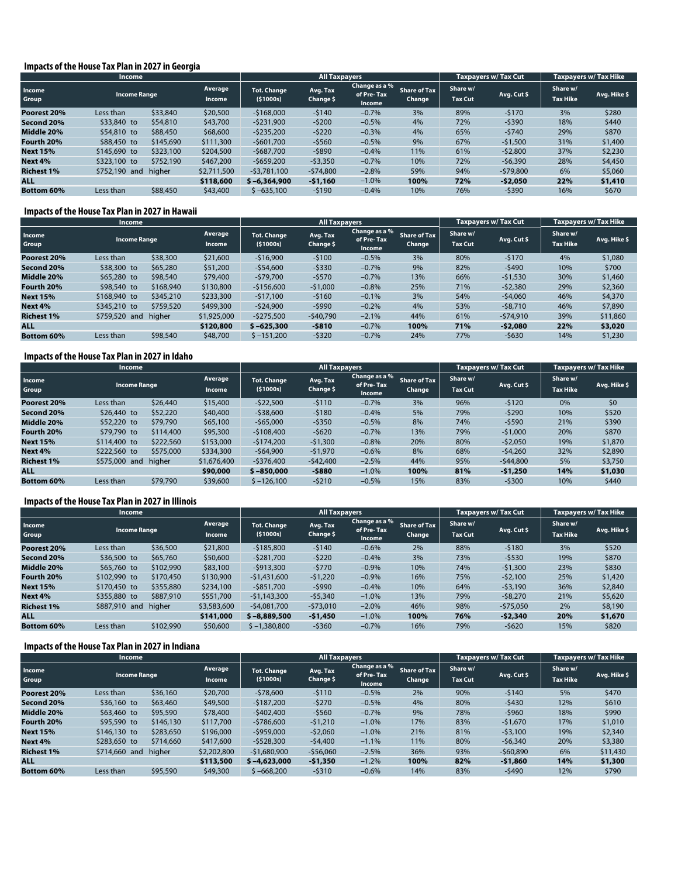#### **Impacts of the House Tax Plan in 2027 in Georgia**

|                   | <b>Income</b>       |           |                                 |                                  | <b>All Taxpayers</b>  |                                       |                               |                            | <b>Taxpayers w/ Tax Cut</b> | <b>Taxpayers w/ Tax Hike</b> |              |
|-------------------|---------------------|-----------|---------------------------------|----------------------------------|-----------------------|---------------------------------------|-------------------------------|----------------------------|-----------------------------|------------------------------|--------------|
| Income<br>Group   | <b>Income Range</b> |           | <b>Average</b><br><b>Income</b> | <b>Tot. Change</b><br>( \$1000s) | Avg. Tax<br>Change \$ | Change as a %<br>of Pre-Tax<br>Income | <b>Share of Tax</b><br>Change | Share w/<br><b>Tax Cut</b> | Avg. Cut \$                 | Share w/<br><b>Tax Hike</b>  | Avg. Hike \$ |
| Poorest 20%       | Less than           | \$33,840  | \$20,500                        | $-5168,000$                      | $-5140$               | $-0.7%$                               | 3%                            | 89%                        | $-5170$                     | 3%                           | \$280        |
| Second 20%        | \$33,840 to         | \$54,810  | \$43,700                        | $-5231.900$                      | $-5200$               | $-0.5%$                               | 4%                            | 72%                        | $-5390$                     | 18%                          | \$440        |
| Middle 20%        | \$54,810 to         | \$88,450  | \$68,600                        | $-$ \$235,200                    | $-5220$               | $-0.3%$                               | 4%                            | 65%                        | $-5740$                     | 29%                          | \$870        |
| Fourth 20%        | \$88,450 to         | \$145,690 | \$111,300                       | $-5601.700$                      | $-5560$               | $-0.5%$                               | 9%                            | 67%                        | $-51,500$                   | 31%                          | \$1,400      |
| <b>Next 15%</b>   | \$145,690 to        | \$323,100 | \$204,500                       | $-5687.700$                      | $-5890$               | $-0.4%$                               | 11%                           | 61%                        | $-52,800$                   | 37%                          | \$2,230      |
| Next 4%           | \$323,100 to        | \$752,190 | \$467,200                       | $-5659.200$                      | $-53,350$             | $-0.7%$                               | 10%                           | 72%                        | $-56,390$                   | 28%                          | \$4,450      |
| <b>Richest 1%</b> | \$752,190 and       | higher    | \$2,711,500                     | $-53.781.100$                    | $-574,800$            | $-2.8%$                               | 59%                           | 94%                        | $-579,800$                  | 6%                           | \$5,060      |
| <b>ALL</b>        |                     |           | \$118,600                       | $$ -6.364.900$                   | $-51,160$             | $-1.0%$                               | 100%                          | 72%                        | $-52,050$                   | 22%                          | \$1,410      |
| Bottom 60%        | Less than           | \$88,450  | \$43,400                        | $$ -635,100$                     | $-5190$               | $-0.4%$                               | 10%                           | 76%                        | $-5390$                     | 16%                          | \$670        |

#### **Impacts of the House Tax Plan in 2027 in Hawaii**

|                   | Income              |           |                          |                                | <b>All Taxpayers</b>  |                                       |                               |                            | Taxpayers w/Tax Cut | <b>Taxpayers w/ Tax Hike</b> |              |
|-------------------|---------------------|-----------|--------------------------|--------------------------------|-----------------------|---------------------------------------|-------------------------------|----------------------------|---------------------|------------------------------|--------------|
| Income<br>Group   | <b>Income Range</b> |           | Average<br><b>Income</b> | <b>Tot. Change</b><br>(51000s) | Avg. Tax<br>Change \$ | Change as a %<br>of Pre-Tax<br>Income | <b>Share of Tax</b><br>Change | Share w/<br><b>Tax Cut</b> | Avg. Cut \$         | Share w/<br><b>Tax Hike</b>  | Avg. Hike \$ |
| Poorest 20%       | Less than           | \$38,300  | \$21,600                 | $-$16,900$                     | $-5100$               | $-0.5%$                               | 3%                            | 80%                        | $-5170$             | 4%                           | \$1,080      |
| Second 20%        | \$38,300 to         | \$65,280  | \$51,200                 | $-$54,600$                     | $-5330$               | $-0.7%$                               | 9%                            | 82%                        | $-5490$             | 10%                          | \$700        |
| Middle 20%        | \$65,280 to         | \$98,540  | \$79,400                 | $-579.700$                     | $-5570$               | $-0.7%$                               | 13%                           | 66%                        | $-51.530$           | 30%                          | \$1,460      |
| Fourth 20%        | \$98,540 to         | \$168,940 | \$130,800                | $-$156,600$                    | $-51,000$             | $-0.8%$                               | 25%                           | 71%                        | $-52,380$           | 29%                          | \$2,360      |
| <b>Next 15%</b>   | \$168,940 to        | \$345,210 | \$233,300                | $-517.100$                     | $-5160$               | $-0.1%$                               | 3%                            | 54%                        | $-54.060$           | 46%                          | \$4,370      |
| Next 4%           | \$345,210 to        | \$759,520 | \$499,300                | $-524,900$                     | $-5990$               | $-0.2%$                               | 4%                            | 53%                        | $-58.710$           | 46%                          | \$7,890      |
| <b>Richest 1%</b> | \$759,520 and       | higher    | \$1,925,000              | $-5275.500$                    | $-540.790$            | $-2.1%$                               | 44%                           | 61%                        | $-574.910$          | 39%                          | \$11,860     |
| <b>ALL</b>        |                     |           | \$120,800                | $$ -625.300$                   | $-5810$               | $-0.7%$                               | 100%                          | 71%                        | $-52,080$           | 22%                          | \$3,020      |
| <b>Bottom 60%</b> | Less than           | \$98,540  | \$48,700                 | $$ -151.200$                   | $-5320$               | $-0.7%$                               | 24%                           | 77%                        | $-5630$             | 14%                          | \$1,230      |

#### **Impacts of the House Tax Plan in 2027 in Idaho**

|                   | <b>Income</b>       |           |                          |                                | <b>All Taxpayers</b>  |                                       |                               |                            | <b>Taxpavers w/ Tax Cut</b> | <b>Taxpayers w/ Tax Hike</b> |              |
|-------------------|---------------------|-----------|--------------------------|--------------------------------|-----------------------|---------------------------------------|-------------------------------|----------------------------|-----------------------------|------------------------------|--------------|
| Income<br>Group   | <b>Income Range</b> |           | Average<br><b>Income</b> | <b>Tot. Change</b><br>(51000s) | Avg. Tax<br>Change \$ | Change as a %<br>of Pre-Tax<br>Income | <b>Share of Tax</b><br>Change | Share w/<br><b>Tax Cut</b> | Avg. Cut \$                 | Share w/<br><b>Tax Hike</b>  | Avg. Hike \$ |
| Poorest 20%       | Less than           | \$26,440  | \$15,400                 | $-522,500$                     | $-5110$               | $-0.7%$                               | 3%                            | 96%                        | $-5120$                     | 0%                           | \$0          |
| Second 20%        | \$26,440 to         | \$52,220  | \$40,400                 | $-538,600$                     | $-5180$               | $-0.4%$                               | 5%                            | 79%                        | $-5290$                     | 10%                          | \$520        |
| Middle 20%        | \$52,220 to         | \$79,790  | \$65,100                 | $-565.000$                     | $-5350$               | $-0.5%$                               | 8%                            | 74%                        | $-5590$                     | 21%                          | \$390        |
| Fourth 20%        | \$79,790 to         | \$114,400 | \$95,300                 | $-5108,400$                    | $-5620$               | $-0.7%$                               | 13%                           | 79%                        | $-51,000$                   | 20%                          | \$870        |
| <b>Next 15%</b>   | \$114,400 to        | \$222,560 | \$153,000                | $-5174.200$                    | $-51,300$             | $-0.8%$                               | 20%                           | 80%                        | $-52,050$                   | 19%                          | \$1,870      |
| Next 4%           | \$222,560 to        | \$575,000 | \$334,300                | $-$64,900$                     | $-51,970$             | $-0.6%$                               | 8%                            | 68%                        | $-54.260$                   | 32%                          | \$2,890      |
| <b>Richest 1%</b> | \$575,000 and       | higher    | \$1,676,400              | $-5376.400$                    | $-542.400$            | $-2.5%$                               | 44%                           | 95%                        | $-544.800$                  | 5%                           | \$3,750      |
| <b>ALL</b>        |                     |           | \$90,000                 | $$ -850,000$                   | $-5880$               | $-1.0%$                               | 100%                          | 81%                        | $-51,250$                   | 14%                          | \$1,030      |
| <b>Bottom 60%</b> | Less than           | \$79,790  | \$39,600                 | $$ -126,100$                   | $-5210$               | $-0.5%$                               | 15%                           | 83%                        | $-5300$                     | 10%                          | \$440        |

#### **Impacts of the House Tax Plan in 2027 in Illinois**

|                   | Income              |           |                          |                                | <b>All Taxpayers</b>  |                                       |                               |                            | <b>Taxpayers w/ Tax Cut</b> | <b>Taxpayers w/ Tax Hike</b> |              |
|-------------------|---------------------|-----------|--------------------------|--------------------------------|-----------------------|---------------------------------------|-------------------------------|----------------------------|-----------------------------|------------------------------|--------------|
| Income<br>Group   | <b>Income Range</b> |           | Average<br><b>Income</b> | <b>Tot. Change</b><br>(51000s) | Avg. Tax<br>Change \$ | Change as a %<br>of Pre-Tax<br>Income | <b>Share of Tax</b><br>Change | Share w/<br><b>Tax Cut</b> | Avg. Cut \$                 | Share w/<br><b>Tax Hike</b>  | Avg. Hike \$ |
| Poorest 20%       | Less than           | \$36,500  | \$21,800                 | $-5185.800$                    | $-5140$               | $-0.6%$                               | 2%                            | 88%                        | $-5180$                     | 3%                           | \$520        |
| Second 20%        | \$36,500 to         | \$65,760  | \$50,600                 | -\$281,700                     | $-5220$               | $-0.4%$                               | 3%                            | 73%                        | $-5530$                     | 19%                          | \$870        |
| Middle 20%        | \$65,760 to         | \$102,990 | \$83,100                 | $-5913.300$                    | $-5770$               | $-0.9%$                               | 10%                           | 74%                        | $-51,300$                   | 23%                          | \$830        |
| Fourth 20%        | \$102,990 to        | \$170,450 | \$130,900                | $-$1,431,600$                  | $-51,220$             | $-0.9%$                               | 16%                           | 75%                        | $-52,100$                   | 25%                          | \$1,420      |
| <b>Next 15%</b>   | \$170,450 to        | \$355,880 | \$234,100                | $-5851.700$                    | $-5990$               | $-0.4%$                               | 10%                           | 64%                        | $-53.190$                   | 36%                          | \$2,840      |
| Next 4%           | \$355,880 to        | \$887,910 | \$551,700                | $-51,143,300$                  | $-55,340$             | $-1.0%$                               | 13%                           | 79%                        | $-58,270$                   | 21%                          | \$5,620      |
| <b>Richest 1%</b> | \$887,910 and       | higher    | \$3,583,600              | $-54.081.700$                  | $-573,010$            | $-2.0%$                               | 46%                           | 98%                        | $-575,050$                  | 2%                           | \$8,190      |
| <b>ALL</b>        |                     |           | \$141,000                | $$ -8.889.500$                 | $-51,450$             | $-1.0%$                               | 100%                          | 76%                        | $-52,340$                   | 20%                          | \$1,670      |
| <b>Bottom 60%</b> | Less than           | \$102,990 | \$50,600                 | $$ -1,380,800$                 | $-5360$               | $-0.7%$                               | 16%                           | 79%                        | $-5620$                     | 15%                          | \$820        |

#### **Impacts of the House Tax Plan in 2027 in Indiana**

|                   | <b>Income</b>       |           |                          |                                | <b>All Taxpayers</b>  |                                       |                               |                            | <b>Taxpayers w/ Tax Cut</b> | <b>Taxpayers w/ Tax Hike</b> |              |
|-------------------|---------------------|-----------|--------------------------|--------------------------------|-----------------------|---------------------------------------|-------------------------------|----------------------------|-----------------------------|------------------------------|--------------|
| Income<br>Group   | <b>Income Range</b> |           | Average<br><b>Income</b> | <b>Tot. Change</b><br>(51000s) | Avg. Tax<br>Change \$ | Change as a %<br>of Pre-Tax<br>Income | <b>Share of Tax</b><br>Change | Share w/<br><b>Tax Cut</b> | Avg. Cut \$                 | Share w/<br><b>Tax Hike</b>  | Avg. Hike \$ |
| Poorest 20%       | Less than           | \$36,160  | \$20,700                 | $-578,600$                     | $-5110$               | $-0.5%$                               | 2%                            | 90%                        | $-5140$                     | 5%                           | \$470        |
| Second 20%        | $$36,160$ to        | \$63,460  | \$49,500                 | $-5187,200$                    | $-5270$               | $-0.5%$                               | 4%                            | 80%                        | $-5430$                     | 12%                          | \$610        |
| Middle 20%        | \$63,460 to         | \$95,590  | \$78,400                 | $-5402.400$                    | $-5560$               | $-0.7%$                               | 9%                            | 78%                        | $-5960$                     | 18%                          | \$990        |
| Fourth 20%        | \$95,590 to         | \$146,130 | \$117,700                | $-5786,600$                    | $-51,210$             | $-1.0%$                               | 17%                           | 83%                        | $-51,670$                   | 17%                          | \$1,010      |
| <b>Next 15%</b>   | \$146,130 to        | \$283,650 | \$196,000                | $-5959.000$                    | $-52.060$             | $-1.0%$                               | 21%                           | 81%                        | $-53.100$                   | 19%                          | \$2,340      |
| Next 4%           | \$283,650 to        | \$714,660 | \$417,600                | $-5528,300$                    | $-54,400$             | $-1.1%$                               | 11%                           | 80%                        | $-56.340$                   | 20%                          | \$3,380      |
| <b>Richest 1%</b> | \$714,660 and       | higher    | \$2,202,800              | $-51.680.900$                  | $-$56,060$            | $-2.5%$                               | 36%                           | 93%                        | $-560,890$                  | 6%                           | \$11,430     |
| <b>ALL</b>        |                     |           | \$113,500                | $$ -4.623.000$                 | $-51,350$             | $-1.2%$                               | 100%                          | 82%                        | $-$ \$1,860                 | 14%                          | \$1,300      |
| <b>Bottom 60%</b> | Less than           | \$95,590  | \$49,300                 | $$ -668.200$                   | $-5310$               | $-0.6%$                               | 14%                           | 83%                        | $-5490$                     | 12%                          | \$790        |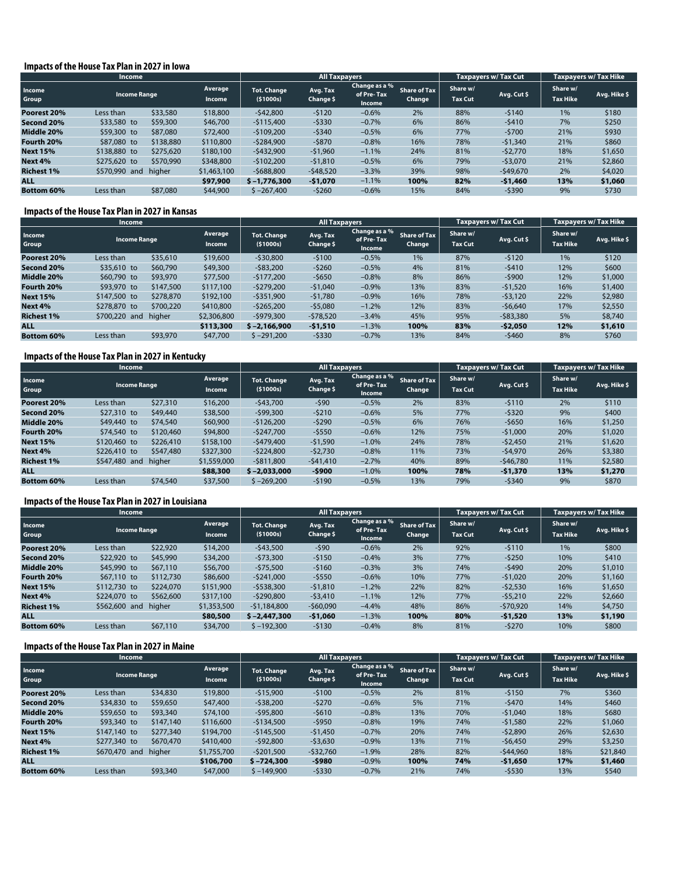#### **Impacts of the House Tax Plan in 2027 in Iowa**

|                   | <b>Income</b>       |           |                   |                                | <b>All Taxpayers</b>  |                                       |                               |                            | <b>Taxpayers w/ Tax Cut</b> | <b>Taxpayers w/ Tax Hike</b> |              |
|-------------------|---------------------|-----------|-------------------|--------------------------------|-----------------------|---------------------------------------|-------------------------------|----------------------------|-----------------------------|------------------------------|--------------|
| Income<br>Group   | <b>Income Range</b> |           | Average<br>Income | <b>Tot. Change</b><br>(51000s) | Avg. Tax<br>Change \$ | Change as a %<br>of Pre-Tax<br>Income | <b>Share of Tax</b><br>Change | Share w/<br><b>Tax Cut</b> | Avg. Cut \$                 | Share w/<br><b>Tax Hike</b>  | Avg. Hike \$ |
| Poorest 20%       | Less than           | \$33,580  | \$18,800          | $-542,800$                     | $-5120$               | $-0.6%$                               | 2%                            | 88%                        | $-5140$                     | 1%                           | \$180        |
| Second 20%        | \$33,580 to         | \$59,300  | \$46,700          | $-5115,400$                    | $-5330$               | $-0.7%$                               | 6%                            | 86%                        | $-5410$                     | 7%                           | \$250        |
| Middle 20%        | \$59,300 to         | \$87,080  | \$72,400          | $-5109.200$                    | $-5340$               | $-0.5%$                               | 6%                            | 77%                        | $-5700$                     | 21%                          | \$930        |
| Fourth 20%        | \$87,080 to         | \$138,880 | \$110,800         | $-5284.900$                    | $-5870$               | $-0.8%$                               | 16%                           | 78%                        | $-51,340$                   | 21%                          | \$860        |
| <b>Next 15%</b>   | \$138,880 to        | \$275,620 | \$180,100         | $-5432.900$                    | $-51,960$             | $-1.1%$                               | 24%                           | 81%                        | $-52,770$                   | 18%                          | \$1,650      |
| Next 4%           | \$275,620 to        | \$570,990 | \$348,800         | $-5102.200$                    | $-51,810$             | $-0.5%$                               | 6%                            | 79%                        | $-53,070$                   | 21%                          | \$2,860      |
| <b>Richest 1%</b> | \$570,990 and       | higher    | \$1,463,100       | $-5688.800$                    | $-548,520$            | $-3.3%$                               | 39%                           | 98%                        | $-549,670$                  | 2%                           | \$4,020      |
| <b>ALL</b>        |                     |           | \$97,900          | $$ -1.776.300$                 | $-51,070$             | $-1.1%$                               | 100%                          | 82%                        | $-$1,460$                   | 13%                          | \$1,060      |
| <b>Bottom 60%</b> | Less than           | \$87,080  | \$44,900          | $$ -267,400$                   | $-5260$               | $-0.6%$                               | 15%                           | 84%                        | -\$390                      | 9%                           | \$730        |

#### **Impacts of the House Tax Plan in 2027 in Kansas**

|                   | Income              |           |                          |                                | <b>All Taxpayers</b>  |                                       |                               |                            | <b>Taxpavers w/ Tax Cut</b> | <b>Taxpayers w/ Tax Hike</b> |              |
|-------------------|---------------------|-----------|--------------------------|--------------------------------|-----------------------|---------------------------------------|-------------------------------|----------------------------|-----------------------------|------------------------------|--------------|
| Income<br>Group   | <b>Income Range</b> |           | Average<br><b>Income</b> | <b>Tot. Change</b><br>(51000s) | Avg. Tax<br>Change \$ | Change as a %<br>of Pre-Tax<br>Income | <b>Share of Tax</b><br>Change | Share w/<br><b>Tax Cut</b> | Avg. Cut \$                 | Share w/<br><b>Tax Hike</b>  | Avg. Hike \$ |
| Poorest 20%       | Less than           | \$35,610  | \$19,600                 | $-530,800$                     | $-5100$               | $-0.5%$                               | 1%                            | 87%                        | $-5120$                     | 1%                           | \$120        |
| Second 20%        | \$35,610 to         | \$60,790  | \$49,300                 | $-$ \$83,200                   | $-5260$               | $-0.5%$                               | 4%                            | 81%                        | $-5410$                     | 12%                          | \$600        |
| Middle 20%        | \$60,790 to         | \$93,970  | \$77,500                 | $-5177.200$                    | $-5650$               | $-0.8%$                               | 8%                            | 86%                        | $-5900$                     | 12%                          | \$1,000      |
| Fourth 20%        | \$93,970 to         | \$147,500 | \$117,100                | $-5279,200$                    | $-51,040$             | $-0.9%$                               | 13%                           | 83%                        | $-51,520$                   | 16%                          | \$1,400      |
| <b>Next 15%</b>   | \$147,500 to        | \$278,870 | \$192,100                | $-5351,900$                    | $-51,780$             | $-0.9%$                               | 16%                           | 78%                        | $-53.120$                   | 22%                          | \$2,980      |
| Next 4%           | \$278,870 to        | \$700,220 | \$410,800                | $-5265,200$                    | $-55,080$             | $-1.2%$                               | 12%                           | 83%                        | $-56.640$                   | 17%                          | \$2,550      |
| <b>Richest 1%</b> | \$700,220 and       | higher    | \$2,306,800              | $-5979.300$                    | $-578,520$            | $-3.4%$                               | 45%                           | 95%                        | $-583,380$                  | 5%                           | \$8,740      |
| <b>ALL</b>        |                     |           | \$113,300                | $$ -2.166.900$                 | $-51,510$             | $-1.3%$                               | 100%                          | 83%                        | $-$ \$2,050                 | 12%                          | \$1,610      |
| <b>Bottom 60%</b> | Less than           | \$93,970  | \$47,700                 | $$ -291.200$                   | $-5330$               | $-0.7%$                               | 13%                           | 84%                        | $-5460$                     | 8%                           | \$760        |

# **Impacts of the House Tax Plan in 2027 in Kentucky**

|                   | <b>Income</b>       |           |                          | <b>All Taxpayers</b>           |                       |                                       |                               |                            | <b>Taxpavers w/ Tax Cut</b> | Taxpayers w/ Tax Hike       |              |
|-------------------|---------------------|-----------|--------------------------|--------------------------------|-----------------------|---------------------------------------|-------------------------------|----------------------------|-----------------------------|-----------------------------|--------------|
| Income<br>Group   | <b>Income Range</b> |           | Average<br><b>Income</b> | <b>Tot. Change</b><br>(51000s) | Avg. Tax<br>Change \$ | Change as a %<br>of Pre-Tax<br>Income | <b>Share of Tax</b><br>Change | Share w/<br><b>Tax Cut</b> | Avg. Cut \$                 | Share w/<br><b>Tax Hike</b> | Avg. Hike \$ |
| Poorest 20%       | Less than           | \$27,310  | \$16,200                 | $-543,700$                     | $-590$                | $-0.5%$                               | 2%                            | 83%                        | $-5110$                     | 2%                          | \$110        |
| Second 20%        | \$27,310 to         | \$49,440  | \$38,500                 | $-599.300$                     | $-5210$               | $-0.6%$                               | 5%                            | 77%                        | $-5320$                     | 9%                          | \$400        |
| Middle 20%        | \$49,440 to         | \$74,540  | \$60,900                 | $-5126.200$                    | $-5290$               | $-0.5%$                               | 6%                            | 76%                        | $-5650$                     | 16%                         | \$1,250      |
| Fourth 20%        | \$74,540 to         | \$120,460 | \$94,800                 | $-5247.700$                    | $-5550$               | $-0.6%$                               | 12%                           | 75%                        | $-51.000$                   | 20%                         | \$1,020      |
| <b>Next 15%</b>   | \$120,460 to        | \$226,410 | \$158,100                | $-5479.400$                    | $-51,590$             | $-1.0%$                               | 24%                           | 78%                        | $-52,450$                   | 21%                         | \$1,620      |
| Next 4%           | \$226,410 to        | \$547,480 | \$327,300                | $-5224,800$                    | $-52,730$             | $-0.8%$                               | 11%                           | 73%                        | $-54.970$                   | 26%                         | \$3,380      |
| <b>Richest 1%</b> | \$547,480 and       | higher    | \$1,559,000              | $-5811.800$                    | $-541.410$            | $-2.7%$                               | 40%                           | 89%                        | $-546.780$                  | 11%                         | \$2,580      |
| <b>ALL</b>        |                     |           | \$88,300                 | $$ -2.033.000$                 | $-5900$               | $-1.0%$                               | 100%                          | 78%                        | $-51,370$                   | 13%                         | \$1,270      |
| <b>Bottom 60%</b> | Less than           | \$74,540  | \$37,500                 | $$ -269,200$                   | $-5190$               | $-0.5%$                               | 13%                           | 79%                        | $-5340$                     | 9%                          | \$870        |

#### **Impacts of the House Tax Plan in 2027 in Louisiana**

|                   | <b>Income</b>       |           |                          |                                | <b>All Taxpayers</b>  |                                       |                               |                            | Taxpayers w/Tax Cut | <b>Taxpayers w/ Tax Hike</b> |              |
|-------------------|---------------------|-----------|--------------------------|--------------------------------|-----------------------|---------------------------------------|-------------------------------|----------------------------|---------------------|------------------------------|--------------|
| Income<br>Group   | <b>Income Range</b> |           | Average<br><b>Income</b> | <b>Tot. Change</b><br>(51000s) | Avg. Tax<br>Change \$ | Change as a %<br>of Pre-Tax<br>Income | <b>Share of Tax</b><br>Change | Share w/<br><b>Tax Cut</b> | Avg. Cut \$         | Share w/<br><b>Tax Hike</b>  | Avg. Hike \$ |
| Poorest 20%       | Less than           | \$22,920  | \$14,200                 | $-543,500$                     | $-590$                | $-0.6%$                               | 2%                            | 92%                        | $-5110$             | 1%                           | \$800        |
| Second 20%        | \$22,920 to         | \$45,990  | \$34,200                 | $-573,300$                     | $-5150$               | $-0.4%$                               | 3%                            | 77%                        | $-5250$             | 10%                          | \$410        |
| Middle 20%        | \$45,990 to         | \$67,110  | \$56,700                 | $-575.500$                     | $-5160$               | $-0.3%$                               | 3%                            | 74%                        | $-5490$             | 20%                          | \$1,010      |
| Fourth 20%        | \$67,110 to         | \$112,730 | \$86,600                 | $-5241,000$                    | $-5550$               | $-0.6%$                               | 10%                           | 77%                        | $-51.020$           | 20%                          | \$1,160      |
| <b>Next 15%</b>   | \$112,730 to        | \$224,070 | \$151,900                | $-5538,300$                    | $-51.810$             | $-1.2%$                               | 22%                           | 82%                        | $-52,530$           | 16%                          | \$1,650      |
| Next 4%           | \$224,070 to        | \$562,600 | \$317,100                | $-5290.800$                    | $-53,410$             | $-1.1%$                               | 12%                           | 77%                        | $-55.210$           | 22%                          | \$2,660      |
| <b>Richest 1%</b> | \$562,600 and       | higher    | \$1,353,500              | $-51.184.800$                  | $-560.090$            | $-4.4%$                               | 48%                           | 86%                        | $-570,920$          | 14%                          | \$4,750      |
| <b>ALL</b>        |                     |           | \$80,500                 | $$ -2,447,300$                 | $-51,060$             | $-1.3%$                               | 100%                          | 80%                        | $-51,520$           | 13%                          | \$1,190      |
| <b>Bottom 60%</b> | Less than           | \$67,110  | \$34,700                 | $$ -192.300$                   | $-5130$               | $-0.4%$                               | 8%                            | 81%                        | $-5270$             | 10%                          | \$800        |

#### **Impacts of the House Tax Plan in 2027 in Maine**

|                   | <b>Income</b>                                |           |                          |                                | <b>All Taxpayers</b>  |                                       |                               |                            | <b>Taxpayers w/ Tax Cut</b> | <b>Taxpayers w/ Tax Hike</b> |              |
|-------------------|----------------------------------------------|-----------|--------------------------|--------------------------------|-----------------------|---------------------------------------|-------------------------------|----------------------------|-----------------------------|------------------------------|--------------|
| Income<br>Group   | <b>Income Range</b><br>\$34,830<br>Less than |           | Average<br><b>Income</b> | <b>Tot. Change</b><br>(51000s) | Avg. Tax<br>Change \$ | Change as a %<br>of Pre-Tax<br>Income | <b>Share of Tax</b><br>Change | Share w/<br><b>Tax Cut</b> | Avg. Cut \$                 | Share w/<br><b>Tax Hike</b>  | Avg. Hike \$ |
| Poorest 20%       |                                              |           | \$19,800                 | $-515.900$                     | $-5100$               | $-0.5%$                               | 2%                            | 81%                        | $-5150$                     | 7%                           | \$360        |
| Second 20%        | \$34,830 to                                  | \$59,650  | \$47,400                 | $-538,200$                     | $-5270$               | $-0.6%$                               | 5%                            | 71%                        | $-5470$                     | 14%                          | \$460        |
| Middle 20%        | \$59,650 to                                  | \$93,340  | \$74,100                 | $-595.800$                     | $-5610$               | $-0.8%$                               | 13%                           | 70%                        | $-51.040$                   | 18%                          | \$680        |
| Fourth 20%        | \$93,340 to                                  | \$147,140 | \$116,600                | $-$ \$134,500                  | $-5950$               | $-0.8%$                               | 19%                           | 74%                        | $-51.580$                   | 22%                          | \$1,060      |
| <b>Next 15%</b>   | \$147,140 to                                 | \$277,340 | \$194,700                | $-5145.500$                    | $-51.450$             | $-0.7%$                               | 20%                           | 74%                        | $-52.890$                   | 26%                          | \$2,630      |
| Next 4%           | \$277,340 to                                 | \$670,470 | \$410,400                | $-$92,800$                     | $-53,630$             | $-0.9%$                               | 13%                           | 71%                        | $-56.450$                   | 29%                          | \$3,250      |
| <b>Richest 1%</b> | \$670,470 and                                | higher    | \$1,755,700              | $-5201.500$                    | $-532.760$            | $-1.9%$                               | 28%                           | 82%                        | -\$44,960                   | 18%                          | \$21,840     |
| <b>ALL</b>        |                                              |           | \$106,700                | $$ -724.300$                   | $-5980$               | $-0.9%$                               | 100%                          | 74%                        | $-51,650$                   | 17%                          | \$1,460      |
| <b>Bottom 60%</b> | Less than                                    | \$93,340  | \$47,000                 | $$ -149.900$                   | $-5330$               | $-0.7%$                               | 21%                           | 74%                        | $-5530$                     | 13%                          | \$540        |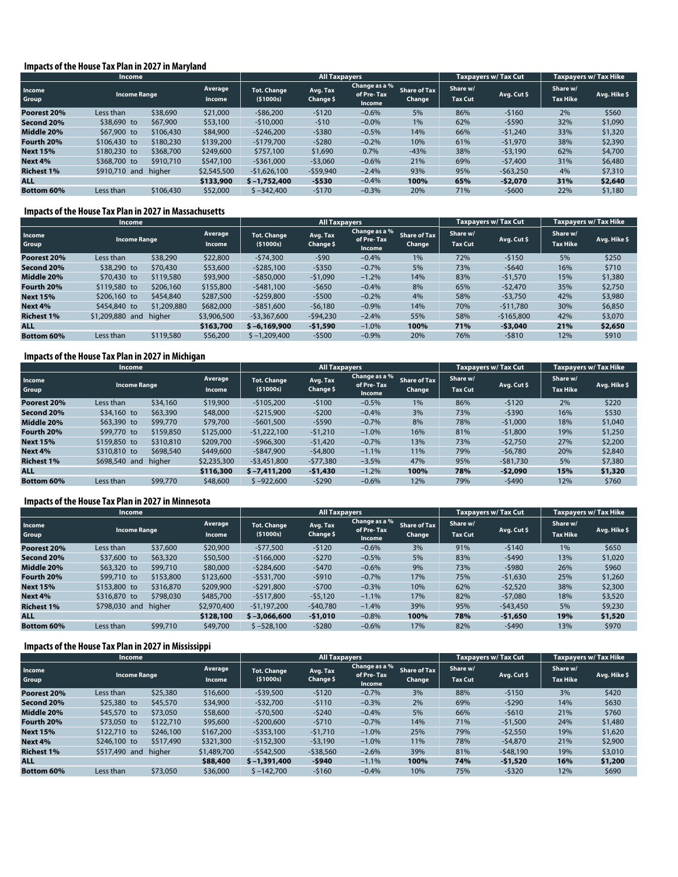#### **Impacts of the House Tax Plan in 2027 in Maryland**

|                   | <b>Income</b>       |           |                          |                                | <b>All Taxpayers</b>  |                                       |                               |                            | <b>Taxpayers w/ Tax Cut</b> | <b>Taxpayers w/ Tax Hike</b> |              |
|-------------------|---------------------|-----------|--------------------------|--------------------------------|-----------------------|---------------------------------------|-------------------------------|----------------------------|-----------------------------|------------------------------|--------------|
| Income<br>Group   | <b>Income Range</b> |           | Average<br><b>Income</b> | <b>Tot. Change</b><br>(51000s) | Avg. Tax<br>Change \$ | Change as a %<br>of Pre-Tax<br>Income | <b>Share of Tax</b><br>Change | Share w/<br><b>Tax Cut</b> | Avg. Cut \$                 | Share w/<br><b>Tax Hike</b>  | Avg. Hike \$ |
| Poorest 20%       | Less than           | \$38,690  | \$21,000                 | $-586,200$                     | $-5120$               | $-0.6%$                               | 5%                            | 86%                        | $-5160$                     | 2%                           | \$560        |
| Second 20%        | \$38,690 to         | \$67,900  | \$53,100                 | $-510,000$                     | $-510$                | $-0.0%$                               | 1%                            | 62%                        | $-5590$                     | 32%                          | \$1,090      |
| Middle 20%        | \$67,900 to         | \$106,430 | \$84,900                 | $-5246,200$                    | $-5380$               | $-0.5%$                               | 14%                           | 66%                        | $-51,240$                   | 33%                          | \$1,320      |
| Fourth 20%        | \$106,430 to        | \$180,230 | \$139,200                | $-5179.700$                    | $-5280$               | $-0.2%$                               | 10%                           | 61%                        | $-51,970$                   | 38%                          | \$2,390      |
| <b>Next 15%</b>   | \$180,230 to        | \$368,700 | \$249,600                | \$757,100                      | \$1,690               | 0.7%                                  | $-43%$                        | 38%                        | $-53.190$                   | 62%                          | \$4,700      |
| Next 4%           | \$368,700 to        | \$910,710 | \$547,100                | $-5361.000$                    | $-53,060$             | $-0.6%$                               | 21%                           | 69%                        | $-57.400$                   | 31%                          | \$6,480      |
| <b>Richest 1%</b> | \$910,710 and       | higher    | \$2,545,500              | $-51.626.100$                  | $-$ \$59,940          | $-2.4%$                               | 93%                           | 95%                        | $-563,250$                  | 4%                           | \$7,310      |
| <b>ALL</b>        |                     |           | \$133,900                | $$ -1.752.400$                 | $-5530$               | $-0.4%$                               | 100%                          | 65%                        | $-52,070$                   | 31%                          | \$2,640      |
| <b>Bottom 60%</b> | Less than           | \$106,430 | \$52,000                 | $$ -342,400$                   | $-5170$               | $-0.3%$                               | 20%                           | 71%                        | $-5600$                     | 22%                          | \$1,180      |

#### **Impacts of the House Tax Plan in 2027 in Massachusetts**

|                   | Income              |             |                          | <b>All Taxpayers</b>           |                       |                                       |                               |                            | Taxpayers w/Tax Cut | <b>Taxpayers w/ Tax Hike</b> |              |
|-------------------|---------------------|-------------|--------------------------|--------------------------------|-----------------------|---------------------------------------|-------------------------------|----------------------------|---------------------|------------------------------|--------------|
| Income<br>Group   | <b>Income Range</b> |             | Average<br><b>Income</b> | <b>Tot. Change</b><br>(51000s) | Avg. Tax<br>Change \$ | Change as a %<br>of Pre-Tax<br>Income | <b>Share of Tax</b><br>Change | Share w/<br><b>Tax Cut</b> | Avg. Cut \$         | Share w/<br><b>Tax Hike</b>  | Avg. Hike \$ |
| Poorest 20%       | Less than           | \$38,290    | \$22,800                 | $-574.300$                     | $-590$                | $-0.4%$                               | 1%                            | 72%                        | $-5150$             | 5%                           | \$250        |
| Second 20%        | \$38,290 to         | \$70,430    | \$53,600                 | $-5285,100$                    | $-5350$               | $-0.7%$                               | 5%                            | 73%                        | $-5640$             | 16%                          | \$710        |
| Middle 20%        | \$70,430 to         | \$119,580   | \$93,900                 | $-5850.000$                    | $-51,090$             | $-1.2%$                               | 14%                           | 83%                        | $-51.570$           | 15%                          | \$1,380      |
| Fourth 20%        | \$119,580 to        | \$206,160   | \$155,800                | $-5481.100$                    | $-5650$               | $-0.4%$                               | 8%                            | 65%                        | $-52.470$           | 35%                          | \$2,750      |
| <b>Next 15%</b>   | \$206,160 to        | \$454,840   | \$287,500                | $-5259,800$                    | $-5500$               | $-0.2%$                               | 4%                            | 58%                        | $-53.750$           | 42%                          | \$3,980      |
| Next 4%           | \$454,840 to        | \$1,209,880 | \$682,000                | $-5851.600$                    | $-56.180$             | $-0.9%$                               | 14%                           | 70%                        | $-511,780$          | 30%                          | \$6,850      |
| <b>Richest 1%</b> | \$1,209,880 and     | higher      | \$3,906,500              | $-53.367.600$                  | $-594.230$            | $-2.4%$                               | 55%                           | 58%                        | $-5165.800$         | 42%                          | \$3,070      |
| <b>ALL</b>        |                     |             | \$163,700                | $$ -6.169.900$                 | $-51,590$             | $-1.0%$                               | 100%                          | 71%                        | $-53,040$           | 21%                          | \$2,650      |
| <b>Bottom 60%</b> | Less than           | \$119,580   | \$56,200                 | $$ -1,209,400$                 | $-5500$               | $-0.9%$                               | 20%                           | 76%                        | $-5810$             | 12%                          | \$910        |

# **Impacts of the House Tax Plan in 2027 in Michigan**

|                   | <b>Income</b>       |           |                          |                                | <b>All Taxpayers</b>  |                                       |                               |                            | <b>Taxpavers w/ Tax Cut</b> | Taxpayers w/ Tax Hike       |              |
|-------------------|---------------------|-----------|--------------------------|--------------------------------|-----------------------|---------------------------------------|-------------------------------|----------------------------|-----------------------------|-----------------------------|--------------|
| Income<br>Group   | <b>Income Range</b> |           | Average<br><b>Income</b> | <b>Tot. Change</b><br>(51000s) | Avg. Tax<br>Change \$ | Change as a %<br>of Pre-Tax<br>Income | <b>Share of Tax</b><br>Change | Share w/<br><b>Tax Cut</b> | Avg. Cut \$                 | Share w/<br><b>Tax Hike</b> | Avg. Hike \$ |
| Poorest 20%       | Less than           | \$34,160  | \$19,900                 | $-5105.200$                    | $-5100$               | $-0.5%$                               | 1%                            | 86%                        | $-5120$                     | 2%                          | \$220        |
| Second 20%        | \$34,160 to         | \$63,390  | \$48,000                 | $-5215.900$                    | $-5200$               | $-0.4%$                               | 3%                            | 73%                        | $-5390$                     | 16%                         | \$530        |
| Middle 20%        | \$63,390 to         | \$99,770  | \$79,700                 | $-5601.500$                    | $-5590$               | $-0.7%$                               | 8%                            | 78%                        | $-51.000$                   | 18%                         | \$1,040      |
| Fourth 20%        | \$99,770 to         | \$159,850 | \$125,000                | $-51,222,100$                  | $-51,210$             | $-1.0%$                               | 16%                           | 81%                        | $-51.800$                   | 19%                         | \$1,250      |
| <b>Next 15%</b>   | \$159,850 to        | \$310,810 | \$209,700                | $-5966.300$                    | $-51.420$             | $-0.7%$                               | 13%                           | 73%                        | $-52,750$                   | 27%                         | \$2,200      |
| Next 4%           | \$310,810 to        | \$698,540 | \$449,600                | $-5847.900$                    | $-54,800$             | $-1.1%$                               | 11%                           | 79%                        | $-56.780$                   | 20%                         | \$2,840      |
| <b>Richest 1%</b> | \$698,540 and       | higher    | \$2,235,300              | $-53.451.800$                  | $-577.380$            | $-3.5%$                               | 47%                           | 95%                        | $-581.730$                  | 5%                          | \$7,380      |
| <b>ALL</b>        |                     |           | \$116,300                | $$ -7,411,200$                 | $-51,430$             | $-1.2%$                               | 100%                          | 78%                        | $-52,090$                   | 15%                         | \$1,320      |
| <b>Bottom 60%</b> | Less than           | \$99,770  | \$48,600                 | $$ -922,600$                   | $-5290$               | $-0.6%$                               | 12%                           | 79%                        | $-5490$                     | 12%                         | \$760        |

#### **Impacts of the House Tax Plan in 2027 in Minnesota**

|                   | <b>Income</b>       |           |                          |                                | <b>All Taxpayers</b>  |                                       |                               |                            | Taxpayers w/Tax Cut | <b>Taxpayers w/ Tax Hike</b> |              |
|-------------------|---------------------|-----------|--------------------------|--------------------------------|-----------------------|---------------------------------------|-------------------------------|----------------------------|---------------------|------------------------------|--------------|
| Income<br>Group   | <b>Income Range</b> |           | Average<br><b>Income</b> | <b>Tot. Change</b><br>(51000s) | Avg. Tax<br>Change \$ | Change as a %<br>of Pre-Tax<br>Income | <b>Share of Tax</b><br>Change | Share w/<br><b>Tax Cut</b> | Avg. Cut \$         | Share w/<br><b>Tax Hike</b>  | Avg. Hike \$ |
| Poorest 20%       | Less than           | \$37,600  | \$20,900                 | $-577,500$                     | $-5120$               | $-0.6%$                               | 3%                            | 91%                        | $-5140$             | 1%                           | \$650        |
| Second 20%        | \$37,600 to         | \$63,320  | \$50,500                 | $-5166,000$                    | $-5270$               | $-0.5%$                               | 5%                            | 83%                        | $-5490$             | 13%                          | \$1,020      |
| Middle 20%        | \$63,320 to         | \$99,710  | \$80,000                 | $-5284.600$                    | $-5470$               | $-0.6%$                               | 9%                            | 73%                        | $-5980$             | 26%                          | \$960        |
| Fourth 20%        | \$99,710 to         | \$153,800 | \$123,600                | $-5531,700$                    | $-5910$               | $-0.7%$                               | 17%                           | 75%                        | $-51.630$           | 25%                          | \$1,260      |
| <b>Next 15%</b>   | \$153,800 to        | \$316,870 | \$209,900                | $-5291,800$                    | $-5700$               | $-0.3%$                               | 10%                           | 62%                        | $-52,520$           | 38%                          | \$2,300      |
| Next 4%           | \$316,870 to        | \$798,030 | \$485,700                | $-5517.800$                    | $-55,120$             | $-1.1%$                               | 17%                           | 82%                        | $-57.080$           | 18%                          | \$3,520      |
| <b>Richest 1%</b> | \$798,030 and       | higher    | \$2,970,400              | $-51.197.200$                  | $-540.780$            | $-1.4%$                               | 39%                           | 95%                        | $-543,450$          | 5%                           | \$9,230      |
| <b>ALL</b>        |                     |           | \$128,100                | $$ -3,066,600$                 | $-51,010$             | $-0.8%$                               | 100%                          | 78%                        | $-51,650$           | 19%                          | \$1,520      |
| <b>Bottom 60%</b> | Less than           | \$99,710  | \$49,700                 | $$ -528.100$                   | $-5280$               | $-0.6%$                               | 17%                           | 82%                        | $-5490$             | 13%                          | \$970        |

#### **Impacts of the House Tax Plan in 2027 in Mississippi**

|                   | <b>Income</b>       |           |                          |                                  | <b>All Taxpayers</b>  |                                       |                               |                            | <b>Taxpayers w/ Tax Cut</b> | <b>Taxpayers w/ Tax Hike</b> |              |
|-------------------|---------------------|-----------|--------------------------|----------------------------------|-----------------------|---------------------------------------|-------------------------------|----------------------------|-----------------------------|------------------------------|--------------|
| Income<br>Group   | <b>Income Range</b> |           | Average<br><b>Income</b> | <b>Tot. Change</b><br>( \$1000s) | Avg. Tax<br>Change \$ | Change as a %<br>of Pre-Tax<br>Income | <b>Share of Tax</b><br>Change | Share w/<br><b>Tax Cut</b> | Avg. Cut \$                 | Share w/<br><b>Tax Hike</b>  | Avg. Hike \$ |
| Poorest 20%       | Less than           | \$25,380  | \$16,600                 | $-539.500$                       | $-5120$               | $-0.7%$                               | 3%                            | 88%                        | $-5150$                     | 3%                           | \$420        |
| Second 20%        | \$25,380 to         | \$45,570  | \$34,900                 | $-532,700$                       | $-5110$               | $-0.3%$                               | 2%                            | 69%                        | $-5290$                     | 14%                          | \$630        |
| Middle 20%        | \$45,570 to         | \$73,050  | \$58,600                 | $-570,500$                       | $-5240$               | $-0.4%$                               | 5%                            | 66%                        | $-5610$                     | 21%                          | \$760        |
| Fourth 20%        | \$73,050 to         | \$122,710 | \$95,600                 | $-5200.600$                      | $-5710$               | $-0.7%$                               | 14%                           | 71%                        | $-51,500$                   | 24%                          | \$1,480      |
| <b>Next 15%</b>   | \$122,710 to        | \$246,100 | \$167,200                | $-5353.100$                      | $-51.710$             | $-1.0%$                               | 25%                           | 79%                        | $-52.550$                   | 19%                          | \$1,620      |
| Next 4%           | \$246,100 to        | \$517,490 | \$321,300                | $-5152,300$                      | $-53,190$             | $-1.0%$                               | 11%                           | 78%                        | $-54.870$                   | 21%                          | \$2,900      |
| <b>Richest 1%</b> | \$517,490 and       | higher    | \$1,489,700              | $-5542.500$                      | $-538,560$            | $-2.6%$                               | 39%                           | 81%                        | $-548.190$                  | 19%                          | \$3,010      |
| <b>ALL</b>        |                     |           | \$88,400                 | $$ -1,391,400$                   | $-5940$               | $-1.1%$                               | 100%                          | 74%                        | $-51,520$                   | 16%                          | \$1,200      |
| <b>Bottom 60%</b> | Less than           | \$73,050  | \$36,000                 | $$ -142.700$                     | $-5160$               | $-0.4%$                               | 10%                           | 75%                        | $-5320$                     | 12%                          | \$690        |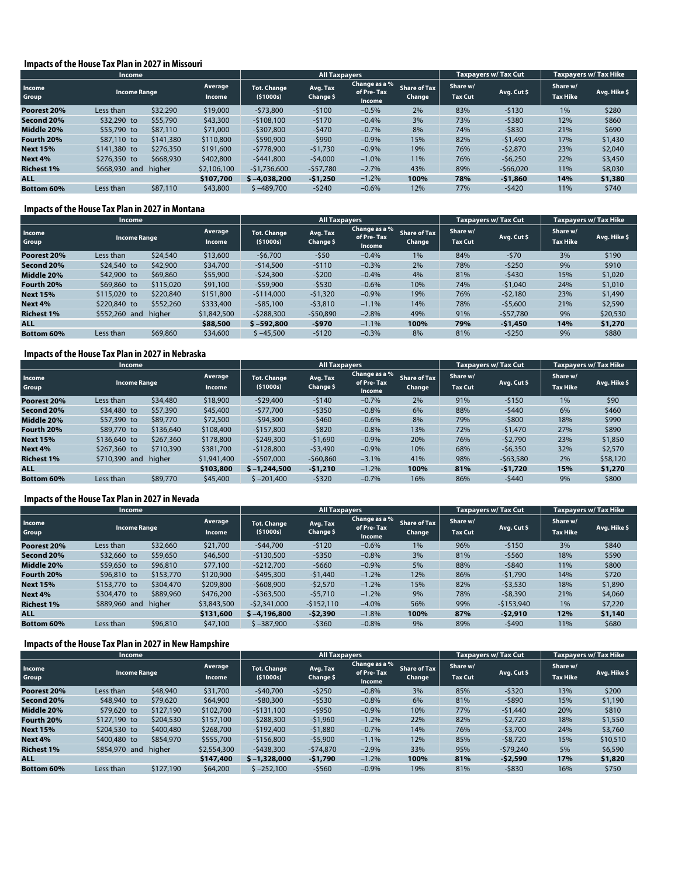#### **Impacts of the House Tax Plan in 2027 in Missouri**

|                   | <b>Income</b>       |           |                   |                                | <b>All Taxpayers</b>  |                                              |                               |                            | <b>Taxpavers w/ Tax Cut</b> | Taxpayers w/ Tax Hike       |              |
|-------------------|---------------------|-----------|-------------------|--------------------------------|-----------------------|----------------------------------------------|-------------------------------|----------------------------|-----------------------------|-----------------------------|--------------|
| Income<br>Group   | <b>Income Range</b> |           | Average<br>Income | <b>Tot. Change</b><br>(51000s) | Avg. Tax<br>Change \$ | Change as a %<br>of Pre-Tax<br><b>Income</b> | <b>Share of Tax</b><br>Change | Share w/<br><b>Tax Cut</b> | Avg. Cut \$                 | Share w/<br><b>Tax Hike</b> | Avg. Hike \$ |
| Poorest 20%       | Less than           | \$32,290  | \$19,000          | $-573.800$                     | $-5100$               | $-0.5%$                                      | 2%                            | 83%                        | $-5130$                     | 1%                          | \$280        |
| Second 20%        | \$32,290 to         | \$55,790  | \$43,300          | $-5108.100$                    | $-5170$               | $-0.4%$                                      | 3%                            | 73%                        | $-5380$                     | 12%                         | \$860        |
| Middle 20%        | \$55,790 to         | \$87,110  | \$71,000          | $-5307.800$                    | $-5470$               | $-0.7%$                                      | 8%                            | 74%                        | $-5830$                     | 21%                         | \$690        |
| Fourth 20%        | \$87,110 to         | \$141,380 | \$110,800         | $-$ \$590,900                  | $-5990$               | $-0.9%$                                      | 15%                           | 82%                        | $-51.490$                   | 17%                         | \$1,430      |
| <b>Next 15%</b>   | \$141,380 to        | \$276,350 | \$191,600         | $-5778.900$                    | $-51.730$             | $-0.9%$                                      | 19%                           | 76%                        | $-52.870$                   | 23%                         | \$2,040      |
| Next 4%           | \$276,350 to        | \$668,930 | \$402,800         | $-5441.800$                    | $-54,000$             | $-1.0%$                                      | 11%                           | 76%                        | $-56,250$                   | 22%                         | \$3,450      |
| <b>Richest 1%</b> | \$668,930 and       | higher    | \$2,106,100       | $-$1,736,600$                  | $-557,780$            | $-2.7%$                                      | 43%                           | 89%                        | $-566,020$                  | 11%                         | \$8,030      |
| <b>ALL</b>        |                     |           | \$107,700         | $$ -4.038.200$                 | $-51,250$             | $-1.2%$                                      | 100%                          | 78%                        | $-$ \$1,860                 | 14%                         | \$1,380      |
| <b>Bottom 60%</b> | Less than           | \$87,110  | \$43,800          | $$ -489.700$                   | $-5240$               | $-0.6%$                                      | 12%                           | 77%                        | $-5420$                     | 11%                         | \$740        |

#### **Impacts of the House Tax Plan in 2027 in Montana**

|                   | <b>Income</b>       |           |                                 | <b>All Taxpayers</b>             |                       |                                       |                               |                            | Taxpayers w/ Tax Cut | <b>Taxpayers w/ Tax Hike</b> |              |
|-------------------|---------------------|-----------|---------------------------------|----------------------------------|-----------------------|---------------------------------------|-------------------------------|----------------------------|----------------------|------------------------------|--------------|
| Income<br>Group   | <b>Income Range</b> |           | <b>Average</b><br><b>Income</b> | <b>Tot. Change</b><br>( \$1000s) | Avg. Tax<br>Change \$ | Change as a %<br>of Pre-Tax<br>Income | <b>Share of Tax</b><br>Change | Share w/<br><b>Tax Cut</b> | Avg. Cut \$          | Share w/<br><b>Tax Hike</b>  | Avg. Hike \$ |
| Poorest 20%       | Less than           | \$24,540  | \$13,600                        | $-56,700$                        | $-550$                | $-0.4%$                               | 1%                            | 84%                        | $-570$               | 3%                           | \$190        |
| Second 20%        | \$24,540 to         | \$42,900  | \$34,700                        | $-$14,500$                       | $-5110$               | $-0.3%$                               | 2%                            | 78%                        | $-5250$              | 9%                           | \$910        |
| Middle 20%        | \$42,900 to         | \$69,860  | \$55,900                        | $-524,300$                       | $-5200$               | $-0.4%$                               | 4%                            | 81%                        | $-5430$              | 15%                          | \$1,020      |
| Fourth 20%        | \$69,860 to         | \$115,020 | \$91,100                        | $-559.900$                       | $-5530$               | $-0.6%$                               | 10%                           | 74%                        | $-51.040$            | 24%                          | \$1,010      |
| <b>Next 15%</b>   | \$115,020 to        | \$220,840 | \$151,800                       | $-5114,000$                      | $-51,320$             | $-0.9%$                               | 19%                           | 76%                        | $-52,180$            | 23%                          | \$1,490      |
| Next 4%           | \$220,840 to        | \$552,260 | \$333,400                       | $-585.100$                       | $-53.810$             | $-1.1%$                               | 14%                           | 78%                        | $-55,600$            | 21%                          | \$2,590      |
| <b>Richest 1%</b> | \$552,260 and       | higher    | \$1,842,500                     | $-5288.300$                      | $-$50,890$            | $-2.8%$                               | 49%                           | 91%                        | $-557,780$           | 9%                           | \$20,530     |
| <b>ALL</b>        |                     |           | \$88,500                        | $$ -592.800$                     | -\$970                | $-1.1%$                               | 100%                          | 79%                        | $-$1,450$            | 14%                          | \$1,270      |
| <b>Bottom 60%</b> | Less than           | \$69,860  | \$34,600                        | $$ -45,500$                      | $-5120$               | $-0.3%$                               | 8%                            | 81%                        | $-5250$              | 9%                           | \$880        |

#### **Impacts of the House Tax Plan in 2027 in Nebraska**

|                   | <b>Income</b>       |           |                          |                                | <b>All Taxpayers</b>  |                                       |                               |                            | Taxpayers w/ Tax Cut | Taxpayers w/ Tax Hike       |              |
|-------------------|---------------------|-----------|--------------------------|--------------------------------|-----------------------|---------------------------------------|-------------------------------|----------------------------|----------------------|-----------------------------|--------------|
| Income<br>Group   | <b>Income Range</b> |           | Average<br><b>Income</b> | <b>Tot. Change</b><br>(51000s) | Avg. Tax<br>Change \$ | Change as a %<br>of Pre-Tax<br>Income | <b>Share of Tax</b><br>Change | Share w/<br><b>Tax Cut</b> | Avg. Cut \$          | Share w/<br><b>Tax Hike</b> | Avg. Hike \$ |
| Poorest 20%       | Less than           | \$34,480  | \$18,900                 | $-529.400$                     | $-5140$               | $-0.7%$                               | 2%                            | 91%                        | $-5150$              | 1%                          | \$90         |
| Second 20%        | \$34,480 to         | \$57,390  | \$45,400                 | $-577,700$                     | $-5350$               | $-0.8%$                               | 6%                            | 88%                        | $-5440$              | 6%                          | \$460        |
| Middle 20%        | \$57,390 to         | \$89,770  | \$72,500                 | $-594,300$                     | $-5460$               | $-0.6%$                               | 8%                            | 79%                        | $-5800$              | 18%                         | \$990        |
| Fourth 20%        | \$89,770 to         | \$136,640 | \$108,400                | $-5157.800$                    | $-5820$               | $-0.8%$                               | 13%                           | 72%                        | $-51.470$            | 27%                         | \$890        |
| <b>Next 15%</b>   | \$136,640 to        | \$267,360 | \$178,800                | $-5249.300$                    | $-51.690$             | $-0.9%$                               | 20%                           | 76%                        | $-52.790$            | 23%                         | \$1,850      |
| Next 4%           | \$267,360 to        | \$710,390 | \$381,700                | $-5128,800$                    | $-53,490$             | $-0.9%$                               | 10%                           | 68%                        | $-56,350$            | 32%                         | \$2,570      |
| <b>Richest 1%</b> | \$710,390 and       | higher    | \$1,941,400              | $-5507.000$                    | $-560,860$            | $-3.1%$                               | 41%                           | 98%                        | $-563,580$           | 2%                          | \$58,120     |
| <b>ALL</b>        |                     |           | \$103,800                | $$ -1,244,500$                 | $-51,210$             | $-1.2%$                               | 100%                          | 81%                        | $-51,720$            | 15%                         | \$1,270      |
| <b>Bottom 60%</b> | Less than           | \$89,770  | \$45,400                 | $$ -201,400$                   | $-5320$               | $-0.7%$                               | 16%                           | 86%                        | $-5440$              | 9%                          | \$800        |

#### **Impacts of the House Tax Plan in 2027 in Nevada**

|                   | <b>Income</b>       |           |                          |                                  | <b>All Taxpayers</b>  |                                              |                               |                            | <b>Taxpayers w/ Tax Cut</b> | <b>Taxpayers w/ Tax Hike</b> |              |
|-------------------|---------------------|-----------|--------------------------|----------------------------------|-----------------------|----------------------------------------------|-------------------------------|----------------------------|-----------------------------|------------------------------|--------------|
| Income<br>Group   | <b>Income Range</b> |           | Average<br><b>Income</b> | <b>Tot. Change</b><br>( \$1000s) | Avg. Tax<br>Change \$ | Change as a %<br>of Pre-Tax<br><b>Income</b> | <b>Share of Tax</b><br>Change | Share w/<br><b>Tax Cut</b> | Avg. Cut \$                 | Share w/<br><b>Tax Hike</b>  | Avg. Hike \$ |
| Poorest 20%       | Less than           | \$32,660  | \$21,700                 | $-544.700$                       | $-5120$               | $-0.6%$                                      | 1%                            | 96%                        | $-5150$                     | 3%                           | \$840        |
| Second 20%        | \$32,660 to         | \$59,650  | \$46,500                 | $-5130.500$                      | $-$ \$350             | $-0.8%$                                      | 3%                            | 81%                        | $-5560$                     | 18%                          | \$590        |
| Middle 20%        | \$59,650 to         | \$96,810  | \$77,100                 | $-5212.700$                      | $-5660$               | $-0.9%$                                      | 5%                            | 88%                        | $-5840$                     | 11%                          | \$800        |
| Fourth 20%        | \$96,810 to         | \$153,770 | \$120,900                | $-5495.300$                      | $-51,440$             | $-1.2%$                                      | 12%                           | 86%                        | $-51.790$                   | 14%                          | \$720        |
| <b>Next 15%</b>   | \$153,770 to        | \$304,470 | \$209,800                | $-5608.900$                      | $-52.570$             | $-1.2%$                                      | 15%                           | 82%                        | $-53,530$                   | 18%                          | \$1,890      |
| Next 4%           | \$304,470 to        | \$889,960 | \$476,200                | $-5363,500$                      | $-55.710$             | $-1.2%$                                      | 9%                            | 78%                        | $-58,390$                   | 21%                          | \$4,060      |
| <b>Richest 1%</b> | \$889,960 and       | higher    | \$3,843,500              | $-52.341.000$                    | $-5152.110$           | $-4.0\%$                                     | 56%                           | 99%                        | $-5153.940$                 | 1%                           | \$7,220      |
| <b>ALL</b>        |                     |           | \$131,600                | $$ -4.196.800$                   | $-52,390$             | $-1.8%$                                      | 100%                          | 87%                        | $-52,910$                   | 12%                          | \$1,140      |
| <b>Bottom 60%</b> | Less than           | \$96,810  | \$47,100                 | $$ -387,900$                     | $-5360$               | $-0.8%$                                      | 9%                            | 89%                        | $-5490$                     | 11%                          | \$680        |

# **Impacts of the House Tax Plan in 2027 in New Hampshire**

|                   | Income              |           |                   |                                | <b>All Taxpayers</b>  |                                              |                               |                            | Taxpayers w/Tax Cut | Taxpayers w/ Tax Hike       |              |
|-------------------|---------------------|-----------|-------------------|--------------------------------|-----------------------|----------------------------------------------|-------------------------------|----------------------------|---------------------|-----------------------------|--------------|
| Income<br>Group   | <b>Income Range</b> |           | Average<br>Income | <b>Tot. Change</b><br>(51000s) | Avg. Tax<br>Change \$ | Change as a %<br>of Pre-Tax<br><b>Income</b> | <b>Share of Tax</b><br>Change | Share w/<br><b>Tax Cut</b> | Avg. Cut \$         | Share w/<br><b>Tax Hike</b> | Avg. Hike \$ |
| Poorest 20%       | Less than           | \$48,940  | \$31,700          | $-540.700$                     | $-5250$               | $-0.8%$                                      | 3%                            | 85%                        | $-5320$             | 13%                         | \$200        |
| Second 20%        | \$48,940 to         | \$79,620  | \$64,900          | $-$80,300$                     | $-5530$               | $-0.8%$                                      | 6%                            | 81%                        | $-5890$             | 15%                         | \$1,190      |
| Middle 20%        | \$79,620 to         | \$127,190 | \$102,700         | $-5131.100$                    | $-5950$               | $-0.9%$                                      | 10%                           | 77%                        | $-51,440$           | 20%                         | \$810        |
| Fourth 20%        | \$127,190 to        | \$204,530 | \$157,100         | $-5288,300$                    | $-51,960$             | $-1.2%$                                      | 22%                           | 82%                        | $-52.720$           | 18%                         | \$1,550      |
| <b>Next 15%</b>   | \$204,530 to        | \$400,480 | \$268,700         | $-5192.400$                    | $-51.880$             | $-0.7%$                                      | 14%                           | 76%                        | $-53.700$           | 24%                         | \$3,760      |
| Next 4%           | \$400,480 to        | \$854,970 | \$555,700         | $-$156,800$                    | $-55,900$             | $-1.1%$                                      | 12%                           | 85%                        | $-58.720$           | 15%                         | \$10,510     |
| <b>Richest 1%</b> | \$854,970 and       | higher    | \$2,554,300       | $-5438.300$                    | $-574.870$            | $-2.9%$                                      | 33%                           | 95%                        | $-579.240$          | 5%                          | \$6,590      |
| <b>ALL</b>        |                     |           | \$147,400         | $$-1.328,000$                  | $-51,790$             | $-1.2%$                                      | 100%                          | 81%                        | $-52,590$           | 17%                         | \$1,820      |
| <b>Bottom 60%</b> | Less than           | \$127,190 | \$64,200          | $$ -252.100$                   | $-5560$               | $-0.9%$                                      | 19%                           | 81%                        | $-5830$             | 16%                         | \$750        |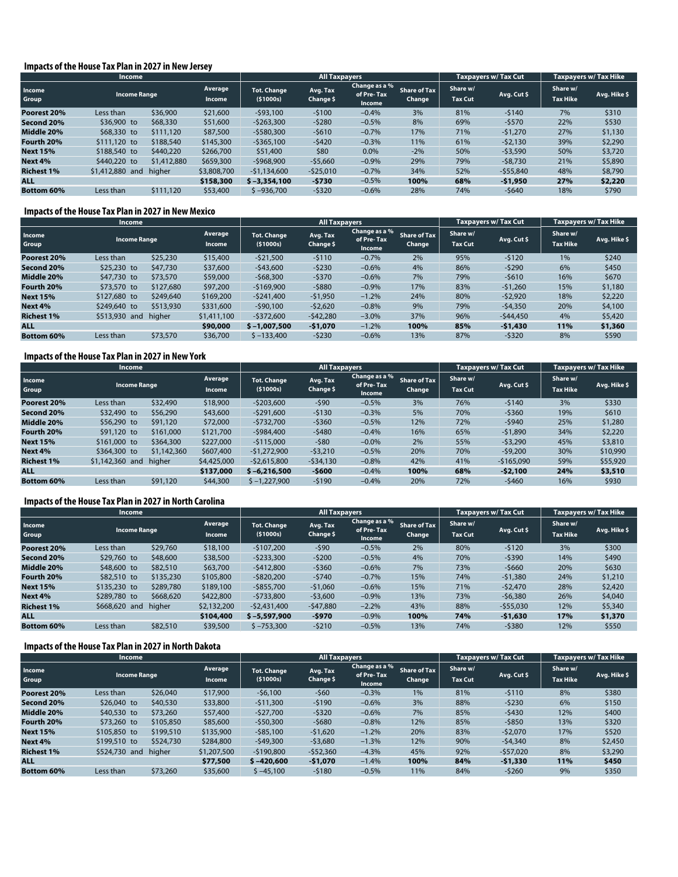#### **Impacts of the House Tax Plan in 2027 in New Jersey**

|                   | <b>Income</b>       |             |                                 |                                  | <b>All Taxpayers</b>  |                                       |                               |                            | <b>Taxpayers w/ Tax Cut</b> | <b>Taxpayers w/ Tax Hike</b> |              |
|-------------------|---------------------|-------------|---------------------------------|----------------------------------|-----------------------|---------------------------------------|-------------------------------|----------------------------|-----------------------------|------------------------------|--------------|
| Income<br>Group   | <b>Income Range</b> |             | <b>Average</b><br><b>Income</b> | <b>Tot. Change</b><br>( \$1000s) | Avg. Tax<br>Change \$ | Change as a %<br>of Pre-Tax<br>Income | <b>Share of Tax</b><br>Change | Share w/<br><b>Tax Cut</b> | Avg. Cut \$                 | Share w/<br><b>Tax Hike</b>  | Avg. Hike \$ |
| Poorest 20%       | Less than           | \$36,900    | \$21,600                        | $-593.100$                       | $-5100$               | $-0.4%$                               | 3%                            | 81%                        | $-5140$                     | 7%                           | \$310        |
| Second 20%        | \$36,900 to         | \$68,330    | \$51,600                        | $-5263,300$                      | $-5280$               | $-0.5%$                               | 8%                            | 69%                        | $-5570$                     | 22%                          | \$530        |
| Middle 20%        | \$68,330 to         | \$111,120   | \$87,500                        | $-5580,300$                      | $-5610$               | $-0.7%$                               | 17%                           | 71%                        | $-51,270$                   | 27%                          | \$1,130      |
| Fourth 20%        | \$111,120 to        | \$188,540   | \$145,300                       | $-$ \$365,100                    | $-5420$               | $-0.3%$                               | 11%                           | 61%                        | $-52.130$                   | 39%                          | \$2,290      |
| <b>Next 15%</b>   | \$188,540 to        | \$440,220   | \$266,700                       | \$51,400                         | \$80                  | 0.0%                                  | $-2%$                         | 50%                        | $-53,590$                   | 50%                          | \$3,720      |
| Next 4%           | \$440,220 to        | \$1,412,880 | \$659,300                       | $-5968.900$                      | $-55,660$             | $-0.9%$                               | 29%                           | 79%                        | $-58,730$                   | 21%                          | \$5,890      |
| <b>Richest 1%</b> | \$1,412,880 and     | higher      | \$3,808,700                     | $-51,134,600$                    | $-$ \$25,010          | $-0.7%$                               | 34%                           | 52%                        | $-555,840$                  | 48%                          | \$8,790      |
| <b>ALL</b>        |                     |             | \$158,300                       | $$ -3,354,100$                   | -\$730                | $-0.5%$                               | 100%                          | 68%                        | $-51,950$                   | 27%                          | \$2,220      |
| <b>Bottom 60%</b> | Less than           | \$111,120   | \$53,400                        | $$ -936,700$                     | $-5320$               | $-0.6%$                               | 28%                           | 74%                        | -\$640                      | 18%                          | \$790        |

#### **Impacts of the House Tax Plan in 2027 in New Mexico**

|                   | Income              |           |                          |                                  | <b>All Taxpayers</b>  |                                       |                               |                            | <b>Taxpayers w/ Tax Cut</b> | Taxpayers w/ Tax Hike       |              |
|-------------------|---------------------|-----------|--------------------------|----------------------------------|-----------------------|---------------------------------------|-------------------------------|----------------------------|-----------------------------|-----------------------------|--------------|
| Income<br>Group   | <b>Income Range</b> |           | Average<br><b>Income</b> | <b>Tot. Change</b><br>( \$1000s) | Avg. Tax<br>Change \$ | Change as a %<br>of Pre-Tax<br>Income | <b>Share of Tax</b><br>Change | Share w/<br><b>Tax Cut</b> | Avg. Cut \$                 | Share w/<br><b>Tax Hike</b> | Avg. Hike \$ |
| Poorest 20%       | Less than           | \$25,230  | \$15,400                 | $-521,500$                       | $-5110$               | $-0.7%$                               | 2%                            | 95%                        | $-5120$                     | 1%                          | \$240        |
| Second 20%        | \$25,230 to         | \$47,730  | \$37,600                 | $-543,600$                       | $-5230$               | $-0.6%$                               | 4%                            | 86%                        | $-5290$                     | 6%                          | \$450        |
| Middle 20%        | \$47,730 to         | \$73,570  | \$59,000                 | $-568,300$                       | $-5370$               | $-0.6%$                               | 7%                            | 79%                        | $-5610$                     | 16%                         | \$670        |
| Fourth 20%        | \$73,570 to         | \$127,680 | \$97,200                 | $-$169,900$                      | $-5880$               | $-0.9%$                               | 17%                           | 83%                        | $-51,260$                   | 15%                         | \$1,180      |
| <b>Next 15%</b>   | \$127,680 to        | \$249,640 | \$169,200                | $-5241.400$                      | $-51,950$             | $-1.2%$                               | 24%                           | 80%                        | $-52,920$                   | 18%                         | \$2,220      |
| Next 4%           | \$249,640 to        | \$513,930 | \$331,600                | $-590,100$                       | $-52.620$             | $-0.8%$                               | 9%                            | 79%                        | $-54.350$                   | 20%                         | \$4,100      |
| <b>Richest 1%</b> | \$513,930 and       | higher    | \$1,411,100              | $-5372.600$                      | $-542,280$            | $-3.0\%$                              | 37%                           | 96%                        | $-544.450$                  | 4%                          | \$5,420      |
| <b>ALL</b>        |                     |           | \$90,000                 | $$ -1.007.500$                   | $-51,070$             | $-1.2%$                               | 100%                          | 85%                        | $-$ \$1,430                 | 11%                         | \$1,360      |
| <b>Bottom 60%</b> | Less than           | \$73,570  | \$36,700                 | $$ -133,400$                     | $-5230$               | $-0.6%$                               | 13%                           | 87%                        | $-5320$                     | 8%                          | \$590        |

# **Impacts of the House Tax Plan in 2027 in New York**

|                   | <b>Income</b>       |             |                          |                                | <b>All Taxpayers</b>  |                                       |                               |                            | <b>Taxpavers w/ Tax Cut</b> | Taxpayers w/ Tax Hike       |              |
|-------------------|---------------------|-------------|--------------------------|--------------------------------|-----------------------|---------------------------------------|-------------------------------|----------------------------|-----------------------------|-----------------------------|--------------|
| Income<br>Group   | <b>Income Range</b> |             | Average<br><b>Income</b> | <b>Tot. Change</b><br>(51000s) | Avg. Tax<br>Change \$ | Change as a %<br>of Pre-Tax<br>Income | <b>Share of Tax</b><br>Change | Share w/<br><b>Tax Cut</b> | Avg. Cut \$                 | Share w/<br><b>Tax Hike</b> | Avg. Hike \$ |
| Poorest 20%       | Less than           | \$32,490    | \$18,900                 | $-5203,600$                    | $-590$                | $-0.5%$                               | 3%                            | 76%                        | $-5140$                     | 3%                          | \$330        |
| Second 20%        | \$32,490 to         | \$56,290    | \$43,600                 | $-5291.600$                    | $-5130$               | $-0.3%$                               | 5%                            | 70%                        | $-5360$                     | 19%                         | \$610        |
| Middle 20%        | \$56,290 to         | \$91,120    | \$72,000                 | $-5732.700$                    | $-5360$               | $-0.5%$                               | 12%                           | 72%                        | $-5940$                     | 25%                         | \$1,280      |
| Fourth 20%        | \$91,120 to         | \$161,000   | \$121,700                | $-5984.400$                    | $-5480$               | $-0.4%$                               | 16%                           | 65%                        | $-51.890$                   | 34%                         | \$2,220      |
| <b>Next 15%</b>   | \$161,000 to        | \$364,300   | \$227,000                | $-5115,000$                    | $-580$                | $-0.0\%$                              | 2%                            | 55%                        | $-53,290$                   | 45%                         | \$3,810      |
| Next 4%           | \$364,300 to        | \$1,142,360 | \$607,400                | $-51,272,900$                  | $-53,210$             | $-0.5%$                               | 20%                           | 70%                        | $-59.200$                   | 30%                         | \$10,990     |
| <b>Richest 1%</b> | \$1,142,360 and     | higher      | \$4,425,000              | $-52.615.800$                  | $-534,130$            | $-0.8%$                               | 42%                           | 41%                        | $-5165.090$                 | 59%                         | \$55,920     |
| <b>ALL</b>        |                     |             | \$137,000                | $$ -6.216.500$                 | $-5600$               | $-0.4%$                               | 100%                          | 68%                        | $-52,100$                   | 24%                         | \$3,510      |
| <b>Bottom 60%</b> | Less than           | \$91,120    | \$44,300                 | $$ -1,227,900$                 | $-5190$               | $-0.4%$                               | 20%                           | 72%                        | $-5460$                     | 16%                         | \$930        |

#### **Impacts of the House Tax Plan in 2027 in North Carolina**

|                   | <b>Income</b>       |           |                          | <b>All Taxpayers</b>           |                       |                                       |                               |                            | Taxpayers w/ Tax Cut | <b>Taxpayers w/ Tax Hike</b> |              |
|-------------------|---------------------|-----------|--------------------------|--------------------------------|-----------------------|---------------------------------------|-------------------------------|----------------------------|----------------------|------------------------------|--------------|
| Income<br>Group   | <b>Income Range</b> |           | Average<br><b>Income</b> | <b>Tot. Change</b><br>(51000s) | Avg. Tax<br>Change \$ | Change as a %<br>of Pre-Tax<br>Income | <b>Share of Tax</b><br>Change | Share w/<br><b>Tax Cut</b> | Avg. Cut \$          | Share w/<br><b>Tax Hike</b>  | Avg. Hike \$ |
| Poorest 20%       | Less than           | \$29,760  | \$18,100                 | $-5107.200$                    | $-590$                | $-0.5%$                               | 2%                            | 80%                        | $-5120$              | 3%                           | \$300        |
| Second 20%        | \$29,760 to         | \$48,600  | \$38,500                 | $-5233,300$                    | $-5200$               | $-0.5%$                               | 4%                            | 70%                        | $-5390$              | 14%                          | \$490        |
| Middle 20%        | \$48,600 to         | \$82,510  | \$63,700                 | $-5412.800$                    | $-5360$               | $-0.6%$                               | 7%                            | 73%                        | $-5660$              | 20%                          | \$630        |
| Fourth 20%        | \$82,510 to         | \$135,230 | \$105,800                | $-$ \$820,200                  | $-5740$               | $-0.7%$                               | 15%                           | 74%                        | $-51,380$            | 24%                          | \$1,210      |
| <b>Next 15%</b>   | \$135,230 to        | \$289,780 | \$189,100                | $-$ \$855,700                  | $-51.060$             | $-0.6%$                               | 15%                           | 71%                        | $-52.470$            | 28%                          | \$2,420      |
| Next 4%           | \$289,780 to        | \$668,620 | \$422,800                | $-5733,800$                    | $-53,600$             | $-0.9%$                               | 13%                           | 73%                        | $-56.380$            | 26%                          | \$4,040      |
| <b>Richest 1%</b> | \$668,620 and       | higher    | \$2,132,200              | $-52.431.400$                  | $-547.880$            | $-2.2%$                               | 43%                           | 88%                        | $-$ \$55,030         | 12%                          | \$5,340      |
| <b>ALL</b>        |                     |           | \$104,400                | $$ -5.597.900$                 | $-5970$               | $-0.9%$                               | 100%                          | 74%                        | $-51,630$            | 17%                          | \$1,370      |
| <b>Bottom 60%</b> | Less than           | \$82,510  | \$39,500                 | $$ -753,300$                   | $-5210$               | $-0.5%$                               | 13%                           | 74%                        | $-5380$              | 12%                          | \$550        |

#### **Impacts of the House Tax Plan in 2027 in North Dakota**

|                   | <b>Income</b>       |           |                          |                                | <b>All Taxpayers</b>  |                                       |                               |                            | <b>Taxpayers w/ Tax Cut</b> | <b>Taxpayers w/ Tax Hike</b> |              |
|-------------------|---------------------|-----------|--------------------------|--------------------------------|-----------------------|---------------------------------------|-------------------------------|----------------------------|-----------------------------|------------------------------|--------------|
| Income<br>Group   | <b>Income Range</b> |           | Average<br><b>Income</b> | <b>Tot. Change</b><br>(51000s) | Avg. Tax<br>Change \$ | Change as a %<br>of Pre-Tax<br>Income | <b>Share of Tax</b><br>Change | Share w/<br><b>Tax Cut</b> | Avg. Cut \$                 | Share w/<br><b>Tax Hike</b>  | Avg. Hike \$ |
| Poorest 20%       | Less than           | \$26,040  | \$17,900                 | $-56,100$                      | $-560$                | $-0.3%$                               | 1%                            | 81%                        | $-5110$                     | 8%                           | \$380        |
| Second 20%        | \$26,040 to         | \$40,530  | \$33,800                 | $-511.300$                     | $-5190$               | $-0.6%$                               | 3%                            | 88%                        | $-5230$                     | 6%                           | \$150        |
| Middle 20%        | \$40,530 to         | \$73,260  | \$57,400                 | $-527.700$                     | $-5320$               | $-0.6%$                               | 7%                            | 85%                        | $-5430$                     | 12%                          | \$400        |
| Fourth 20%        | \$73,260 to         | \$105,850 | \$85,600                 | $-550.300$                     | $-5680$               | $-0.8%$                               | 12%                           | 85%                        | $-5850$                     | 13%                          | \$320        |
| <b>Next 15%</b>   | \$105,850 to        | \$199,510 | \$135,900                | $-$ \$85,100                   | $-51.620$             | $-1.2%$                               | 20%                           | 83%                        | $-52.070$                   | 17%                          | \$520        |
| Next 4%           | \$199,510 to        | \$524,730 | \$284,800                | $-549,300$                     | $-53,680$             | $-1.3%$                               | 12%                           | 90%                        | $-54.340$                   | 8%                           | \$2,450      |
| <b>Richest 1%</b> | \$524,730 and       | higher    | \$1,207,500              | $-5190.800$                    | $-552,360$            | $-4.3%$                               | 45%                           | 92%                        | $-557.020$                  | 8%                           | \$3,290      |
| <b>ALL</b>        |                     |           | \$77,500                 | $$ -420,600$                   | $-51,070$             | $-1.4%$                               | 100%                          | 84%                        | \$1,330                     | <b>11%</b>                   | \$450        |
| <b>Bottom 60%</b> | Less than           | \$73,260  | \$35,600                 | $$ -45.100$                    | $-5180$               | $-0.5%$                               | 11%                           | 84%                        | $-5260$                     | 9%                           | \$350        |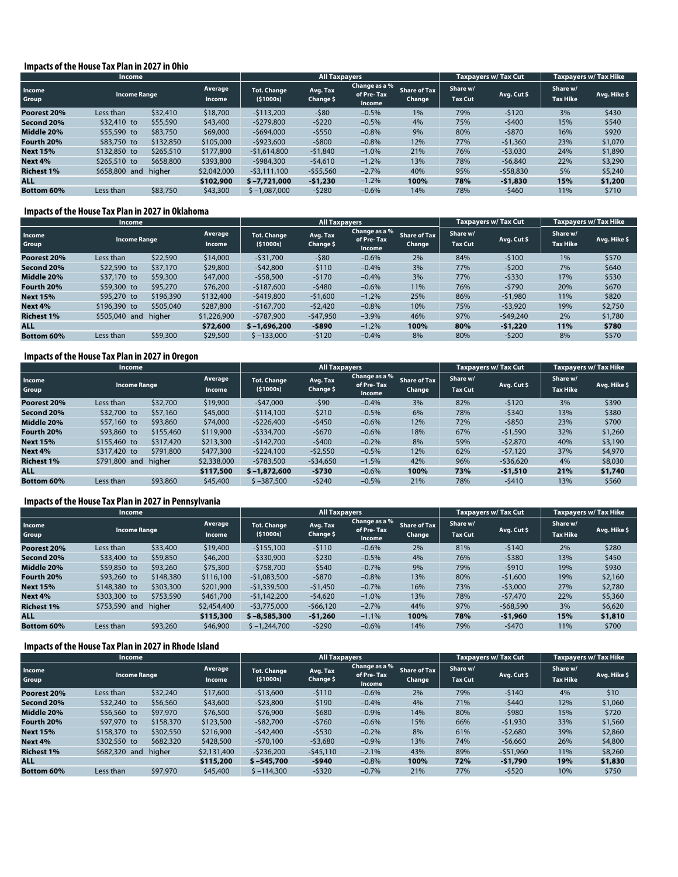#### **Impacts of the House Tax Plan in 2027 in Ohio**

|                   | <b>Income</b>       |           |                                 |                                | <b>All Taxpayers</b>  |                                       |                               |                            | <b>Taxpayers w/ Tax Cut</b> | <b>Taxpayers w/ Tax Hike</b> |              |
|-------------------|---------------------|-----------|---------------------------------|--------------------------------|-----------------------|---------------------------------------|-------------------------------|----------------------------|-----------------------------|------------------------------|--------------|
| Income<br>Group   | <b>Income Range</b> |           | <b>Average</b><br><b>Income</b> | <b>Tot. Change</b><br>(51000s) | Avg. Tax<br>Change \$ | Change as a %<br>of Pre-Tax<br>Income | <b>Share of Tax</b><br>Change | Share w/<br><b>Tax Cut</b> | Avg. Cut \$                 | Share w/<br><b>Tax Hike</b>  | Avg. Hike \$ |
| Poorest 20%       | Less than           | \$32,410  | \$18,700                        | $-5113.200$                    | $-580$                | $-0.5%$                               | 1%                            | 79%                        | $-5120$                     | 3%                           | \$430        |
| Second 20%        | $$32,410$ to        | \$55,590  | \$43,400                        | -\$279,800                     | $-5220$               | $-0.5%$                               | 4%                            | 75%                        | $-5400$                     | 15%                          | \$540        |
| Middle 20%        | \$55,590 to         | \$83,750  | \$69,000                        | $-$694,000$                    | $-5550$               | $-0.8%$                               | 9%                            | 80%                        | $-5870$                     | 16%                          | \$920        |
| Fourth 20%        | \$83,750 to         | \$132,850 | \$105,000                       | $-5923.600$                    | $-5800$               | $-0.8%$                               | 12%                           | 77%                        | $-51,360$                   | 23%                          | \$1,070      |
| <b>Next 15%</b>   | \$132,850 to        | \$265,510 | \$177,800                       | $-51,614,800$                  | $-51,840$             | $-1.0%$                               | 21%                           | 76%                        | $-53,030$                   | 24%                          | \$1,890      |
| Next 4%           | \$265,510 to        | \$658,800 | \$393,800                       | $-5984.300$                    | $-54,610$             | $-1.2%$                               | 13%                           | 78%                        | $-56,840$                   | 22%                          | \$3,290      |
| <b>Richest 1%</b> | \$658,800 and       | higher    | \$2,042,000                     | $-53.111.100$                  | $-$ \$55,560          | $-2.7%$                               | 40%                           | 95%                        | $-558,830$                  | 5%                           | \$5,240      |
| <b>ALL</b>        |                     |           | \$102,900                       | $$ -7.721.000$                 | $-51,230$             | $-1.2%$                               | 100%                          | 78%                        | $-51,830$                   | 15%                          | \$1,200      |
| <b>Bottom 60%</b> | Less than           | \$83,750  | \$43,300                        | $$ -1,087,000$                 | $-5280$               | $-0.6%$                               | 14%                           | 78%                        | $-5460$                     | 11%                          | \$710        |

#### **Impacts of the House Tax Plan in 2027 in Oklahoma**

|                   | <b>Income</b>       |           |                          |                                  | <b>All Taxpayers</b>  |                                       |                               |                            | <b>Taxpavers w/ Tax Cut</b> | <b>Taxpayers w/ Tax Hike</b> |              |
|-------------------|---------------------|-----------|--------------------------|----------------------------------|-----------------------|---------------------------------------|-------------------------------|----------------------------|-----------------------------|------------------------------|--------------|
| Income<br>Group   | <b>Income Range</b> |           | Average<br><b>Income</b> | <b>Tot. Change</b><br>( \$1000s) | Avg. Tax<br>Change \$ | Change as a %<br>of Pre-Tax<br>Income | <b>Share of Tax</b><br>Change | Share w/<br><b>Tax Cut</b> | Avg. Cut \$                 | Share w/<br><b>Tax Hike</b>  | Avg. Hike \$ |
| Poorest 20%       | Less than           | \$22,590  | \$14,000                 | $-531,700$                       | $-580$                | $-0.6%$                               | 2%                            | 84%                        | $-5100$                     | 1%                           | \$570        |
| Second 20%        | \$22,590 to         | \$37,170  | \$29,800                 | $-542,800$                       | $-5110$               | $-0.4%$                               | 3%                            | 77%                        | $-5200$                     | 7%                           | \$640        |
| Middle 20%        | \$37,170 to         | \$59,300  | \$47,000                 | $-558.500$                       | $-5170$               | $-0.4%$                               | 3%                            | 77%                        | $-5330$                     | 17%                          | \$530        |
| Fourth 20%        | \$59,300 to         | \$95,270  | \$76,200                 | $-$187,600$                      | $-5480$               | $-0.6%$                               | 11%                           | 76%                        | $-5790$                     | 20%                          | \$670        |
| <b>Next 15%</b>   | \$95,270 to         | \$196,390 | \$132,400                | $-5419,800$                      | $-51,600$             | $-1.2%$                               | 25%                           | 86%                        | $-51.980$                   | 11%                          | \$820        |
| Next 4%           | \$196,390 to        | \$505,040 | \$287,800                | -\$167.700                       | $-52.420$             | $-0.8%$                               | 10%                           | 75%                        | $-53,920$                   | 19%                          | \$2,750      |
| <b>Richest 1%</b> | \$505,040 and       | higher    | \$1,226,900              | $-5787.900$                      | $-547.950$            | $-3.9%$                               | 46%                           | 97%                        | $-549.240$                  | 2%                           | \$1,780      |
| <b>ALL</b>        |                     |           | \$72,600                 | $$-1,696,200$                    | $-5890$               | $-1.2%$                               | 100%                          | 80%                        | $-51,220$                   | 11%                          | \$780        |
| <b>Bottom 60%</b> | Less than           | \$59,300  | \$29,500                 | $$ -133,000$                     | $-5120$               | $-0.4%$                               | 8%                            | 80%                        | $-5200$                     | 8%                           | \$570        |

#### **Impacts of the House Tax Plan in 2027 in Oregon**

|                   | <b>Income</b>       |           |                          |                                | <b>All Taxpayers</b>  |                                       |                               |                            | <b>Taxpavers w/ Tax Cut</b> | Taxpayers w/ Tax Hike       |              |
|-------------------|---------------------|-----------|--------------------------|--------------------------------|-----------------------|---------------------------------------|-------------------------------|----------------------------|-----------------------------|-----------------------------|--------------|
| Income<br>Group   | <b>Income Range</b> |           | Average<br><b>Income</b> | <b>Tot. Change</b><br>(51000s) | Avg. Tax<br>Change \$ | Change as a %<br>of Pre-Tax<br>Income | <b>Share of Tax</b><br>Change | Share w/<br><b>Tax Cut</b> | Avg. Cut \$                 | Share w/<br><b>Tax Hike</b> | Avg. Hike \$ |
| Poorest 20%       | Less than           | \$32,700  | \$19,900                 | $-547,000$                     | $-590$                | $-0.4%$                               | 3%                            | 82%                        | $-5120$                     | 3%                          | \$390        |
| Second 20%        | \$32,700 to         | \$57,160  | \$45,000                 | $-5114.100$                    | $-5210$               | $-0.5%$                               | 6%                            | 78%                        | $-5340$                     | 13%                         | \$380        |
| Middle 20%        | \$57,160 to         | \$93,860  | \$74,000                 | $-5226.400$                    | $-5450$               | $-0.6%$                               | 12%                           | 72%                        | $-5850$                     | 23%                         | \$700        |
| Fourth 20%        | \$93,860 to         | \$155,460 | \$119,900                | $-5334.700$                    | $-5670$               | $-0.6%$                               | 18%                           | 67%                        | $-51.590$                   | 32%                         | \$1,260      |
| <b>Next 15%</b>   | \$155,460 to        | \$317,420 | \$213,300                | $-5142.700$                    | $-5400$               | $-0.2%$                               | 8%                            | 59%                        | $-52,870$                   | 40%                         | \$3,190      |
| Next 4%           | \$317,420 to        | \$791,800 | \$477,300                | $-5224,100$                    | $-52,550$             | $-0.5%$                               | 12%                           | 62%                        | $-57.120$                   | 37%                         | \$4,970      |
| <b>Richest 1%</b> | \$791,800 and       | higher    | \$2,338,000              | $-5783.500$                    | $-534,650$            | $-1.5%$                               | 42%                           | 96%                        | $-536.620$                  | 4%                          | \$8,030      |
| <b>ALL</b>        |                     |           | \$117,500                | $$ -1.872.600$                 | $-5730$               | $-0.6%$                               | 100%                          | 73%                        | $-$ \$1,510                 | 21%                         | \$1,740      |
| <b>Bottom 60%</b> | Less than           | \$93,860  | \$45,400                 | $$ -387,500$                   | $-5240$               | $-0.5%$                               | 21%                           | 78%                        | $-5410$                     | 13%                         | \$560        |

#### **Impacts of the House Tax Plan in 2027 in Pennsylvania**

|                   | Income              |           |                          |                                | <b>All Taxpayers</b>  |                                       |                               |                            | <b>Taxpayers w/ Tax Cut</b> | <b>Taxpayers w/ Tax Hike</b> |              |
|-------------------|---------------------|-----------|--------------------------|--------------------------------|-----------------------|---------------------------------------|-------------------------------|----------------------------|-----------------------------|------------------------------|--------------|
| Income<br>Group   | <b>Income Range</b> |           | Average<br><b>Income</b> | <b>Tot. Change</b><br>(51000s) | Avg. Tax<br>Change \$ | Change as a %<br>of Pre-Tax<br>Income | <b>Share of Tax</b><br>Change | Share w/<br><b>Tax Cut</b> | Avg. Cut \$                 | Share w/<br><b>Tax Hike</b>  | Avg. Hike \$ |
| Poorest 20%       | Less than           | \$33,400  | \$19,400                 | $-5155.100$                    | $-5110$               | $-0.6%$                               | 2%                            | 81%                        | $-5140$                     | 2%                           | \$280        |
| Second 20%        | \$33,400 to         | \$59,850  | \$46,200                 | $-$ \$330,900                  | $-5230$               | $-0.5%$                               | 4%                            | 76%                        | $-5380$                     | 13%                          | \$450        |
| Middle 20%        | \$59,850 to         | \$93,260  | \$75,300                 | $-5758.700$                    | $-5540$               | $-0.7%$                               | 9%                            | 79%                        | $-5910$                     | 19%                          | \$930        |
| Fourth 20%        | \$93,260 to         | \$148,380 | \$116,100                | $-$1,083,500$                  | $-5870$               | $-0.8%$                               | 13%                           | 80%                        | $-51,600$                   | 19%                          | \$2,160      |
| <b>Next 15%</b>   | \$148,380 to        | \$303,300 | \$201,900                | $-$1,339,500$                  | $-51,450$             | $-0.7%$                               | 16%                           | 73%                        | $-53,000$                   | 27%                          | \$2,780      |
| Next 4%           | \$303,300 to        | \$753,590 | \$461,700                | $-51.142.200$                  | $-54,620$             | $-1.0%$                               | 13%                           | 78%                        | $-57.470$                   | 22%                          | \$5,360      |
| <b>Richest 1%</b> | \$753,590<br>and    | higher    | \$2,454,400              | $-53.775.000$                  | $-566.120$            | $-2.7%$                               | 44%                           | 97%                        | $-568,590$                  | 3%                           | \$6,620      |
| <b>ALL</b>        |                     |           | \$115,300                | $$ -8.585.300$                 | $-51,260$             | $-1.1%$                               | 100%                          | 78%                        | $-51,960$                   | 15%                          | \$1,810      |
| <b>Bottom 60%</b> | Less than           | \$93,260  | \$46,900                 | $$ -1,244,700$                 | $-5290$               | $-0.6%$                               | 14%                           | 79%                        | $-5470$                     | 11%                          | \$700        |

#### **Impacts of the House Tax Plan in 2027 in Rhode Island**

|                   | <b>Income</b>                                   |           |                                |                       | <b>All Taxpayers</b>                         |                               |                            |             | Taxpayers w/Tax Cut         | <b>Taxpayers w/ Tax Hike</b> |         |
|-------------------|-------------------------------------------------|-----------|--------------------------------|-----------------------|----------------------------------------------|-------------------------------|----------------------------|-------------|-----------------------------|------------------------------|---------|
| Income<br>Group   | Average<br><b>Income Range</b><br><b>Income</b> |           | <b>Tot. Change</b><br>(51000s) | Avg. Tax<br>Change \$ | Change as a %<br>of Pre-Tax<br><b>Income</b> | <b>Share of Tax</b><br>Change | Share w/<br><b>Tax Cut</b> | Avg. Cut \$ | Share w/<br><b>Tax Hike</b> | Avg. Hike \$                 |         |
| Poorest 20%       | Less than                                       | \$32,240  | \$17,600                       | $-513,600$            | $-5110$                                      | $-0.6%$                       | 2%                         | 79%         | $-5140$                     | 4%                           | \$10    |
| Second 20%        | \$32,240 to                                     | \$56,560  | \$43,600                       | $-523.800$            | $-5190$                                      | $-0.4%$                       | 4%                         | 71%         | $-5440$                     | 12%                          | \$1,060 |
| Middle 20%        | \$56,560 to                                     | \$97,970  | \$76,500                       | $-576,900$            | $-5680$                                      | $-0.9%$                       | 14%                        | 80%         | $-5980$                     | 15%                          | \$720   |
| Fourth 20%        | \$97,970 to                                     | \$158,370 | \$123,500                      | $-582.700$            | $-5760$                                      | $-0.6%$                       | 15%                        | 66%         | $-51.930$                   | 33%                          | \$1,560 |
| <b>Next 15%</b>   | \$158,370 to                                    | \$302,550 | \$216,900                      | $-542,400$            | $-5530$                                      | $-0.2%$                       | 8%                         | 61%         | $-52.680$                   | 39%                          | \$2,860 |
| Next 4%           | \$302,550 to                                    | \$682,320 | \$428,500                      | $-570,100$            | $-53,680$                                    | $-0.9%$                       | 13%                        | 74%         | $-56.660$                   | 26%                          | \$4,800 |
| <b>Richest 1%</b> | \$682,320 and                                   | higher    | \$2,131,400                    | $-5236.200$           | $-545,110$                                   | $-2.1%$                       | 43%                        | 89%         | $-551,960$                  | 11%                          | \$8,260 |
| <b>ALL</b>        |                                                 |           | \$115,200                      | $$ -545.700$          | $-5940$                                      | $-0.8%$                       | 100%                       | 72%         | $-51,790$                   | 19%                          | \$1,830 |
| <b>Bottom 60%</b> | Less than                                       | \$97,970  | \$45,400                       | $$ -114.300$          | $-5320$                                      | $-0.7%$                       | 21%                        | 77%         | $-5520$                     | 10%                          | \$750   |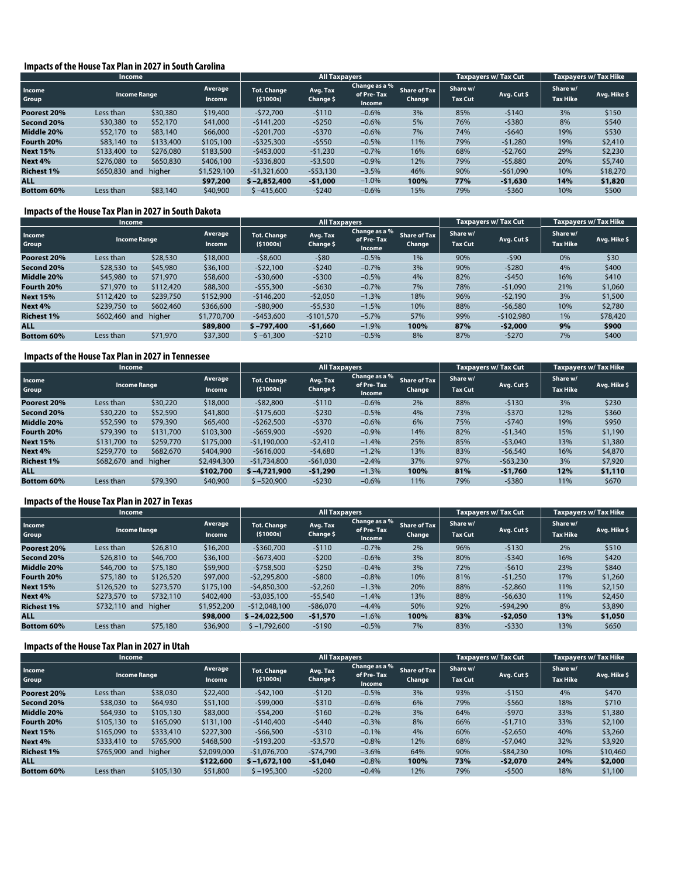#### **Impacts of the House Tax Plan in 2027 in South Carolina**

|                   | <b>Income</b>       |           |                          |                                | <b>All Taxpayers</b>  |                                       |                               |                            | Taxpayers w/ Tax Cut | <b>Taxpayers w/ Tax Hike</b> |              |
|-------------------|---------------------|-----------|--------------------------|--------------------------------|-----------------------|---------------------------------------|-------------------------------|----------------------------|----------------------|------------------------------|--------------|
| Income<br>Group   | <b>Income Range</b> |           | Average<br><b>Income</b> | <b>Tot. Change</b><br>(51000s) | Avg. Tax<br>Change \$ | Change as a %<br>of Pre-Tax<br>Income | <b>Share of Tax</b><br>Change | Share w/<br><b>Tax Cut</b> | Avg. Cut \$          | Share w/<br><b>Tax Hike</b>  | Avg. Hike \$ |
| Poorest 20%       | Less than           | \$30,380  | \$19,400                 | $-572,700$                     | $-5110$               | $-0.6%$                               | 3%                            | 85%                        | $-5140$              | 3%                           | \$150        |
| Second 20%        | \$30,380 to         | \$52,170  | \$41,000                 | $-5141.200$                    | $-5250$               | $-0.6%$                               | 5%                            | 76%                        | $-5380$              | 8%                           | \$540        |
| Middle 20%        | \$52,170 to         | \$83,140  | \$66,000                 | $-5201.700$                    | $-5370$               | $-0.6%$                               | 7%                            | 74%                        | $-5640$              | 19%                          | \$530        |
| Fourth 20%        | \$83,140 to         | \$133,400 | \$105,100                | $-$ \$325,300                  | $-5550$               | $-0.5%$                               | 11%                           | 79%                        | $-51.280$            | 19%                          | \$2,410      |
| <b>Next 15%</b>   | \$133,400 to        | \$276,080 | \$183,500                | $-5453.000$                    | $-51,230$             | $-0.7%$                               | 16%                           | 68%                        | $-52.760$            | 29%                          | \$2,230      |
| Next 4%           | \$276,080 to        | \$650,830 | \$406,100                | $-5336,800$                    | $-53,500$             | $-0.9%$                               | 12%                           | 79%                        | $-55.880$            | 20%                          | \$5,740      |
| <b>Richest 1%</b> | \$650,830 and       | higher    | \$1,529,100              | $-$1,321,600$                  | $-553,130$            | $-3.5%$                               | 46%                           | 90%                        | $-561,090$           | 10%                          | \$18,270     |
| <b>ALL</b>        |                     |           | \$97,200                 | $$ -2,852,400$                 | $-$ \$1,000           | $-1.0%$                               | 100%                          | 77%                        | $-$ \$1,630          | 14%                          | \$1,820      |
| <b>Bottom 60%</b> | Less than           | \$83,140  | \$40,900                 | $$ -415,600$                   | $-5240$               | $-0.6%$                               | 15%                           | 79%                        | $-5360$              | 10%                          | \$500        |

#### **Impacts of the House Tax Plan in 2027 in South Dakota**

|                   | <b>Income</b>                    |           |                          |                                  | <b>All Taxpayers</b>  |                                       |                               |                            | <b>Taxpayers w/ Tax Cut</b> | <b>Taxpayers w/ Tax Hike</b> |              |
|-------------------|----------------------------------|-----------|--------------------------|----------------------------------|-----------------------|---------------------------------------|-------------------------------|----------------------------|-----------------------------|------------------------------|--------------|
| Income<br>Group   | <b>Income Range</b><br>Less than |           | Average<br><b>Income</b> | <b>Tot. Change</b><br>( \$1000s) | Avg. Tax<br>Change \$ | Change as a %<br>of Pre-Tax<br>Income | <b>Share of Tax</b><br>Change | Share w/<br><b>Tax Cut</b> | Avg. Cut \$                 | Share w/<br><b>Tax Hike</b>  | Avg. Hike \$ |
| Poorest 20%       |                                  | \$28,530  | \$18,000                 | $-58,600$                        | $-580$                | $-0.5%$                               | 1%                            | 90%                        | $-590$                      | 0%                           | \$30         |
| Second 20%        | \$28,530 to                      | \$45,980  | \$36,100                 | $-522.100$                       | $-5240$               | $-0.7%$                               | 3%                            | 90%                        | $-5280$                     | 4%                           | \$400        |
| Middle 20%        | \$45,980 to                      | \$71,970  | \$58,600                 | $-530,600$                       | $-5300$               | $-0.5%$                               | 4%                            | 82%                        | $-5450$                     | 16%                          | \$410        |
| Fourth 20%        | \$71,970 to                      | \$112,420 | \$88,300                 | $-555,300$                       | $-5630$               | $-0.7%$                               | 7%                            | 78%                        | $-51,090$                   | 21%                          | \$1,060      |
| <b>Next 15%</b>   | \$112,420 to                     | \$239,750 | \$152,900                | $-$146,200$                      | $-52,050$             | $-1.3%$                               | 18%                           | 96%                        | $-52,190$                   | 3%                           | \$1,500      |
| Next 4%           | \$239,750 to                     | \$602,460 | \$366,600                | $-$ \$80,900                     | $-55,530$             | $-1.5%$                               | 10%                           | 88%                        | $-56.580$                   | 10%                          | \$2,780      |
| <b>Richest 1%</b> | \$602,460 and                    | higher    | \$1,770,700              | $-5453.600$                      | $-5101.570$           | $-5.7%$                               | 57%                           | 99%                        | $-5102.980$                 | 1%                           | \$78,420     |
| <b>ALL</b>        |                                  |           | \$89,800                 | $$ -797,400$                     | $-51,660$             | $-1.9%$                               | 100%                          | 87%                        | $-52,000$                   | 9%                           | \$900        |
| <b>Bottom 60%</b> | Less than                        | \$71,970  | \$37,300                 | $$ -61.300$                      | $-5210$               | $-0.5%$                               | 8%                            | 87%                        | $-5270$                     | 7%                           | \$400        |

#### **Impacts of the House Tax Plan in 2027 in Tennessee**

|                   | <b>Income</b>       |           |                          |                                | <b>All Taxpayers</b>  |                                       |                               |                            | <b>Taxpavers w/ Tax Cut</b> | Taxpayers w/ Tax Hike       |              |
|-------------------|---------------------|-----------|--------------------------|--------------------------------|-----------------------|---------------------------------------|-------------------------------|----------------------------|-----------------------------|-----------------------------|--------------|
| Income<br>Group   | <b>Income Range</b> |           | Average<br><b>Income</b> | <b>Tot. Change</b><br>(51000s) | Avg. Tax<br>Change \$ | Change as a %<br>of Pre-Tax<br>Income | <b>Share of Tax</b><br>Change | Share w/<br><b>Tax Cut</b> | Avg. Cut \$                 | Share w/<br><b>Tax Hike</b> | Avg. Hike \$ |
| Poorest 20%       | Less than           | \$30,220  | \$18,000                 | $-$82,800$                     | $-5110$               | $-0.6%$                               | 2%                            | 88%                        | $-5130$                     | 3%                          | \$230        |
| Second 20%        | \$30,220 to         | \$52,590  | \$41,800                 | $-5175.600$                    | $-5230$               | $-0.5%$                               | 4%                            | 73%                        | $-5370$                     | 12%                         | \$360        |
| Middle 20%        | \$52,590 to         | \$79,390  | \$65,400                 | $-5262.500$                    | $-5370$               | $-0.6%$                               | 6%                            | 75%                        | $-5740$                     | 19%                         | \$950        |
| Fourth 20%        | \$79,390 to         | \$131,700 | \$103,300                | $-5659.900$                    | $-5920$               | $-0.9%$                               | 14%                           | 82%                        | $-51,340$                   | 15%                         | \$1,190      |
| <b>Next 15%</b>   | \$131,700 to        | \$259,770 | \$175,000                | $-51,190,000$                  | $-52.410$             | $-1.4%$                               | 25%                           | 85%                        | $-53.040$                   | 13%                         | \$1,380      |
| Next 4%           | \$259,770 to        | \$682,670 | \$404,900                | $-5616,000$                    | $-54,680$             | $-1.2%$                               | 13%                           | 83%                        | $-56,540$                   | 16%                         | \$4,870      |
| <b>Richest 1%</b> | \$682,670 and       | higher    | \$2,494,300              | $-51.734.800$                  | $-561.030$            | $-2.4%$                               | 37%                           | 97%                        | $-563,230$                  | 3%                          | \$7,920      |
| <b>ALL</b>        |                     |           | \$102,700                | $$ -4.721.900$                 | $-51,290$             | $-1.3%$                               | 100%                          | 81%                        | $-51,760$                   | 12%                         | \$1,110      |
| <b>Bottom 60%</b> | Less than           | \$79,390  | \$40,900                 | $$ -520,900$                   | $-5230$               | $-0.6%$                               | 11%                           | 79%                        | $-5380$                     | 11%                         | \$670        |

#### **Impacts of the House Tax Plan in 2027 in Texas**

|                   | Income              |           |                          |                                  | <b>All Taxpayers</b>  |                                       |                               |                            | Taxpayers w/Tax Cut | <b>Taxpayers w/ Tax Hike</b> |              |
|-------------------|---------------------|-----------|--------------------------|----------------------------------|-----------------------|---------------------------------------|-------------------------------|----------------------------|---------------------|------------------------------|--------------|
| Income<br>Group   | <b>Income Range</b> |           | Average<br><b>Income</b> | <b>Tot. Change</b><br>( \$1000s) | Avg. Tax<br>Change \$ | Change as a %<br>of Pre-Tax<br>Income | <b>Share of Tax</b><br>Change | Share w/<br><b>Tax Cut</b> | Avg. Cut \$         | Share w/<br><b>Tax Hike</b>  | Avg. Hike \$ |
| Poorest 20%       | Less than           | \$26,810  | \$16,200                 | $-5360.700$                      | $-5110$               | $-0.7%$                               | 2%                            | 96%                        | $-5130$             | 2%                           | \$510        |
| Second 20%        | \$26,810 to         | \$46,700  | \$36,100                 | $-5673,400$                      | $-5200$               | $-0.6%$                               | 3%                            | 80%                        | $-5340$             | 16%                          | \$420        |
| Middle 20%        | \$46,700 to         | \$75,180  | \$59,900                 | $-5758.500$                      | $-5250$               | $-0.4%$                               | 3%                            | 72%                        | $-5610$             | 23%                          | \$840        |
| Fourth 20%        | \$75,180 to         | \$126,520 | \$97,000                 | $-52,295,800$                    | $-5800$               | $-0.8%$                               | 10%                           | 81%                        | $-51.250$           | 17%                          | \$1,260      |
| <b>Next 15%</b>   | \$126,520 to        | \$273,570 | \$175,100                | $-54,850,300$                    | $-52,260$             | $-1.3%$                               | 20%                           | 88%                        | $-52.860$           | 11%                          | \$2,150      |
| Next 4%           | \$273,570 to        | \$732,110 | \$402,400                | $-53,035,100$                    | $-55,540$             | $-1.4%$                               | 13%                           | 88%                        | $-56.630$           | 11%                          | \$2,450      |
| <b>Richest 1%</b> | \$732,110 and       | higher    | \$1,952,200              | $-512.048.100$                   | $-586.070$            | $-4.4%$                               | 50%                           | 92%                        | $-594.290$          | 8%                           | \$3,890      |
| <b>ALL</b>        |                     |           | \$98,000                 | $$ -24.022.500$                  | $-51,570$             | $-1.6%$                               | 100%                          | 83%                        | $-52,050$           | 13%                          | \$1,050      |
| <b>Bottom 60%</b> | Less than           | \$75,180  | \$36,900                 | $$ -1,792,600$                   | $-5190$               | $-0.5%$                               | 7%                            | 83%                        | $-5330$             | 13%                          | \$650        |

#### **Impacts of the House Tax Plan in 2027 in Utah**

|                   | <b>Income</b>                    |           |                          |                                | <b>All Taxpayers</b>  |                                       |                               |                            | Taxpayers w/Tax Cut | <b>Taxpayers w/ Tax Hike</b> |              |
|-------------------|----------------------------------|-----------|--------------------------|--------------------------------|-----------------------|---------------------------------------|-------------------------------|----------------------------|---------------------|------------------------------|--------------|
| Income<br>Group   | <b>Income Range</b><br>Less than |           | Average<br><b>Income</b> | <b>Tot. Change</b><br>(51000s) | Avg. Tax<br>Change \$ | Change as a %<br>of Pre-Tax<br>Income | <b>Share of Tax</b><br>Change | Share w/<br><b>Tax Cut</b> | Avg. Cut \$         | Share w/<br><b>Tax Hike</b>  | Avg. Hike \$ |
| Poorest 20%       |                                  | \$38,030  | \$22,400                 | $-542.100$                     | $-5120$               | $-0.5%$                               | 3%                            | 93%                        | $-5150$             | 4%                           | \$470        |
| Second 20%        | \$38,030 to                      | \$64,930  | \$51,100                 | $-$ \$99,000                   | $-5310$               | $-0.6%$                               | 6%                            | 79%                        | $-5560$             | 18%                          | \$710        |
| Middle 20%        | \$64,930 to                      | \$105,130 | \$83,000                 | $-554,200$                     | $-5160$               | $-0.2%$                               | 3%                            | 64%                        | $-5970$             | 33%                          | \$1,380      |
| Fourth 20%        | \$105,130 to                     | \$165,090 | \$131,100                | $-5140.400$                    | $-5440$               | $-0.3%$                               | 8%                            | 66%                        | $-51.710$           | 33%                          | \$2,100      |
| <b>Next 15%</b>   | \$165,090 to                     | \$333,410 | \$227,300                | $-566.500$                     | $-5310$               | $-0.1%$                               | 4%                            | 60%                        | $-52.650$           | 40%                          | \$3,260      |
| Next 4%           | \$333,410 to                     | \$765,900 | \$468,500                | $-5193.200$                    | $-53,570$             | $-0.8%$                               | 12%                           | 68%                        | $-57.040$           | 32%                          | \$3,920      |
| <b>Richest 1%</b> | \$765,900 and                    | higher    | \$2,099,000              | $-51.076.700$                  | $-574.790$            | $-3.6%$                               | 64%                           | 90%                        | $-584.230$          | 10%                          | \$10,460     |
| <b>ALL</b>        |                                  |           | \$122,600                | $$ -1.672.100$                 | $-51,040$             | $-0.8%$                               | 100%                          | 73%                        | $-$ \$2,070         | 24%                          | \$2,000      |
| <b>Bottom 60%</b> | Less than                        | \$105,130 | \$51,800                 | $$ -195,300$                   | $-5200$               | $-0.4%$                               | 12%                           | 79%                        | $-5500$             | 18%                          | \$1,100      |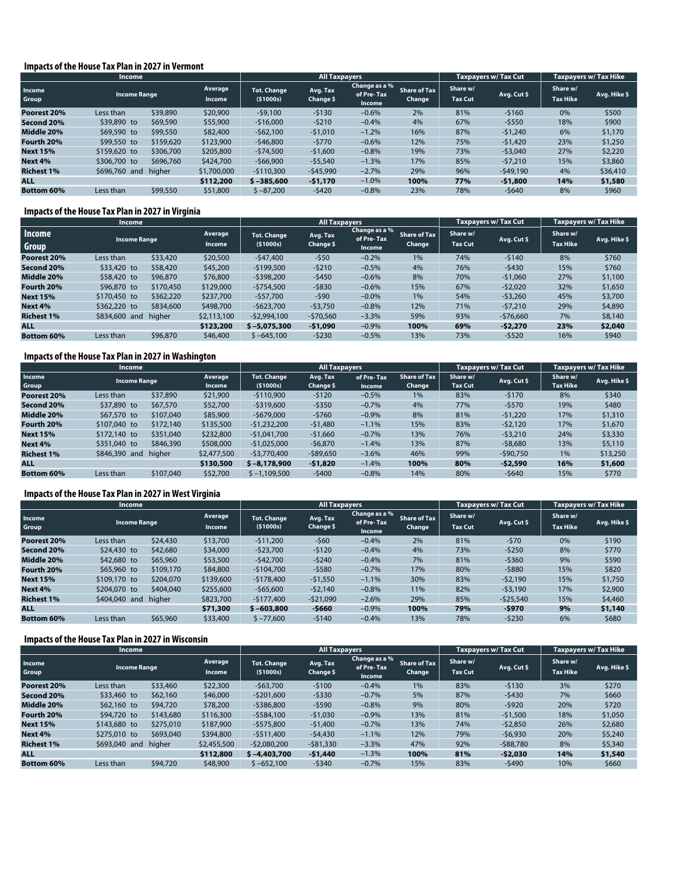#### **Impacts of the House Tax Plan in 2027 in Vermont**

|                   | <b>Income</b>       |           |                                 | <b>All Taxpayers</b>           |                       |                                       |                               | <b>Taxpayers w/ Tax Cut</b> | <b>Taxpayers w/ Tax Hike</b> |                             |              |
|-------------------|---------------------|-----------|---------------------------------|--------------------------------|-----------------------|---------------------------------------|-------------------------------|-----------------------------|------------------------------|-----------------------------|--------------|
| Income<br>Group   | <b>Income Range</b> |           | <b>Average</b><br><b>Income</b> | <b>Tot. Change</b><br>(51000s) | Avg. Tax<br>Change \$ | Change as a %<br>of Pre-Tax<br>Income | <b>Share of Tax</b><br>Change | Share w/<br><b>Tax Cut</b>  | Avg. Cut \$                  | Share w/<br><b>Tax Hike</b> | Avg. Hike \$ |
| Poorest 20%       | Less than           | \$39,890  | \$20,900                        | $-59,100$                      | $-5130$               | $-0.6%$                               | 2%                            | 81%                         | $-5160$                      | 0%                          | \$500        |
| Second 20%        | \$39,890 to         | \$69,590  | \$55,900                        | $-$16,000$                     | $-5210$               | $-0.4%$                               | 4%                            | 67%                         | $-5550$                      | 18%                         | \$900        |
| Middle 20%        | \$69,590 to         | \$99,550  | \$82,400                        | $-562,100$                     | $-51,010$             | $-1.2%$                               | 16%                           | 87%                         | $-51.240$                    | 6%                          | \$1,170      |
| Fourth 20%        | \$99,550 to         | \$159,620 | \$123,900                       | $-546,800$                     | $-5770$               | $-0.6%$                               | 12%                           | 75%                         | $-51.420$                    | 23%                         | \$1,250      |
| <b>Next 15%</b>   | \$159,620 to        | \$306,700 | \$205,800                       | $-574,500$                     | $-51,600$             | $-0.8%$                               | 19%                           | 73%                         | $-53,040$                    | 27%                         | \$2,220      |
| Next 4%           | \$306,700 to        | \$696,760 | \$424,700                       | $-$66,900$                     | $-55,540$             | $-1.3%$                               | 17%                           | 85%                         | $-57,210$                    | 15%                         | \$3,860      |
| <b>Richest 1%</b> | \$696,760 and       | higher    | \$1,700,000                     | $-5110.300$                    | $-545,990$            | $-2.7%$                               | 29%                           | 96%                         | $-549,190$                   | 4%                          | \$36,410     |
| <b>ALL</b>        |                     |           | \$112,200                       | $$ -385,600$                   | $-51,170$             | $-1.0%$                               | 100%                          | 77%                         | $-$1,800$                    | 14%                         | \$1,580      |
| <b>Bottom 60%</b> | Less than           | \$99,550  | \$51,800                        | $$ -87,200$                    | $-5420$               | $-0.8%$                               | 23%                           | 78%                         | $-5640$                      | 8%                          | \$960        |

#### **Impacts of the House Tax Plan in 2027 in Virginia**

|                        | Income                                          |           |                                |                       | <b>All Taxpayers</b>                  |                               |                            |             | <b>Taxpavers w/ Tax Cut</b> | <b>Taxpayers w/ Tax Hike</b> |         |
|------------------------|-------------------------------------------------|-----------|--------------------------------|-----------------------|---------------------------------------|-------------------------------|----------------------------|-------------|-----------------------------|------------------------------|---------|
| Income<br><b>Group</b> | Average<br><b>Income Range</b><br><b>Income</b> |           | <b>Tot. Change</b><br>(51000s) | Avg. Tax<br>Change \$ | Change as a %<br>of Pre-Tax<br>Income | <b>Share of Tax</b><br>Change | Share w/<br><b>Tax Cut</b> | Avg. Cut \$ | Share w/<br><b>Tax Hike</b> | Avg. Hike \$                 |         |
| Poorest 20%            | Less than                                       | \$33,420  | \$20,500                       | $-547,400$            | $-550$                                | $-0.2%$                       | 1%                         | 74%         | $-5140$                     | 8%                           | \$760   |
| Second 20%             | \$33,420 to                                     | \$58,420  | \$45,200                       | $-5199,500$           | $-5210$                               | $-0.5%$                       | 4%                         | 76%         | $-5430$                     | 15%                          | \$760   |
| Middle 20%             | \$58,420 to                                     | \$96,870  | \$76,800                       | $-5398,200$           | $-5450$                               | $-0.6%$                       | 8%                         | 70%         | $-51.060$                   | 27%                          | \$1,100 |
| Fourth 20%             | \$96,870 to                                     | \$170,450 | \$129,000                      | $-5754,500$           | -\$830                                | $-0.6%$                       | 15%                        | 67%         | $-52,020$                   | 32%                          | \$1,650 |
| <b>Next 15%</b>        | \$170,450 to                                    | \$362,220 | \$237,700                      | $-$57,700$            | $-590$                                | $-0.0%$                       | 1%                         | 54%         | $-53,260$                   | 45%                          | \$3,700 |
| Next 4%                | \$362,220 to                                    | \$834,600 | \$498,700                      | $-5623,700$           | $-53,750$                             | $-0.8%$                       | 12%                        | 71%         | $-57.210$                   | 29%                          | \$4,890 |
| <b>Richest 1%</b>      | \$834,600 and                                   | higher    | \$2,113,100                    | $-52.994.100$         | $-570,560$                            | $-3.3%$                       | 59%                        | 93%         | $-576,660$                  | 7%                           | \$8,140 |
| <b>ALL</b>             |                                                 |           | \$123,200                      | $$ -5.075.300$        | $-51,090$                             | $-0.9%$                       | 100%                       | 69%         | $-52,270$                   | 23%                          | \$2,040 |
| <b>Bottom 60%</b>      | Less than                                       | \$96,870  | \$46,400                       | $$ -645.100$          | $-5230$                               | $-0.5%$                       | 13%                        | 73%         | $-5520$                     | 16%                          | \$940   |

#### **Impacts of the House Tax Plan in 2027 in Washington**

|                   | <b>Income</b> |           |               |                    | <b>All Taxpayers</b> |            |                     |          | <b>Taxpayers w/ Tax Cut</b> | <b>Taxpayers w/ Tax Hike</b> |              |
|-------------------|---------------|-----------|---------------|--------------------|----------------------|------------|---------------------|----------|-----------------------------|------------------------------|--------------|
| Income            | Income Range  |           | Average       | <b>Tot. Change</b> | Avg. Tax             | of Pre-Tax | <b>Share of Tax</b> | Share w/ | Avg. Cut \$                 | Share w/                     | Avg. Hike \$ |
| Group             |               |           | <b>Income</b> | ( \$1000s)         | Change \$            | Income     | Change              | Tax Cut  |                             | <b>Tax Hike</b>              |              |
| Poorest 20%       | Less than     | \$37,890  | \$21,900      | $-5110.900$        | $-5120$              | $-0.5%$    | 1%                  | 83%      | $-5170$                     | 8%                           | \$340        |
| Second 20%        | \$37,890 to   | \$67,570  | \$52,700      | $-5319.600$        | $-5350$              | $-0.7%$    | 4%                  | 77%      | $-5570$                     | 19%                          | \$480        |
| Middle 20%        | \$67,570 to   | \$107,040 | \$85,900      | $-5679.000$        | $-5760$              | $-0.9%$    | 8%                  | 81%      | $-51.220$                   | 17%                          | \$1,310      |
| Fourth 20%        | \$107,040 to  | \$172,140 | \$135,500     | $-51.232.200$      | $-51,480$            | $-1.1%$    | 15%                 | 83%      | $-52.120$                   | 17%                          | \$1,670      |
| <b>Next 15%</b>   | \$172,140 to  | \$351,040 | \$232,800     | $-$1,041,700$      | $-51,660$            | $-0.7%$    | 13%                 | 76%      | $-53.210$                   | 24%                          | \$3,330      |
| Next 4%           | \$351,040 to  | \$846,390 | \$508,000     | $-$1,025,000$      | $-56,870$            | $-1.4%$    | 13%                 | 87%      | $-58.680$                   | 13%                          | \$5,110      |
| <b>Richest 1%</b> | \$846,390 and | higher    | \$2,477,500   | $-53.770.400$      | $-589.650$           | $-3.6%$    | 46%                 | 99%      | $-590.750$                  | 1%                           | \$13,250     |
| <b>ALL</b>        |               |           | \$130,500     | $$ -8.178.900$     | $-51,820$            | $-1.4%$    | 100%                | 80%      | $-52.590$                   | 16%                          | \$1,600      |
| <b>Bottom 60%</b> | Less than     | \$107,040 | \$52,700      | $$ -1.109.500$     | $-5400$              | $-0.8%$    | 14%                 | 80%      | $-5640$                     | 15%                          | \$770        |

#### **Impacts of the House Tax Plan in 2027 in West Virginia**

|                   | Income              |           |                          |                                | <b>All Taxpayers</b>  |                                       |                               |                            | Taxpayers w/Tax Cut | <b>Taxpayers w/ Tax Hike</b> |              |
|-------------------|---------------------|-----------|--------------------------|--------------------------------|-----------------------|---------------------------------------|-------------------------------|----------------------------|---------------------|------------------------------|--------------|
| Income<br>Group   | <b>Income Range</b> |           | Average<br><b>Income</b> | <b>Tot. Change</b><br>(51000s) | Avg. Tax<br>Change \$ | Change as a %<br>of Pre-Tax<br>Income | <b>Share of Tax</b><br>Change | Share w/<br><b>Tax Cut</b> | Avg. Cut \$         | Share w/<br><b>Tax Hike</b>  | Avg. Hike \$ |
| Poorest 20%       | Less than           | \$24,430  | \$13,700                 | $-511,200$                     | $-560$                | $-0.4%$                               | 2%                            | 81%                        | $-570$              | 0%                           | \$190        |
| Second 20%        | \$24,430 to         | \$42,680  | \$34,000                 | $-523,700$                     | $-5120$               | $-0.4%$                               | 4%                            | 73%                        | $-5250$             | 8%                           | \$770        |
| Middle 20%        | \$42,680 to         | \$65,960  | \$53,500                 | $-542.700$                     | $-5240$               | $-0.4%$                               | 7%                            | 81%                        | $-5360$             | 9%                           | \$590        |
| Fourth 20%        | \$65,960 to         | \$109,170 | \$84,800                 | $-$104,700$                    | $-5580$               | $-0.7%$                               | 17%                           | 80%                        | $-5880$             | 15%                          | \$820        |
| <b>Next 15%</b>   | \$109,170 to        | \$204,070 | \$139,600                | $-5178.400$                    | $-51,550$             | $-1.1%$                               | 30%                           | 83%                        | $-52,190$           | 15%                          | \$1,750      |
| Next 4%           | \$204,070 to        | \$404,040 | \$255,600                | $-$65,600$                     | $-52.140$             | $-0.8%$                               | 11%                           | 82%                        | $-53,190$           | 17%                          | \$2,900      |
| <b>Richest 1%</b> | \$404,040 and       | higher    | \$823,700                | $-5177.400$                    | $-521,090$            | $-2.6%$                               | 29%                           | 85%                        | $-525,540$          | 15%                          | \$4,460      |
| <b>ALL</b>        |                     |           | \$71,300                 | $$ -603,800$                   | $-5660$               | $-0.9%$                               | 100%                          | 79%                        | $-5970$             | 9%                           | \$1,140      |
| <b>Bottom 60%</b> | Less than           | \$65,960  | \$33,400                 | $$ -77,600$                    | $-5140$               | $-0.4%$                               | 13%                           | 78%                        | $-5230$             | 6%                           | \$680        |

#### **Impacts of the House Tax Plan in 2027 in Wisconsin**

|                   | <b>Income</b>       |           |                          |                                  | <b>All Taxpayers</b>  |                                       |                               |                            | <b>Taxpayers w/ Tax Cut</b> | Taxpayers w/ Tax Hike       |              |
|-------------------|---------------------|-----------|--------------------------|----------------------------------|-----------------------|---------------------------------------|-------------------------------|----------------------------|-----------------------------|-----------------------------|--------------|
| Income<br>Group   | <b>Income Range</b> |           | Average<br><b>Income</b> | <b>Tot. Change</b><br>( \$1000s) | Avg. Tax<br>Change \$ | Change as a %<br>of Pre-Tax<br>Income | <b>Share of Tax</b><br>Change | Share w/<br><b>Tax Cut</b> | Avg. Cut \$                 | Share w/<br><b>Tax Hike</b> | Avg. Hike \$ |
| Poorest 20%       | Less than           | \$33,460  | \$22,300                 | $-563.700$                       | $-5100$               | $-0.4%$                               | 1%                            | 83%                        | $-5130$                     | 3%                          | \$270        |
| Second 20%        | \$33,460 to         | \$62,160  | \$46,000                 | $-5201.600$                      | $-5330$               | $-0.7%$                               | 5%                            | 87%                        | $-5430$                     | 7%                          | \$660        |
| Middle 20%        | \$62,160 to         | \$94,720  | \$78,200                 | $-5386.800$                      | $-5590$               | $-0.8%$                               | 9%                            | 80%                        | $-5920$                     | 20%                         | \$720        |
| Fourth 20%        | \$94,720 to         | \$143,680 | \$116,300                | $-5584.100$                      | $-51,030$             | $-0.9%$                               | 13%                           | 81%                        | $-51.500$                   | 18%                         | \$1,050      |
| <b>Next 15%</b>   | \$143,680 to        | \$275,010 | \$187,900                | $-5575.800$                      | $-51,400$             | $-0.7%$                               | 13%                           | 74%                        | $-52.850$                   | 26%                         | \$2,680      |
| Next 4%           | \$275,010 to        | \$693,040 | \$394,800                | $-5511,400$                      | $-54.430$             | $-1.1%$                               | 12%                           | 79%                        | $-56,930$                   | 20%                         | \$5,240      |
| <b>Richest 1%</b> | \$693,040 and       | higher    | \$2,455,500              | $-52.080.200$                    | $-$ \$81,330          | $-3.3%$                               | 47%                           | 92%                        | $-588,780$                  | 8%                          | \$5,340      |
| <b>ALL</b>        |                     |           | \$112,800                | $$ -4,403,700$                   | $-51,440$             | $-1.3%$                               | 100%                          | 81%                        | $-52,030$                   | 14%                         | \$1,540      |
| <b>Bottom 60%</b> | Less than           | \$94,720  | \$48,900                 | $$ -652.100$                     | $-5340$               | $-0.7%$                               | 15%                           | 83%                        | $-5490$                     | 10%                         | \$660        |